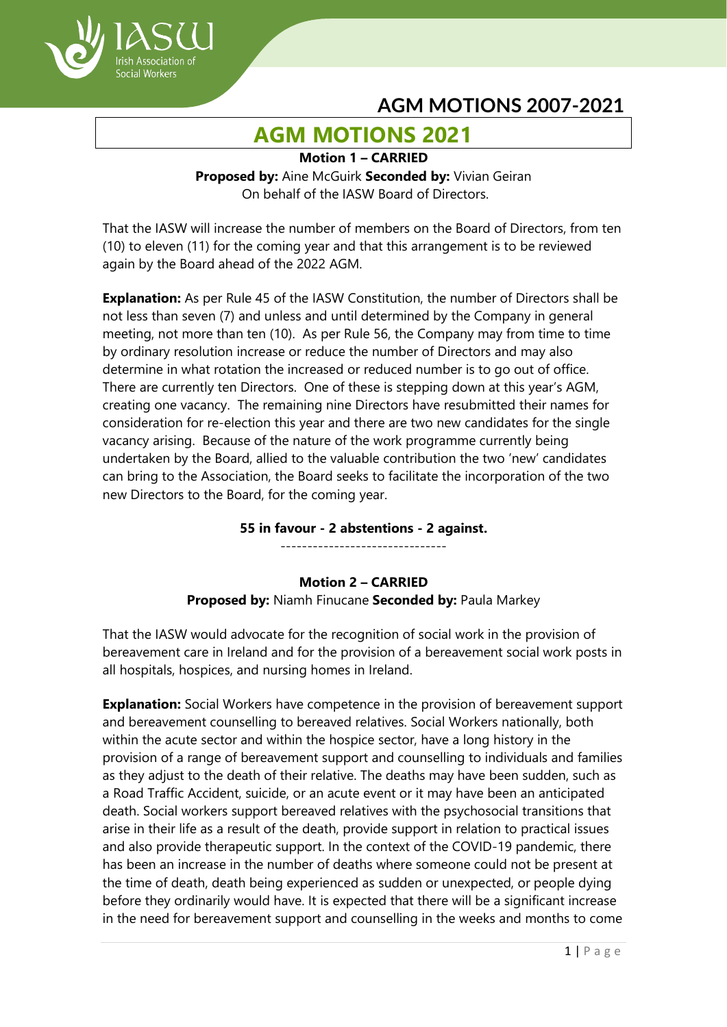

# **AGM MOTIONS 2021**

**Motion 1 – CARRIED**

**Proposed by:** Aine McGuirk **Seconded by:** Vivian Geiran On behalf of the IASW Board of Directors.

That the IASW will increase the number of members on the Board of Directors, from ten (10) to eleven (11) for the coming year and that this arrangement is to be reviewed again by the Board ahead of the 2022 AGM.

**Explanation:** As per Rule 45 of the IASW Constitution, the number of Directors shall be not less than seven (7) and unless and until determined by the Company in general meeting, not more than ten (10). As per Rule 56, the Company may from time to time by ordinary resolution increase or reduce the number of Directors and may also determine in what rotation the increased or reduced number is to go out of office. There are currently ten Directors. One of these is stepping down at this year's AGM, creating one vacancy. The remaining nine Directors have resubmitted their names for consideration for re-election this year and there are two new candidates for the single vacancy arising. Because of the nature of the work programme currently being undertaken by the Board, allied to the valuable contribution the two 'new' candidates can bring to the Association, the Board seeks to facilitate the incorporation of the two new Directors to the Board, for the coming year.

**55 in favour - 2 abstentions - 2 against.**

-------------------------------

**Motion 2 – CARRIED Proposed by:** Niamh Finucane **Seconded by:** Paula Markey

That the IASW would advocate for the recognition of social work in the provision of bereavement care in Ireland and for the provision of a bereavement social work posts in all hospitals, hospices, and nursing homes in Ireland.

**Explanation:** Social Workers have competence in the provision of bereavement support and bereavement counselling to bereaved relatives. Social Workers nationally, both within the acute sector and within the hospice sector, have a long history in the provision of a range of bereavement support and counselling to individuals and families as they adjust to the death of their relative. The deaths may have been sudden, such as a Road Traffic Accident, suicide, or an acute event or it may have been an anticipated death. Social workers support bereaved relatives with the psychosocial transitions that arise in their life as a result of the death, provide support in relation to practical issues and also provide therapeutic support. In the context of the COVID-19 pandemic, there has been an increase in the number of deaths where someone could not be present at the time of death, death being experienced as sudden or unexpected, or people dying before they ordinarily would have. It is expected that there will be a significant increase in the need for bereavement support and counselling in the weeks and months to come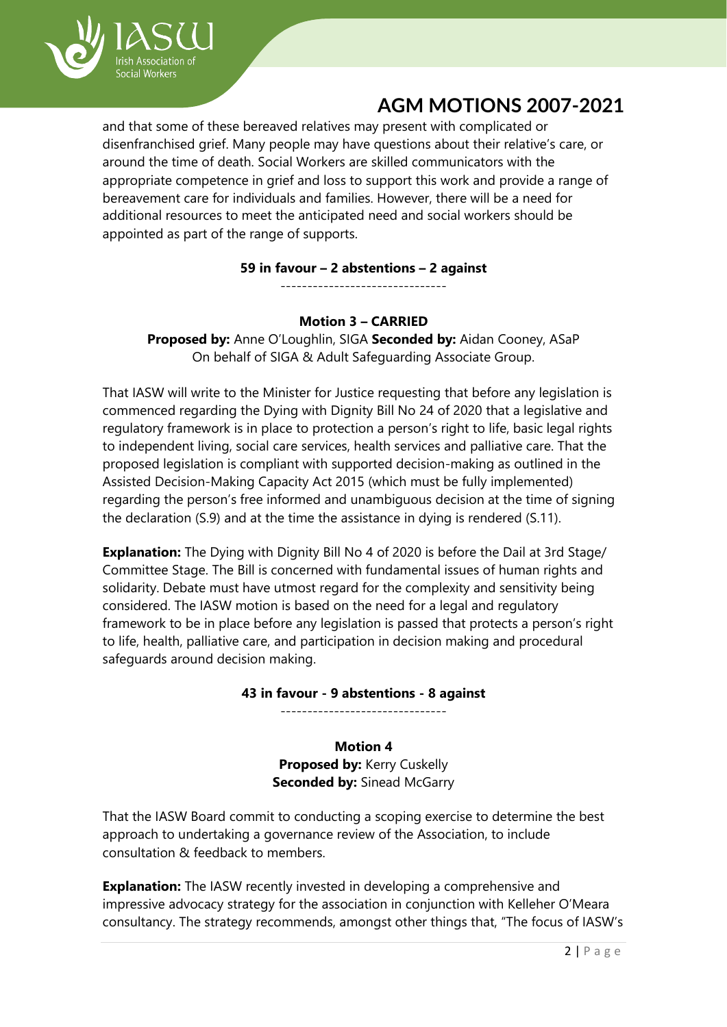

and that some of these bereaved relatives may present with complicated or disenfranchised grief. Many people may have questions about their relative's care, or around the time of death. Social Workers are skilled communicators with the appropriate competence in grief and loss to support this work and provide a range of bereavement care for individuals and families. However, there will be a need for additional resources to meet the anticipated need and social workers should be appointed as part of the range of supports.

## **59 in favour – 2 abstentions – 2 against**

-------------------------------

## **Motion 3 – CARRIED**

**Proposed by:** Anne O'Loughlin, SIGA **Seconded by:** Aidan Cooney, ASaP On behalf of SIGA & Adult Safeguarding Associate Group.

That IASW will write to the Minister for Justice requesting that before any legislation is commenced regarding the Dying with Dignity Bill No 24 of 2020 that a legislative and regulatory framework is in place to protection a person's right to life, basic legal rights to independent living, social care services, health services and palliative care. That the proposed legislation is compliant with supported decision-making as outlined in the Assisted Decision-Making Capacity Act 2015 (which must be fully implemented) regarding the person's free informed and unambiguous decision at the time of signing the declaration (S.9) and at the time the assistance in dying is rendered (S.11).

**Explanation:** The Dying with Dignity Bill No 4 of 2020 is before the Dail at 3rd Stage/ Committee Stage. The Bill is concerned with fundamental issues of human rights and solidarity. Debate must have utmost regard for the complexity and sensitivity being considered. The IASW motion is based on the need for a legal and regulatory framework to be in place before any legislation is passed that protects a person's right to life, health, palliative care, and participation in decision making and procedural safeguards around decision making.

## **43 in favour - 9 abstentions - 8 against**

-------------------------------

## **Motion 4**

**Proposed by:** Kerry Cuskelly **Seconded by: Sinead McGarry** 

That the IASW Board commit to conducting a scoping exercise to determine the best approach to undertaking a governance review of the Association, to include consultation & feedback to members.

**Explanation:** The IASW recently invested in developing a comprehensive and impressive advocacy strategy for the association in conjunction with Kelleher O'Meara consultancy. The strategy recommends, amongst other things that, "The focus of IASW's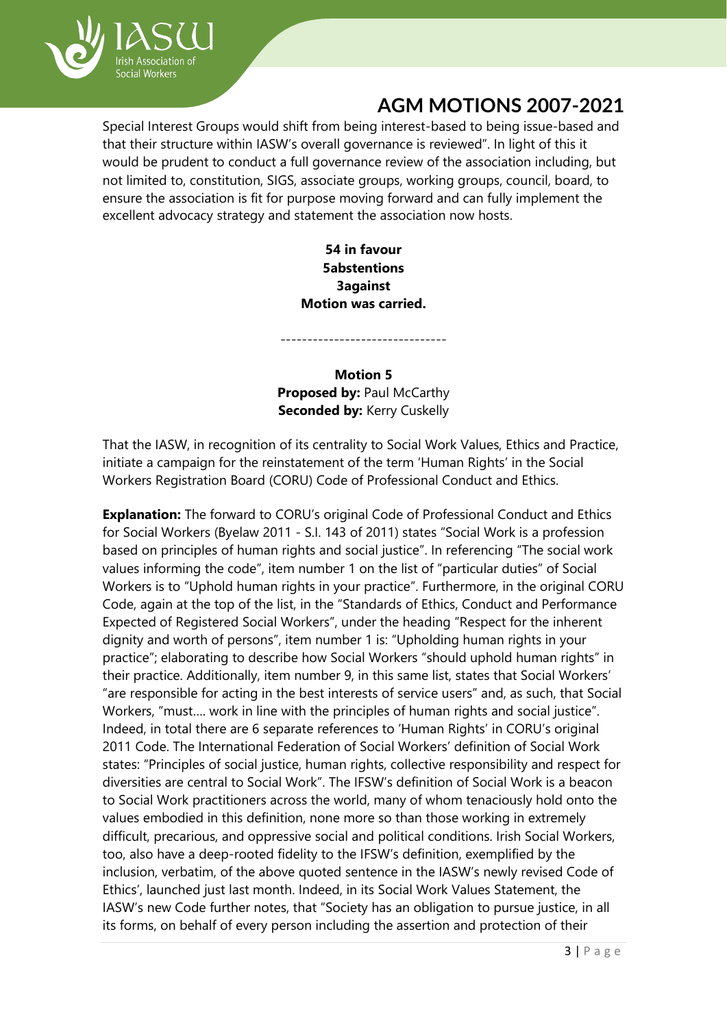

Special Interest Groups would shift from being interest-based to being issue-based and that their structure within IASW's overall governance is reviewed". In light of this it would be prudent to conduct a full governance review of the association including, but not limited to, constitution, SIGS, associate groups, working groups, council, board, to ensure the association is fit for purpose moving forward and can fully implement the excellent advocacy strategy and statement the association now hosts.

## **54 in favour 5abstentions 3against Motion was carried.**

**Motion 5 Proposed by: Paul McCarthy Seconded by: Kerry Cuskelly** 

-------------------------------

That the IASW, in recognition of its centrality to Social Work Values, Ethics and Practice, initiate a campaign for the reinstatement of the term 'Human Rights' in the Social Workers Registration Board (CORU) Code of Professional Conduct and Ethics.

**Explanation:** The forward to CORU's original Code of Professional Conduct and Ethics for Social Workers (Byelaw 2011 - S.I. 143 of 2011) states "Social Work is a profession based on principles of human rights and social justice". In referencing "The social work values informing the code", item number 1 on the list of "particular duties" of Social Workers is to "Uphold human rights in your practice". Furthermore, in the original CORU Code, again at the top of the list, in the "Standards of Ethics, Conduct and Performance Expected of Registered Social Workers", under the heading "Respect for the inherent dignity and worth of persons", item number 1 is: "Upholding human rights in your practice"; elaborating to describe how Social Workers "should uphold human rights" in their practice. Additionally, item number 9, in this same list, states that Social Workers' "are responsible for acting in the best interests of service users" and, as such, that Social Workers, "must…. work in line with the principles of human rights and social justice". Indeed, in total there are 6 separate references to 'Human Rights' in CORU's original 2011 Code. The International Federation of Social Workers' definition of Social Work states: "Principles of social justice, human rights, collective responsibility and respect for diversities are central to Social Work". The IFSW's definition of Social Work is a beacon to Social Work practitioners across the world, many of whom tenaciously hold onto the values embodied in this definition, none more so than those working in extremely difficult, precarious, and oppressive social and political conditions. Irish Social Workers, too, also have a deep-rooted fidelity to the IFSW's definition, exemplified by the inclusion, verbatim, of the above quoted sentence in the IASW's newly revised Code of Ethics', launched just last month. Indeed, in its Social Work Values Statement, the IASW's new Code further notes, that "Society has an obligation to pursue justice, in all its forms, on behalf of every person including the assertion and protection of their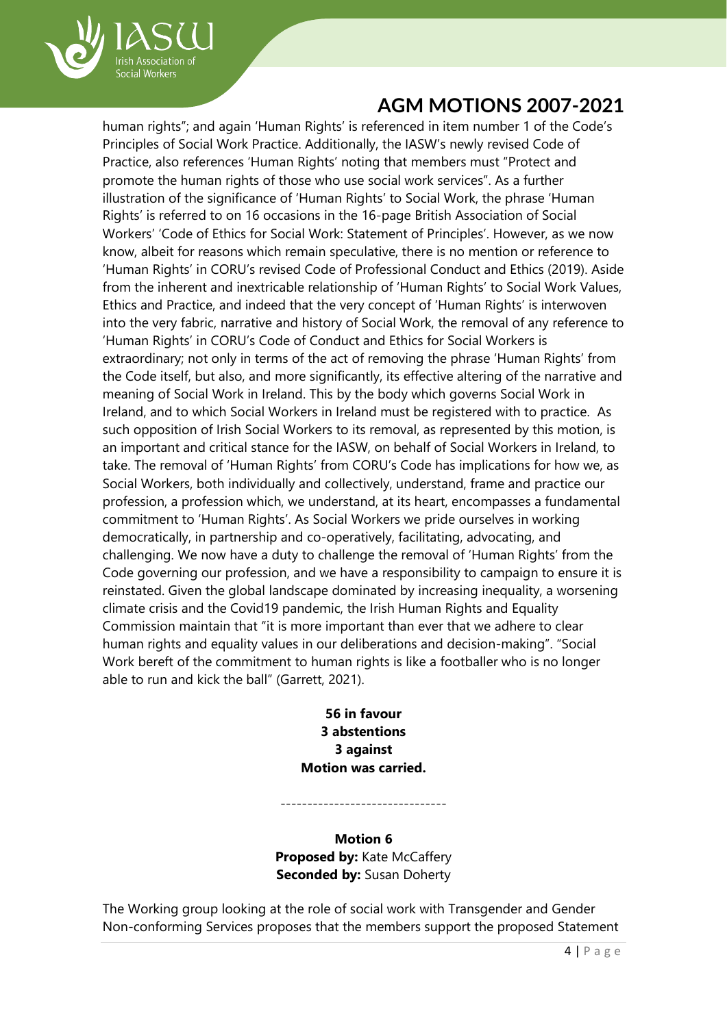

human rights"; and again 'Human Rights' is referenced in item number 1 of the Code's Principles of Social Work Practice. Additionally, the IASW's newly revised Code of Practice, also references 'Human Rights' noting that members must "Protect and promote the human rights of those who use social work services". As a further illustration of the significance of 'Human Rights' to Social Work, the phrase 'Human Rights' is referred to on 16 occasions in the 16-page British Association of Social Workers' 'Code of Ethics for Social Work: Statement of Principles'. However, as we now know, albeit for reasons which remain speculative, there is no mention or reference to 'Human Rights' in CORU's revised Code of Professional Conduct and Ethics (2019). Aside from the inherent and inextricable relationship of 'Human Rights' to Social Work Values, Ethics and Practice, and indeed that the very concept of 'Human Rights' is interwoven into the very fabric, narrative and history of Social Work, the removal of any reference to 'Human Rights' in CORU's Code of Conduct and Ethics for Social Workers is extraordinary; not only in terms of the act of removing the phrase 'Human Rights' from the Code itself, but also, and more significantly, its effective altering of the narrative and meaning of Social Work in Ireland. This by the body which governs Social Work in Ireland, and to which Social Workers in Ireland must be registered with to practice. As such opposition of Irish Social Workers to its removal, as represented by this motion, is an important and critical stance for the IASW, on behalf of Social Workers in Ireland, to take. The removal of 'Human Rights' from CORU's Code has implications for how we, as Social Workers, both individually and collectively, understand, frame and practice our profession, a profession which, we understand, at its heart, encompasses a fundamental commitment to 'Human Rights'. As Social Workers we pride ourselves in working democratically, in partnership and co-operatively, facilitating, advocating, and challenging. We now have a duty to challenge the removal of 'Human Rights' from the Code governing our profession, and we have a responsibility to campaign to ensure it is reinstated. Given the global landscape dominated by increasing inequality, a worsening climate crisis and the Covid19 pandemic, the Irish Human Rights and Equality Commission maintain that "it is more important than ever that we adhere to clear human rights and equality values in our deliberations and decision-making". "Social Work bereft of the commitment to human rights is like a footballer who is no longer able to run and kick the ball" (Garrett, 2021).

> **56 in favour 3 abstentions 3 against Motion was carried.**

**Motion 6 Proposed by:** Kate McCaffery **Seconded by: Susan Doherty** 

-------------------------------

The Working group looking at the role of social work with Transgender and Gender Non-conforming Services proposes that the members support the proposed Statement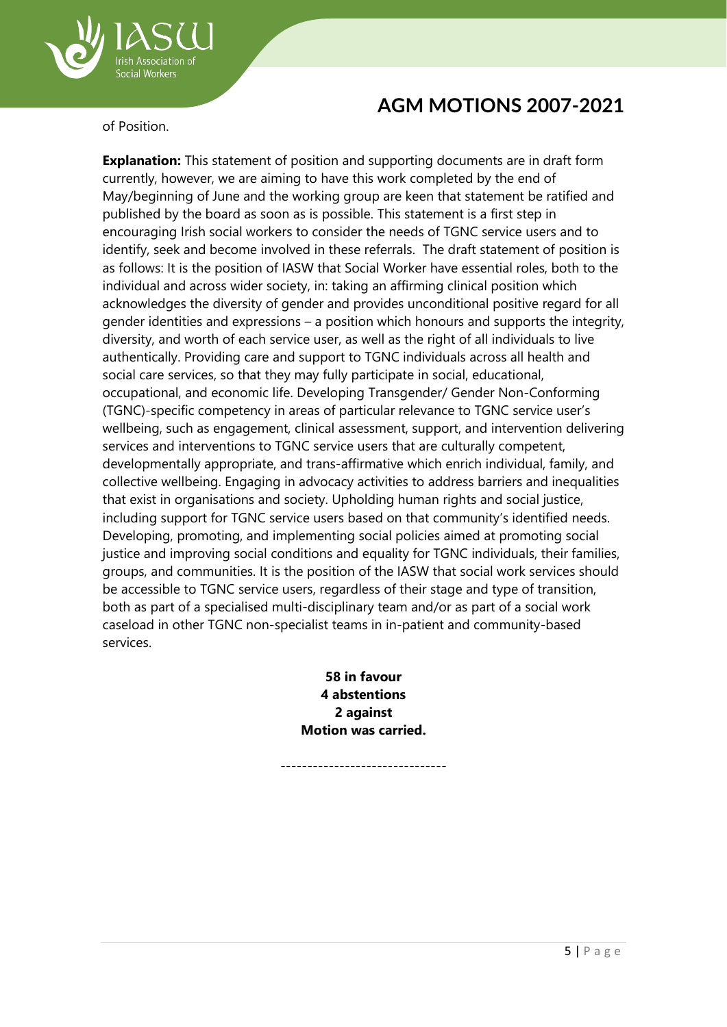

of Position.

Social Workers

**Explanation:** This statement of position and supporting documents are in draft form currently, however, we are aiming to have this work completed by the end of May/beginning of June and the working group are keen that statement be ratified and published by the board as soon as is possible. This statement is a first step in encouraging Irish social workers to consider the needs of TGNC service users and to identify, seek and become involved in these referrals. The draft statement of position is as follows: It is the position of IASW that Social Worker have essential roles, both to the individual and across wider society, in: taking an affirming clinical position which acknowledges the diversity of gender and provides unconditional positive regard for all gender identities and expressions – a position which honours and supports the integrity, diversity, and worth of each service user, as well as the right of all individuals to live authentically. Providing care and support to TGNC individuals across all health and social care services, so that they may fully participate in social, educational, occupational, and economic life. Developing Transgender/ Gender Non-Conforming (TGNC)-specific competency in areas of particular relevance to TGNC service user's wellbeing, such as engagement, clinical assessment, support, and intervention delivering services and interventions to TGNC service users that are culturally competent, developmentally appropriate, and trans-affirmative which enrich individual, family, and collective wellbeing. Engaging in advocacy activities to address barriers and inequalities that exist in organisations and society. Upholding human rights and social justice, including support for TGNC service users based on that community's identified needs. Developing, promoting, and implementing social policies aimed at promoting social justice and improving social conditions and equality for TGNC individuals, their families, groups, and communities. It is the position of the IASW that social work services should be accessible to TGNC service users, regardless of their stage and type of transition, both as part of a specialised multi-disciplinary team and/or as part of a social work caseload in other TGNC non-specialist teams in in-patient and community-based services.

> **58 in favour 4 abstentions 2 against Motion was carried.**

> > -------------------------------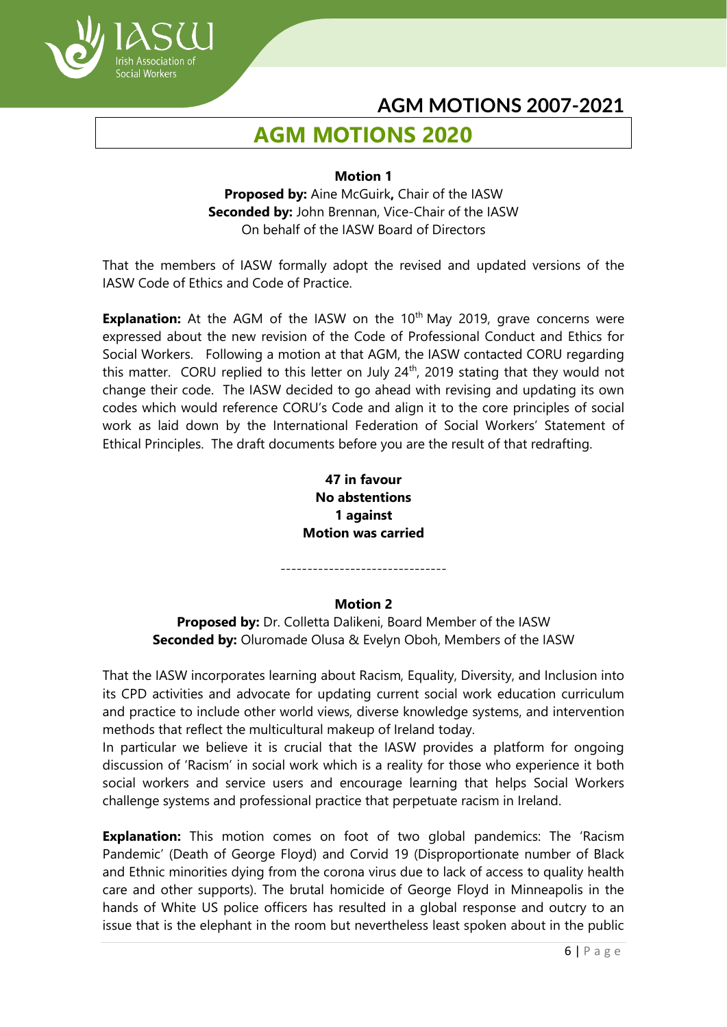

# **AGM MOTIONS 2020**

#### **Motion 1**

**Proposed by:** Aine McGuirk**,** Chair of the IASW **Seconded by:** John Brennan, Vice-Chair of the IASW On behalf of the IASW Board of Directors

That the members of IASW formally adopt the revised and updated versions of the IASW Code of Ethics and Code of Practice.

**Explanation:** At the AGM of the IASW on the 10<sup>th</sup> May 2019, grave concerns were expressed about the new revision of the Code of Professional Conduct and Ethics for Social Workers. Following a motion at that AGM, the IASW contacted CORU regarding this matter. CORU replied to this letter on July  $24<sup>th</sup>$ , 2019 stating that they would not change their code. The IASW decided to go ahead with revising and updating its own codes which would reference CORU's Code and align it to the core principles of social work as laid down by the International Federation of Social Workers' Statement of Ethical Principles. The draft documents before you are the result of that redrafting.

> **47 in favour No abstentions 1 against Motion was carried**

-------------------------------

#### **Motion 2**

**Proposed by:** Dr. Colletta Dalikeni, Board Member of the IASW **Seconded by:** Oluromade Olusa & Evelyn Oboh, Members of the IASW

That the IASW incorporates learning about Racism, Equality, Diversity, and Inclusion into its CPD activities and advocate for updating current social work education curriculum and practice to include other world views, diverse knowledge systems, and intervention methods that reflect the multicultural makeup of Ireland today.

In particular we believe it is crucial that the IASW provides a platform for ongoing discussion of 'Racism' in social work which is a reality for those who experience it both social workers and service users and encourage learning that helps Social Workers challenge systems and professional practice that perpetuate racism in Ireland.

**Explanation:** This motion comes on foot of two global pandemics: The 'Racism Pandemic' (Death of George Floyd) and Corvid 19 (Disproportionate number of Black and Ethnic minorities dying from the corona virus due to lack of access to quality health care and other supports). The brutal homicide of George Floyd in Minneapolis in the hands of White US police officers has resulted in a global response and outcry to an issue that is the elephant in the room but nevertheless least spoken about in the public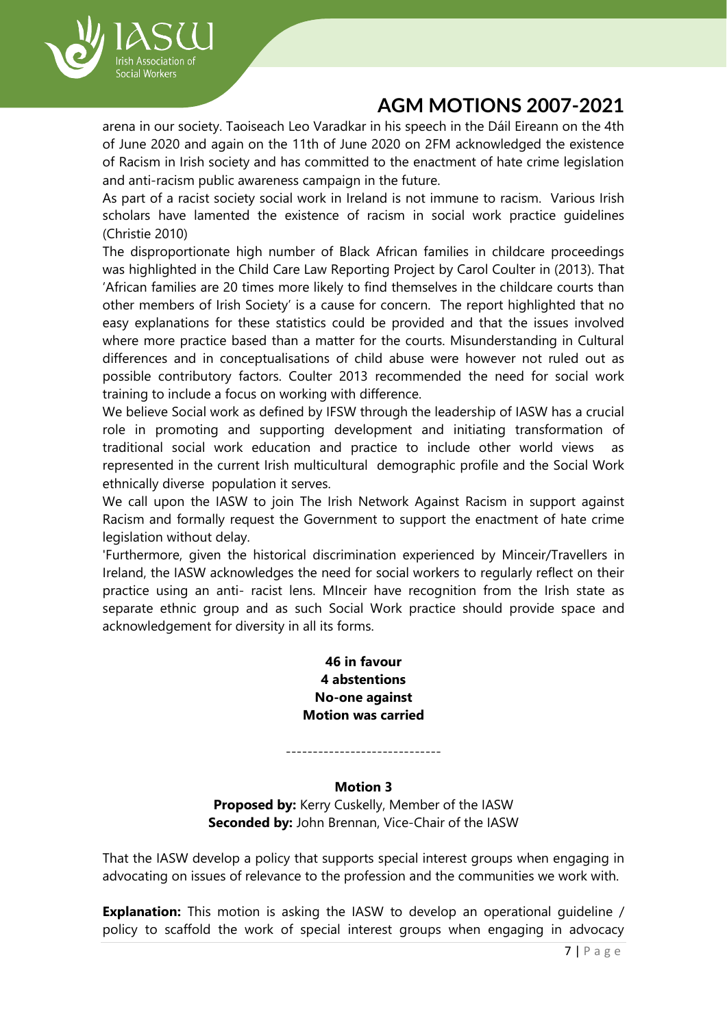

arena in our society. Taoiseach Leo Varadkar in his speech in the Dáil Eireann on the 4th of June 2020 and again on the 11th of June 2020 on 2FM acknowledged the existence of Racism in Irish society and has committed to the enactment of hate crime legislation and anti-racism public awareness campaign in the future.

As part of a racist society social work in Ireland is not immune to racism. Various Irish scholars have lamented the existence of racism in social work practice guidelines (Christie 2010)

The disproportionate high number of Black African families in childcare proceedings was highlighted in the Child Care Law Reporting Project by Carol Coulter in (2013). That 'African families are 20 times more likely to find themselves in the childcare courts than other members of Irish Society' is a cause for concern. The report highlighted that no easy explanations for these statistics could be provided and that the issues involved where more practice based than a matter for the courts. Misunderstanding in Cultural differences and in conceptualisations of child abuse were however not ruled out as possible contributory factors. Coulter 2013 recommended the need for social work training to include a focus on working with difference.

We believe Social work as defined by IFSW through the leadership of IASW has a crucial role in promoting and supporting development and initiating transformation of traditional social work education and practice to include other world views as represented in the current Irish multicultural demographic profile and the Social Work ethnically diverse population it serves.

We call upon the IASW to join The Irish Network Against Racism in support against Racism and formally request the Government to support the enactment of hate crime legislation without delay.

'Furthermore, given the historical discrimination experienced by Minceir/Travellers in Ireland, the IASW acknowledges the need for social workers to regularly reflect on their practice using an anti- racist lens. MInceir have recognition from the Irish state as separate ethnic group and as such Social Work practice should provide space and acknowledgement for diversity in all its forms.

> **46 in favour 4 abstentions No-one against Motion was carried**

-----------------------------

## **Motion 3**

**Proposed by:** Kerry Cuskelly, Member of the IASW **Seconded by:** John Brennan, Vice-Chair of the IASW

That the IASW develop a policy that supports special interest groups when engaging in advocating on issues of relevance to the profession and the communities we work with.

**Explanation:** This motion is asking the IASW to develop an operational guideline / policy to scaffold the work of special interest groups when engaging in advocacy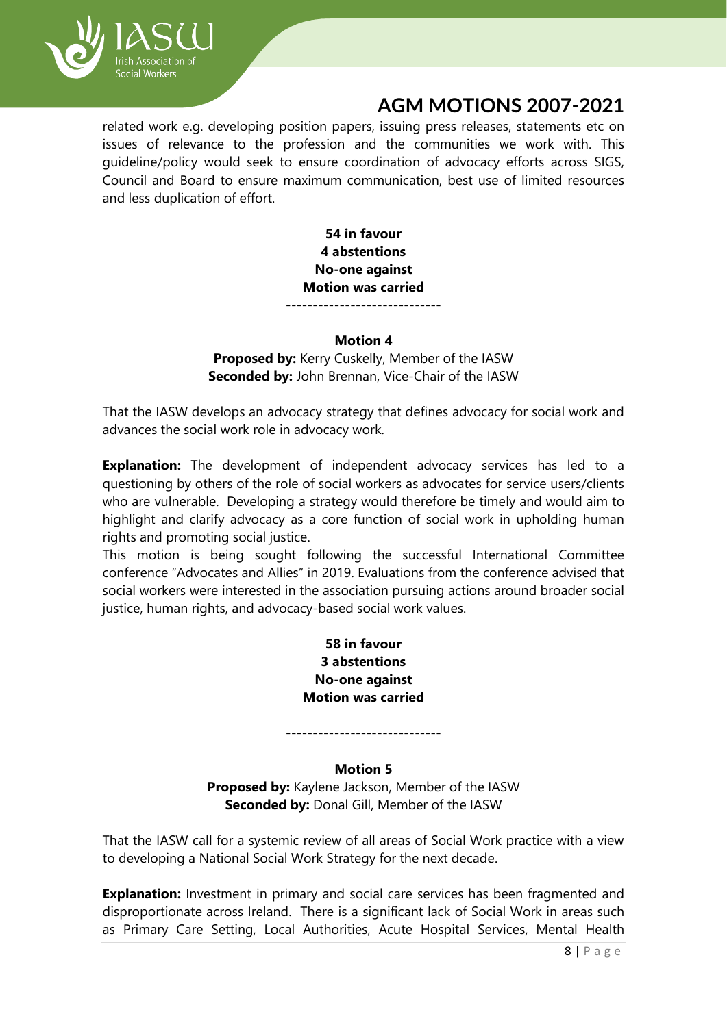

related work e.g. developing position papers, issuing press releases, statements etc on issues of relevance to the profession and the communities we work with. This guideline/policy would seek to ensure coordination of advocacy efforts across SIGS, Council and Board to ensure maximum communication, best use of limited resources and less duplication of effort.

> **54 in favour 4 abstentions No-one against Motion was carried** -----------------------------

#### **Motion 4**

**Proposed by:** Kerry Cuskelly, Member of the IASW **Seconded by:** John Brennan, Vice-Chair of the IASW

That the IASW develops an advocacy strategy that defines advocacy for social work and advances the social work role in advocacy work.

**Explanation:** The development of independent advocacy services has led to a questioning by others of the role of social workers as advocates for service users/clients who are vulnerable. Developing a strategy would therefore be timely and would aim to highlight and clarify advocacy as a core function of social work in upholding human rights and promoting social justice.

This motion is being sought following the successful International Committee conference "Advocates and Allies" in 2019. Evaluations from the conference advised that social workers were interested in the association pursuing actions around broader social justice, human rights, and advocacy-based social work values.

## **58 in favour 3 abstentions No-one against Motion was carried**

# -----------------------------

### **Motion 5**

**Proposed by:** Kaylene Jackson, Member of the IASW **Seconded by:** Donal Gill, Member of the IASW

That the IASW call for a systemic review of all areas of Social Work practice with a view to developing a National Social Work Strategy for the next decade.

**Explanation:** Investment in primary and social care services has been fragmented and disproportionate across Ireland. There is a significant lack of Social Work in areas such as Primary Care Setting, Local Authorities, Acute Hospital Services, Mental Health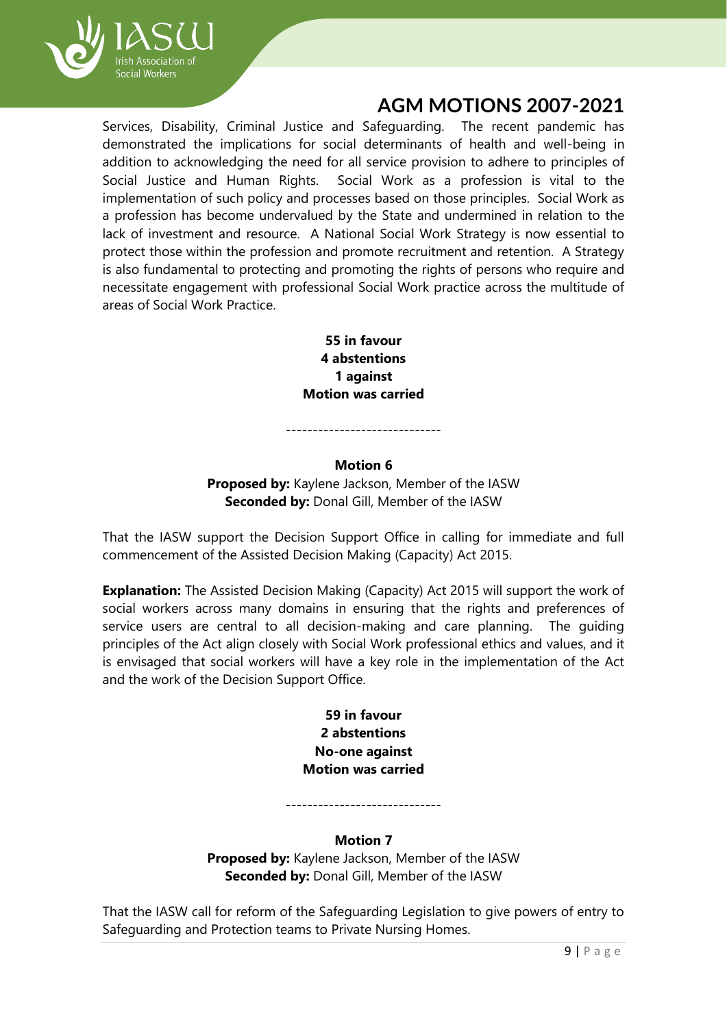

Services, Disability, Criminal Justice and Safeguarding. The recent pandemic has demonstrated the implications for social determinants of health and well-being in addition to acknowledging the need for all service provision to adhere to principles of Social Justice and Human Rights. Social Work as a profession is vital to the implementation of such policy and processes based on those principles. Social Work as a profession has become undervalued by the State and undermined in relation to the lack of investment and resource. A National Social Work Strategy is now essential to protect those within the profession and promote recruitment and retention. A Strategy is also fundamental to protecting and promoting the rights of persons who require and necessitate engagement with professional Social Work practice across the multitude of areas of Social Work Practice.

> **55 in favour 4 abstentions 1 against Motion was carried**

#### **Motion 6**

-----------------------------

**Proposed by:** Kaylene Jackson, Member of the IASW **Seconded by:** Donal Gill, Member of the IASW

That the IASW support the Decision Support Office in calling for immediate and full commencement of the Assisted Decision Making (Capacity) Act 2015.

**Explanation:** The Assisted Decision Making (Capacity) Act 2015 will support the work of social workers across many domains in ensuring that the rights and preferences of service users are central to all decision-making and care planning. The guiding principles of the Act align closely with Social Work professional ethics and values, and it is envisaged that social workers will have a key role in the implementation of the Act and the work of the Decision Support Office.

> **59 in favour 2 abstentions No-one against Motion was carried**

> > **Motion 7**

-----------------------------

**Proposed by:** Kaylene Jackson, Member of the IASW **Seconded by:** Donal Gill, Member of the IASW

That the IASW call for reform of the Safeguarding Legislation to give powers of entry to Safeguarding and Protection teams to Private Nursing Homes.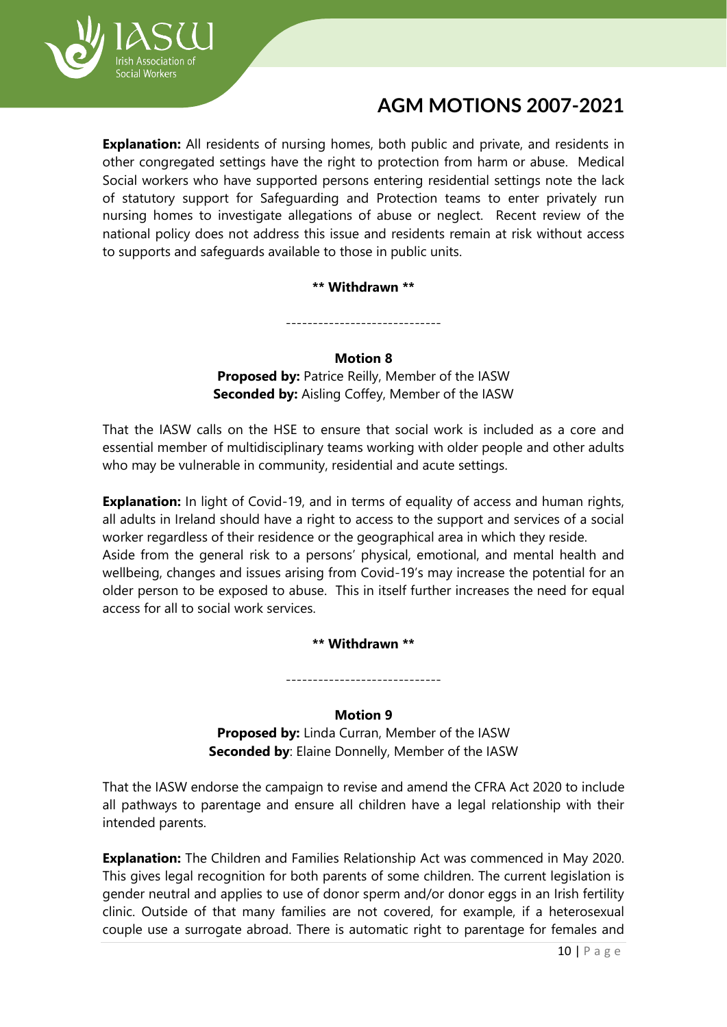

**Explanation:** All residents of nursing homes, both public and private, and residents in other congregated settings have the right to protection from harm or abuse. Medical Social workers who have supported persons entering residential settings note the lack of statutory support for Safeguarding and Protection teams to enter privately run nursing homes to investigate allegations of abuse or neglect. Recent review of the national policy does not address this issue and residents remain at risk without access to supports and safeguards available to those in public units.

**\*\* Withdrawn \*\***

-----------------------------

#### **Motion 8**

**Proposed by:** Patrice Reilly, Member of the IASW **Seconded by:** Aisling Coffey, Member of the IASW

That the IASW calls on the HSE to ensure that social work is included as a core and essential member of multidisciplinary teams working with older people and other adults who may be vulnerable in community, residential and acute settings.

**Explanation:** In light of Covid-19, and in terms of equality of access and human rights, all adults in Ireland should have a right to access to the support and services of a social worker regardless of their residence or the geographical area in which they reside. Aside from the general risk to a persons' physical, emotional, and mental health and wellbeing, changes and issues arising from Covid-19's may increase the potential for an older person to be exposed to abuse. This in itself further increases the need for equal access for all to social work services.

**\*\* Withdrawn \*\***

-----------------------------

## **Motion 9**

**Proposed by:** Linda Curran, Member of the IASW **Seconded by**: Elaine Donnelly, Member of the IASW

That the IASW endorse the campaign to revise and amend the CFRA Act 2020 to include all pathways to parentage and ensure all children have a legal relationship with their intended parents.

**Explanation:** The Children and Families Relationship Act was commenced in May 2020. This gives legal recognition for both parents of some children. The current legislation is gender neutral and applies to use of donor sperm and/or donor eggs in an Irish fertility clinic. Outside of that many families are not covered, for example, if a heterosexual couple use a surrogate abroad. There is automatic right to parentage for females and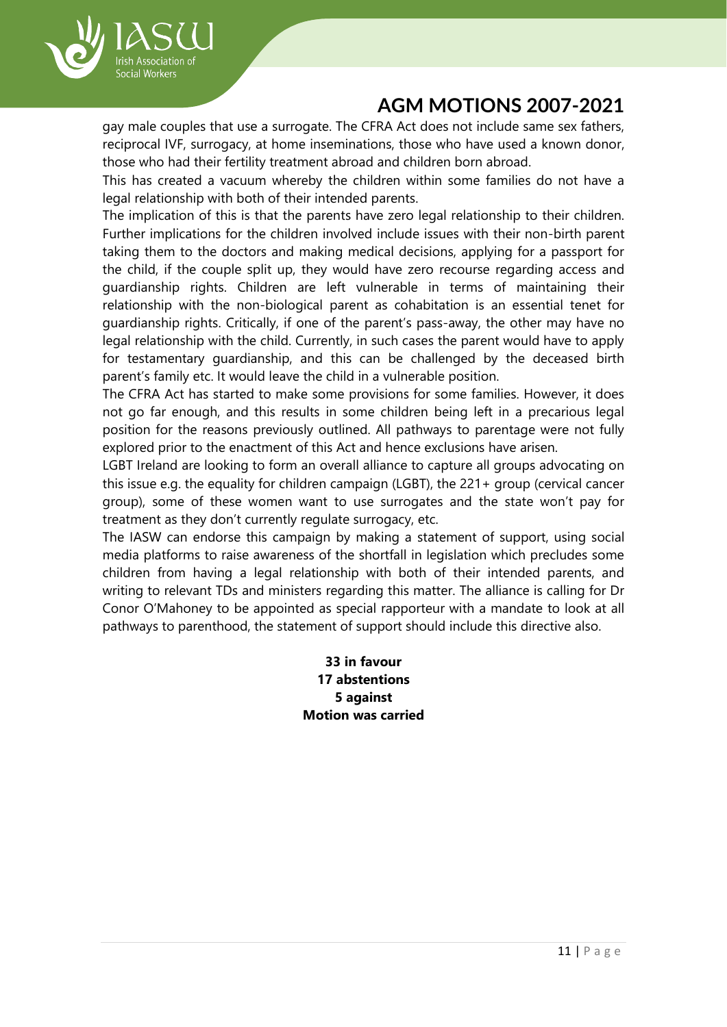

gay male couples that use a surrogate. The CFRA Act does not include same sex fathers, reciprocal IVF, surrogacy, at home inseminations, those who have used a known donor, those who had their fertility treatment abroad and children born abroad.

This has created a vacuum whereby the children within some families do not have a legal relationship with both of their intended parents.

The implication of this is that the parents have zero legal relationship to their children. Further implications for the children involved include issues with their non-birth parent taking them to the doctors and making medical decisions, applying for a passport for the child, if the couple split up, they would have zero recourse regarding access and guardianship rights. Children are left vulnerable in terms of maintaining their relationship with the non-biological parent as cohabitation is an essential tenet for guardianship rights. Critically, if one of the parent's pass-away, the other may have no legal relationship with the child. Currently, in such cases the parent would have to apply for testamentary guardianship, and this can be challenged by the deceased birth parent's family etc. It would leave the child in a vulnerable position.

The CFRA Act has started to make some provisions for some families. However, it does not go far enough, and this results in some children being left in a precarious legal position for the reasons previously outlined. All pathways to parentage were not fully explored prior to the enactment of this Act and hence exclusions have arisen.

LGBT Ireland are looking to form an overall alliance to capture all groups advocating on this issue e.g. the equality for children campaign (LGBT), the 221+ group (cervical cancer group), some of these women want to use surrogates and the state won't pay for treatment as they don't currently regulate surrogacy, etc.

The IASW can endorse this campaign by making a statement of support, using social media platforms to raise awareness of the shortfall in legislation which precludes some children from having a legal relationship with both of their intended parents, and writing to relevant TDs and ministers regarding this matter. The alliance is calling for Dr Conor O'Mahoney to be appointed as special rapporteur with a mandate to look at all pathways to parenthood, the statement of support should include this directive also.

> **33 in favour 17 abstentions 5 against Motion was carried**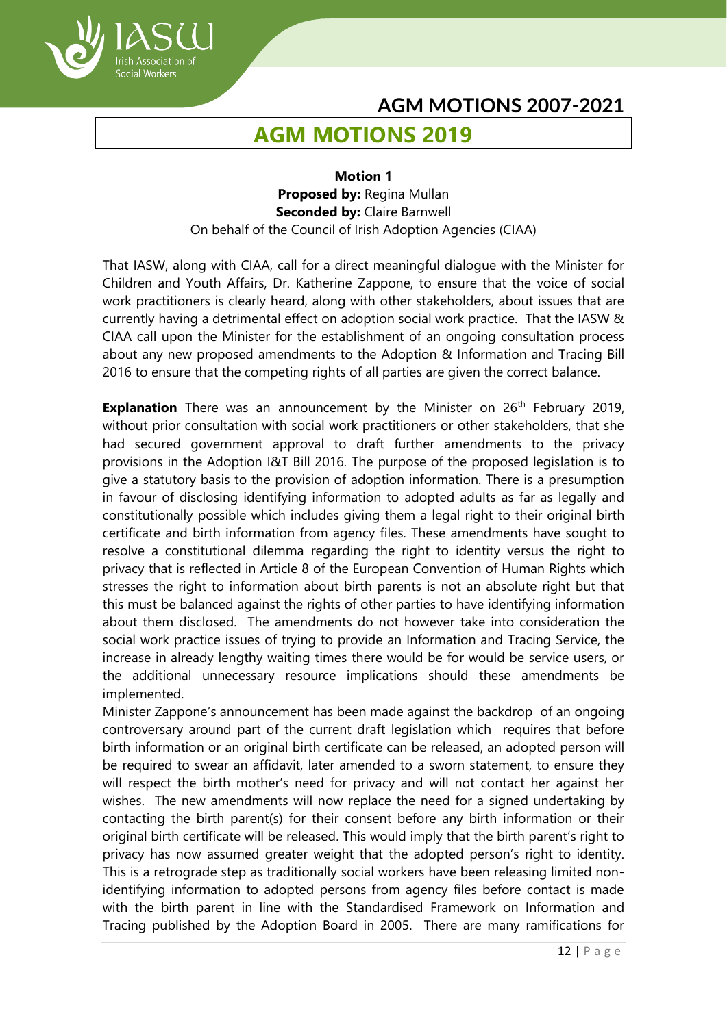# **AGM MOTIONS 2019**

ish Association of Social Workers

> **Motion 1 Proposed by:** Regina Mullan **Seconded by:** Claire Barnwell On behalf of the Council of Irish Adoption Agencies (CIAA)

That IASW, along with CIAA, call for a direct meaningful dialogue with the Minister for Children and Youth Affairs, Dr. Katherine Zappone, to ensure that the voice of social work practitioners is clearly heard, along with other stakeholders, about issues that are currently having a detrimental effect on adoption social work practice. That the IASW & CIAA call upon the Minister for the establishment of an ongoing consultation process about any new proposed amendments to the Adoption & Information and Tracing Bill 2016 to ensure that the competing rights of all parties are given the correct balance.

**Explanation** There was an announcement by the Minister on 26<sup>th</sup> February 2019, without prior consultation with social work practitioners or other stakeholders, that she had secured government approval to draft further amendments to the privacy provisions in the Adoption I&T Bill 2016. The purpose of the proposed legislation is to give a statutory basis to the provision of adoption information. There is a presumption in favour of disclosing identifying information to adopted adults as far as legally and constitutionally possible which includes giving them a legal right to their original birth certificate and birth information from agency files. These amendments have sought to resolve a constitutional dilemma regarding the right to identity versus the right to privacy that is reflected in Article 8 of the European Convention of Human Rights which stresses the right to information about birth parents is not an absolute right but that this must be balanced against the rights of other parties to have identifying information about them disclosed. The amendments do not however take into consideration the social work practice issues of trying to provide an Information and Tracing Service, the increase in already lengthy waiting times there would be for would be service users, or the additional unnecessary resource implications should these amendments be implemented.

Minister Zappone's announcement has been made against the backdrop of an ongoing controversary around part of the current draft legislation which requires that before birth information or an original birth certificate can be released, an adopted person will be required to swear an affidavit, later amended to a sworn statement, to ensure they will respect the birth mother's need for privacy and will not contact her against her wishes. The new amendments will now replace the need for a signed undertaking by contacting the birth parent(s) for their consent before any birth information or their original birth certificate will be released. This would imply that the birth parent's right to privacy has now assumed greater weight that the adopted person's right to identity. This is a retrograde step as traditionally social workers have been releasing limited nonidentifying information to adopted persons from agency files before contact is made with the birth parent in line with the Standardised Framework on Information and Tracing published by the Adoption Board in 2005. There are many ramifications for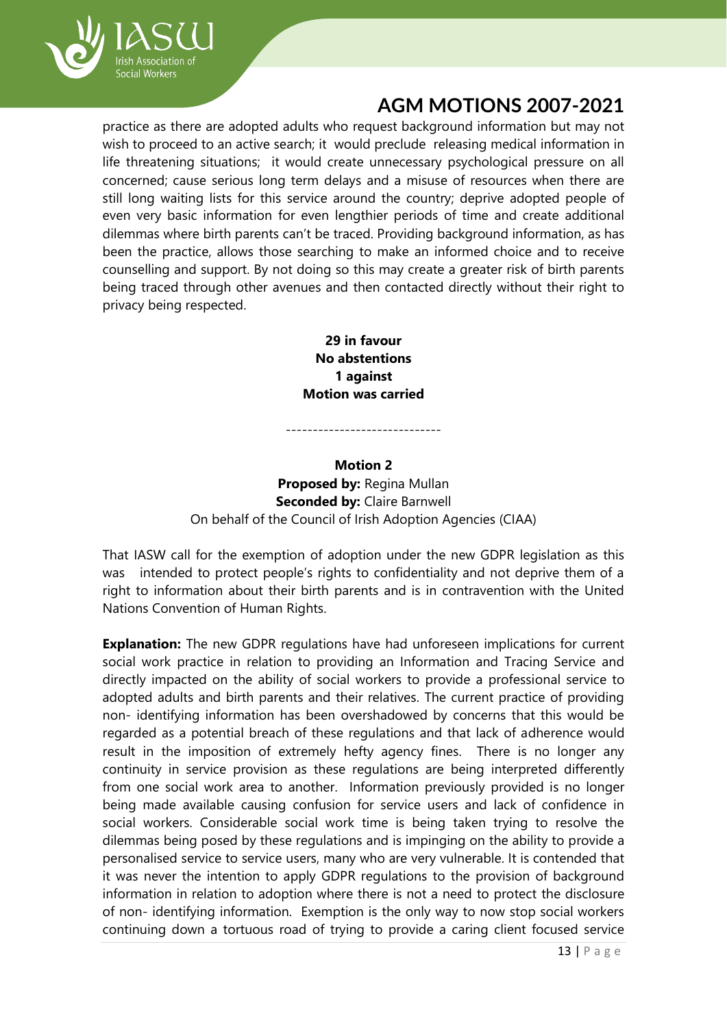

practice as there are adopted adults who request background information but may not wish to proceed to an active search; it would preclude releasing medical information in life threatening situations; it would create unnecessary psychological pressure on all concerned; cause serious long term delays and a misuse of resources when there are still long waiting lists for this service around the country; deprive adopted people of even very basic information for even lengthier periods of time and create additional dilemmas where birth parents can't be traced. Providing background information, as has been the practice, allows those searching to make an informed choice and to receive counselling and support. By not doing so this may create a greater risk of birth parents being traced through other avenues and then contacted directly without their right to privacy being respected.

> **29 in favour No abstentions 1 against Motion was carried**

#### **Motion 2**

-----------------------------

**Proposed by:** Regina Mullan **Seconded by: Claire Barnwell** On behalf of the Council of Irish Adoption Agencies (CIAA)

That IASW call for the exemption of adoption under the new GDPR legislation as this was intended to protect people's rights to confidentiality and not deprive them of a right to information about their birth parents and is in contravention with the United Nations Convention of Human Rights.

**Explanation:** The new GDPR regulations have had unforeseen implications for current social work practice in relation to providing an Information and Tracing Service and directly impacted on the ability of social workers to provide a professional service to adopted adults and birth parents and their relatives. The current practice of providing non- identifying information has been overshadowed by concerns that this would be regarded as a potential breach of these regulations and that lack of adherence would result in the imposition of extremely hefty agency fines. There is no longer any continuity in service provision as these regulations are being interpreted differently from one social work area to another. Information previously provided is no longer being made available causing confusion for service users and lack of confidence in social workers. Considerable social work time is being taken trying to resolve the dilemmas being posed by these regulations and is impinging on the ability to provide a personalised service to service users, many who are very vulnerable. It is contended that it was never the intention to apply GDPR regulations to the provision of background information in relation to adoption where there is not a need to protect the disclosure of non- identifying information. Exemption is the only way to now stop social workers continuing down a tortuous road of trying to provide a caring client focused service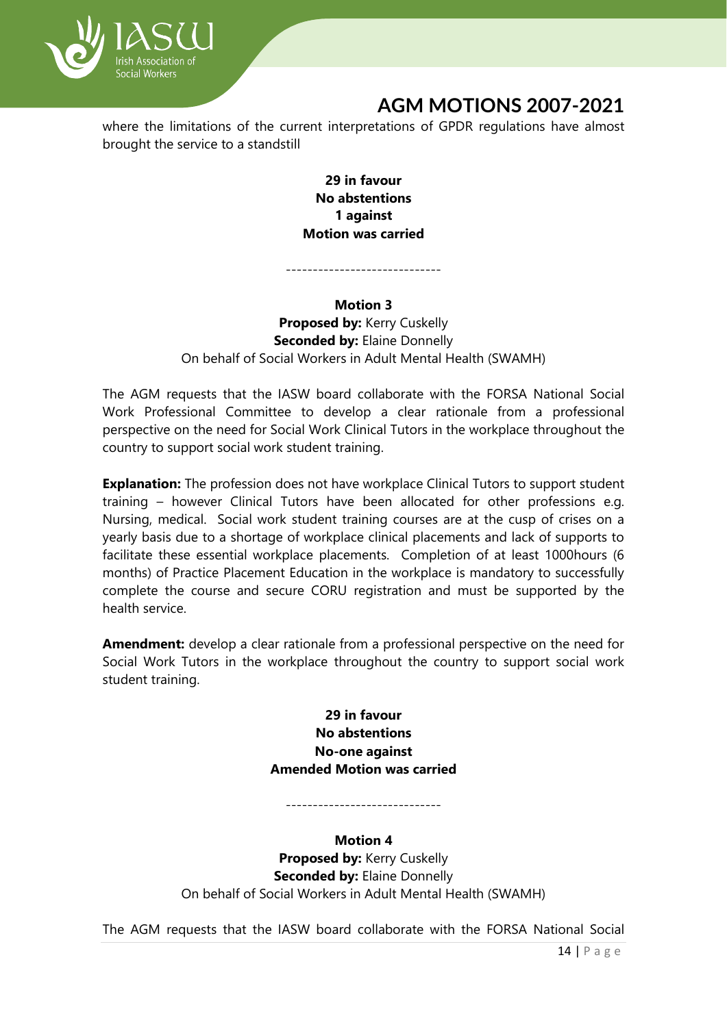

where the limitations of the current interpretations of GPDR regulations have almost brought the service to a standstill

> **29 in favour No abstentions 1 against Motion was carried**

#### **Motion 3**

-----------------------------

**Proposed by:** Kerry Cuskelly **Seconded by: Elaine Donnelly** On behalf of Social Workers in Adult Mental Health (SWAMH)

The AGM requests that the IASW board collaborate with the FORSA National Social Work Professional Committee to develop a clear rationale from a professional perspective on the need for Social Work Clinical Tutors in the workplace throughout the country to support social work student training.

**Explanation:** The profession does not have workplace Clinical Tutors to support student training – however Clinical Tutors have been allocated for other professions e.g. Nursing, medical. Social work student training courses are at the cusp of crises on a yearly basis due to a shortage of workplace clinical placements and lack of supports to facilitate these essential workplace placements. Completion of at least 1000hours (6 months) of Practice Placement Education in the workplace is mandatory to successfully complete the course and secure CORU registration and must be supported by the health service.

**Amendment:** develop a clear rationale from a professional perspective on the need for Social Work Tutors in the workplace throughout the country to support social work student training.

> **29 in favour No abstentions No-one against Amended Motion was carried**

-----------------------------

**Motion 4 Proposed by:** Kerry Cuskelly **Seconded by: Elaine Donnelly** On behalf of Social Workers in Adult Mental Health (SWAMH)

The AGM requests that the IASW board collaborate with the FORSA National Social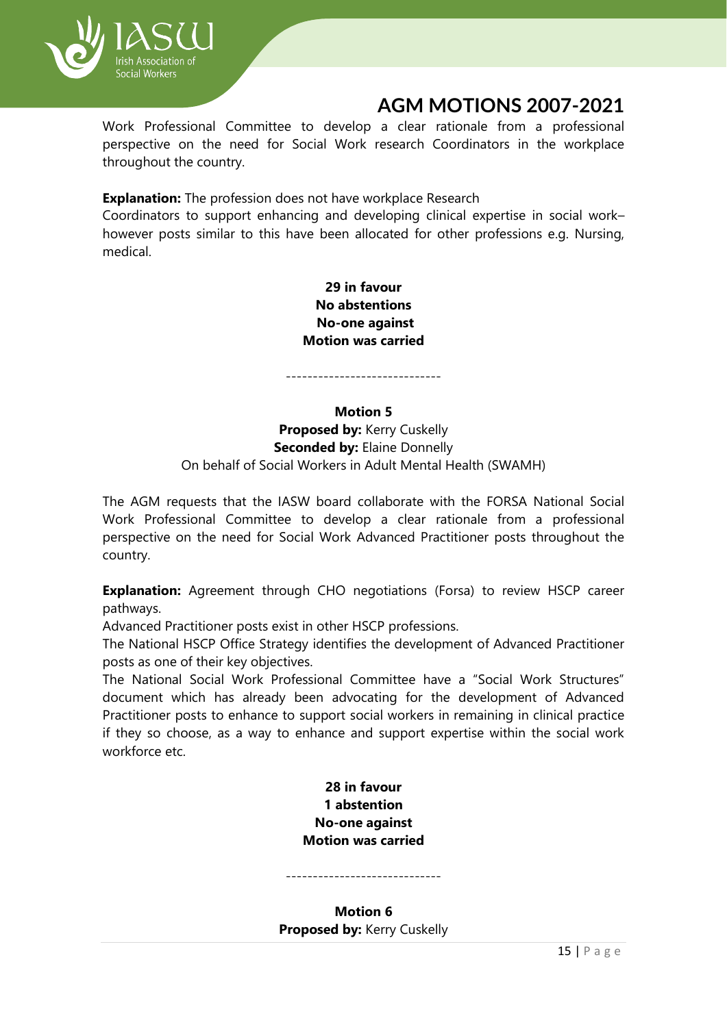

Work Professional Committee to develop a clear rationale from a professional perspective on the need for Social Work research Coordinators in the workplace throughout the country.

**Explanation:** The profession does not have workplace Research

Coordinators to support enhancing and developing clinical expertise in social work– however posts similar to this have been allocated for other professions e.g. Nursing, medical.

> **29 in favour No abstentions No-one against Motion was carried**

-----------------------------

## **Motion 5 Proposed by:** Kerry Cuskelly **Seconded by: Elaine Donnelly** On behalf of Social Workers in Adult Mental Health (SWAMH)

The AGM requests that the IASW board collaborate with the FORSA National Social Work Professional Committee to develop a clear rationale from a professional perspective on the need for Social Work Advanced Practitioner posts throughout the country.

**Explanation:** Agreement through CHO negotiations (Forsa) to review HSCP career pathways.

Advanced Practitioner posts exist in other HSCP professions.

The National HSCP Office Strategy identifies the development of Advanced Practitioner posts as one of their key objectives.

The National Social Work Professional Committee have a "Social Work Structures" document which has already been advocating for the development of Advanced Practitioner posts to enhance to support social workers in remaining in clinical practice if they so choose, as a way to enhance and support expertise within the social work workforce etc.

> **28 in favour 1 abstention No-one against Motion was carried**

-----------------------------

**Motion 6 Proposed by:** Kerry Cuskelly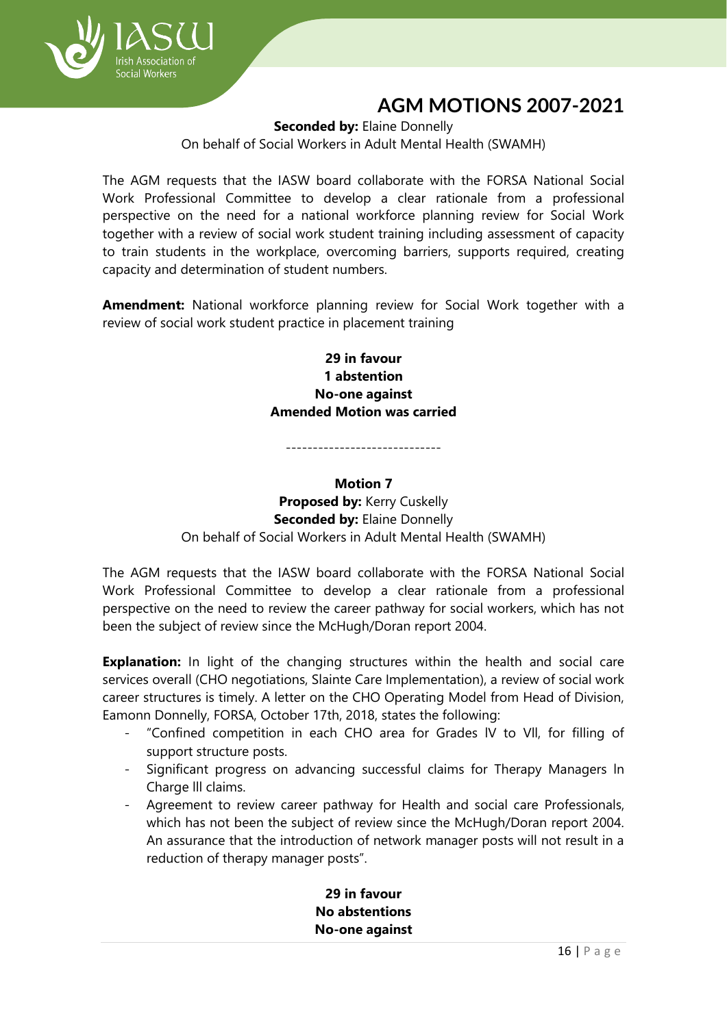

**Seconded by: Elaine Donnelly** 

On behalf of Social Workers in Adult Mental Health (SWAMH)

The AGM requests that the IASW board collaborate with the FORSA National Social Work Professional Committee to develop a clear rationale from a professional perspective on the need for a national workforce planning review for Social Work together with a review of social work student training including assessment of capacity to train students in the workplace, overcoming barriers, supports required, creating capacity and determination of student numbers.

**Amendment:** National workforce planning review for Social Work together with a review of social work student practice in placement training

> **29 in favour 1 abstention No-one against Amended Motion was carried**

#### **Motion 7**

-----------------------------

**Proposed by: Kerry Cuskelly Seconded by: Elaine Donnelly** On behalf of Social Workers in Adult Mental Health (SWAMH)

The AGM requests that the IASW board collaborate with the FORSA National Social Work Professional Committee to develop a clear rationale from a professional perspective on the need to review the career pathway for social workers, which has not been the subject of review since the McHugh/Doran report 2004.

**Explanation:** In light of the changing structures within the health and social care services overall (CHO negotiations, Slainte Care Implementation), a review of social work career structures is timely. A letter on the CHO Operating Model from Head of Division, Eamonn Donnelly, FORSA, October 17th, 2018, states the following:

- "Confined competition in each CHO area for Grades IV to VII, for filling of support structure posts.
- Significant progress on advancing successful claims for Therapy Managers ln Charge lll claims.
- Agreement to review career pathway for Health and social care Professionals, which has not been the subject of review since the McHugh/Doran report 2004. An assurance that the introduction of network manager posts will not result in a reduction of therapy manager posts".

**29 in favour No abstentions No-one against**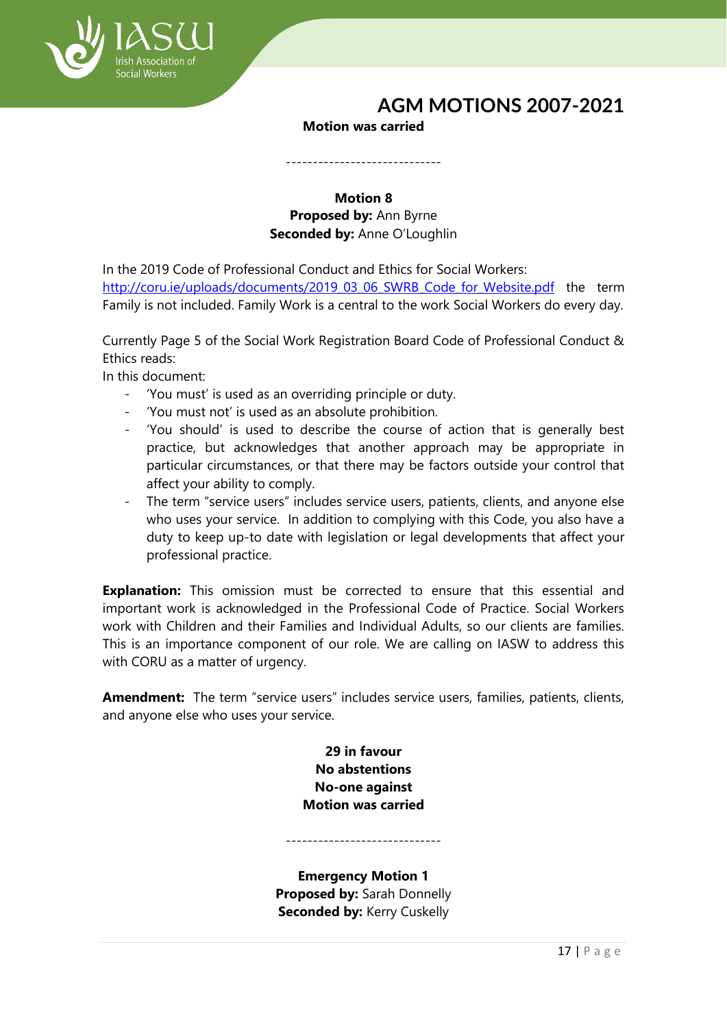

### **Motion was carried**

-----------------------------

## **Motion 8 Proposed by:** Ann Byrne **Seconded by:** Anne O'Loughlin

In the 2019 Code of Professional Conduct and Ethics for Social Workers: [http://coru.ie/uploads/documents/2019\\_03\\_06\\_SWRB\\_Code\\_for\\_Website.pdf](http://coru.ie/uploads/documents/2019_03_06_SWRB_Code_for_Website.pdf) the term Family is not included. Family Work is a central to the work Social Workers do every day.

Currently Page 5 of the Social Work Registration Board Code of Professional Conduct & Ethics reads:

In this document:

- 'You must' is used as an overriding principle or duty.
- 'You must not' is used as an absolute prohibition.
- 'You should' is used to describe the course of action that is generally best practice, but acknowledges that another approach may be appropriate in particular circumstances, or that there may be factors outside your control that affect your ability to comply.
- The term "service users" includes service users, patients, clients, and anyone else who uses your service. In addition to complying with this Code, you also have a duty to keep up-to date with legislation or legal developments that affect your professional practice.

**Explanation:** This omission must be corrected to ensure that this essential and important work is acknowledged in the Professional Code of Practice. Social Workers work with Children and their Families and Individual Adults, so our clients are families. This is an importance component of our role. We are calling on IASW to address this with CORU as a matter of urgency.

**Amendment:** The term "service users" includes service users, families, patients, clients, and anyone else who uses your service.

> **29 in favour No abstentions No-one against Motion was carried**

-----------------------------

**Emergency Motion 1 Proposed by:** Sarah Donnelly **Seconded by:** Kerry Cuskelly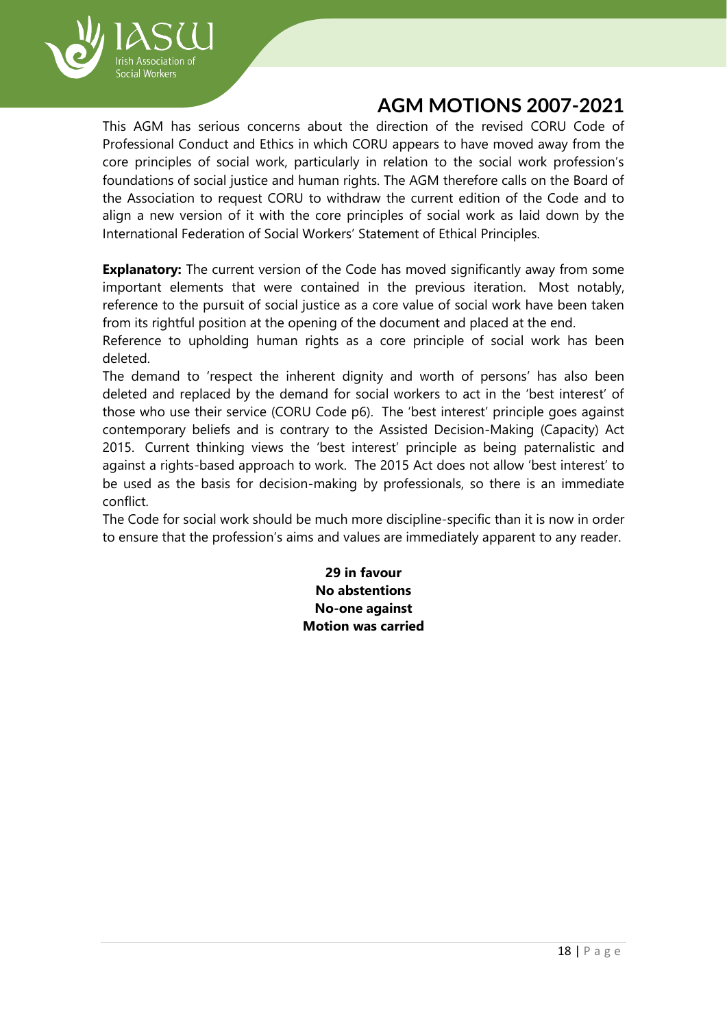

This AGM has serious concerns about the direction of the revised CORU Code of Professional Conduct and Ethics in which CORU appears to have moved away from the core principles of social work, particularly in relation to the social work profession's foundations of social justice and human rights. The AGM therefore calls on the Board of the Association to request CORU to withdraw the current edition of the Code and to align a new version of it with the core principles of social work as laid down by the International Federation of Social Workers' Statement of Ethical Principles.

**Explanatory:** The current version of the Code has moved significantly away from some important elements that were contained in the previous iteration. Most notably, reference to the pursuit of social justice as a core value of social work have been taken from its rightful position at the opening of the document and placed at the end.

Reference to upholding human rights as a core principle of social work has been deleted.

The demand to 'respect the inherent dignity and worth of persons' has also been deleted and replaced by the demand for social workers to act in the 'best interest' of those who use their service (CORU Code p6). The 'best interest' principle goes against contemporary beliefs and is contrary to the Assisted Decision-Making (Capacity) Act 2015. Current thinking views the 'best interest' principle as being paternalistic and against a rights-based approach to work. The 2015 Act does not allow 'best interest' to be used as the basis for decision-making by professionals, so there is an immediate conflict.

The Code for social work should be much more discipline-specific than it is now in order to ensure that the profession's aims and values are immediately apparent to any reader.

> **29 in favour No abstentions No-one against Motion was carried**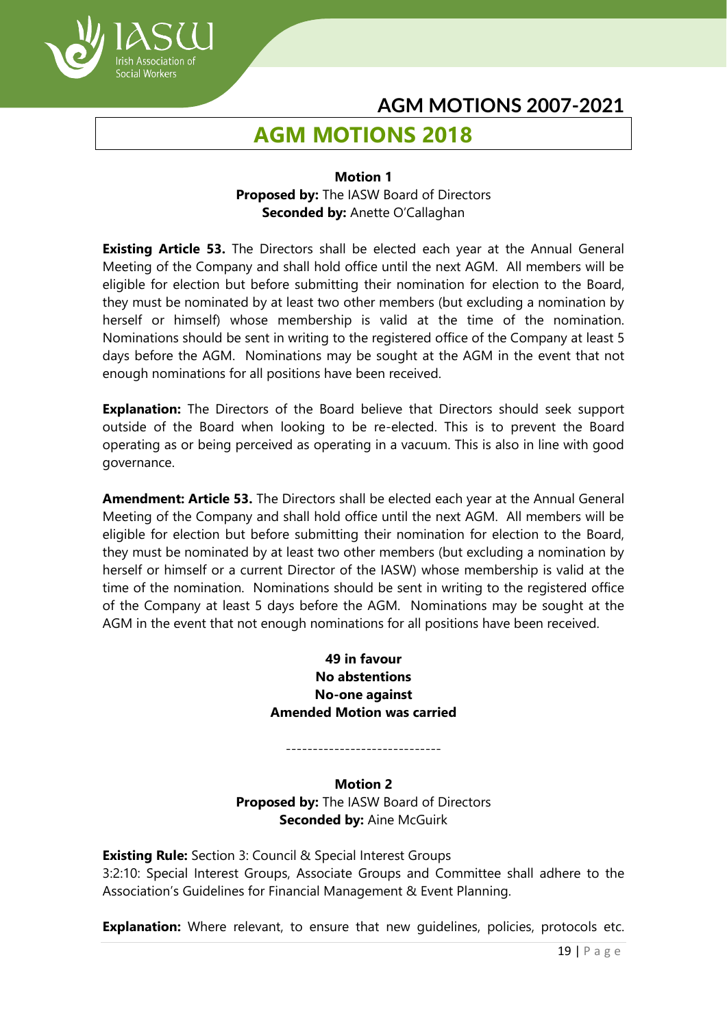# **AGM MOTIONS 2018**

ocial Workers

#### **Motion 1 Proposed by:** The IASW Board of Directors **Seconded by:** Anette O'Callaghan

**Existing Article 53.** The Directors shall be elected each year at the Annual General Meeting of the Company and shall hold office until the next AGM. All members will be eligible for election but before submitting their nomination for election to the Board, they must be nominated by at least two other members (but excluding a nomination by herself or himself) whose membership is valid at the time of the nomination. Nominations should be sent in writing to the registered office of the Company at least 5 days before the AGM. Nominations may be sought at the AGM in the event that not enough nominations for all positions have been received.

**Explanation:** The Directors of the Board believe that Directors should seek support outside of the Board when looking to be re-elected. This is to prevent the Board operating as or being perceived as operating in a vacuum. This is also in line with good governance.

**Amendment: Article 53.** The Directors shall be elected each year at the Annual General Meeting of the Company and shall hold office until the next AGM. All members will be eligible for election but before submitting their nomination for election to the Board, they must be nominated by at least two other members (but excluding a nomination by herself or himself or a current Director of the IASW) whose membership is valid at the time of the nomination. Nominations should be sent in writing to the registered office of the Company at least 5 days before the AGM. Nominations may be sought at the AGM in the event that not enough nominations for all positions have been received.

## **49 in favour No abstentions No-one against Amended Motion was carried**

-----------------------------

**Motion 2 Proposed by:** The IASW Board of Directors **Seconded by:** Aine McGuirk

**Existing Rule:** Section 3: Council & Special Interest Groups 3:2:10: Special Interest Groups, Associate Groups and Committee shall adhere to the Association's Guidelines for Financial Management & Event Planning.

**Explanation:** Where relevant, to ensure that new quidelines, policies, protocols etc.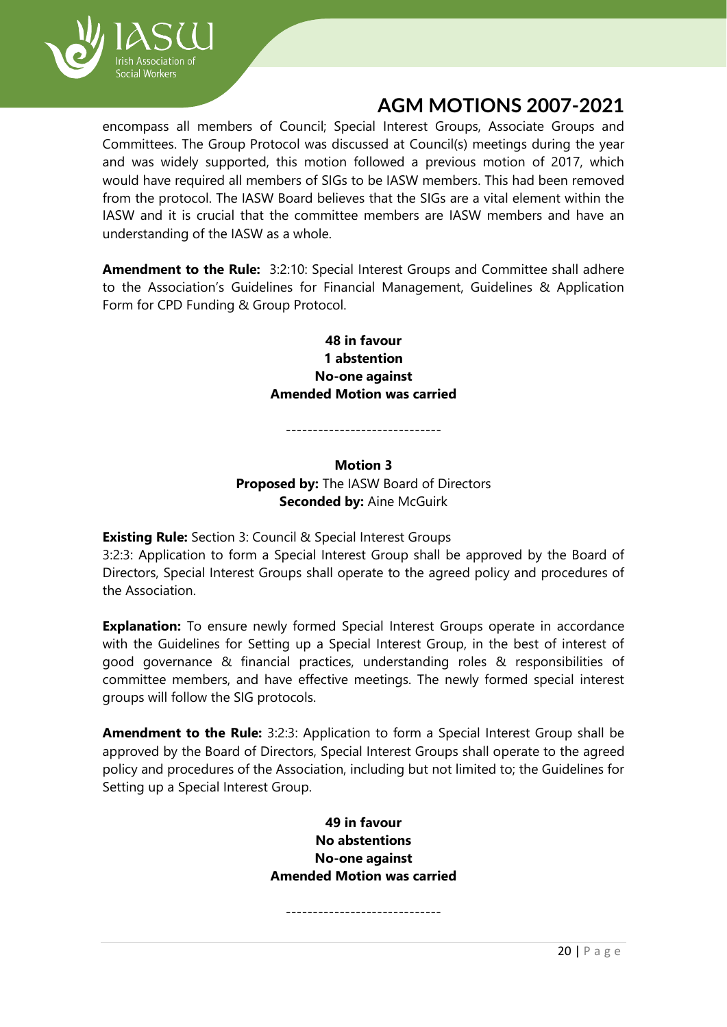

encompass all members of Council; Special Interest Groups, Associate Groups and Committees. The Group Protocol was discussed at Council(s) meetings during the year and was widely supported, this motion followed a previous motion of 2017, which would have required all members of SIGs to be IASW members. This had been removed from the protocol. The IASW Board believes that the SIGs are a vital element within the IASW and it is crucial that the committee members are IASW members and have an understanding of the IASW as a whole.

**Amendment to the Rule:** 3:2:10: Special Interest Groups and Committee shall adhere to the Association's Guidelines for Financial Management, Guidelines & Application Form for CPD Funding & Group Protocol.

## **48 in favour 1 abstention No-one against Amended Motion was carried**

## **Motion 3 Proposed by:** The IASW Board of Directors **Seconded by: Aine McGuirk**

-----------------------------

**Existing Rule:** Section 3: Council & Special Interest Groups

3:2:3: Application to form a Special Interest Group shall be approved by the Board of Directors, Special Interest Groups shall operate to the agreed policy and procedures of the Association.

**Explanation:** To ensure newly formed Special Interest Groups operate in accordance with the Guidelines for Setting up a Special Interest Group, in the best of interest of good governance & financial practices, understanding roles & responsibilities of committee members, and have effective meetings. The newly formed special interest groups will follow the SIG protocols.

**Amendment to the Rule:** 3:2:3: Application to form a Special Interest Group shall be approved by the Board of Directors, Special Interest Groups shall operate to the agreed policy and procedures of the Association, including but not limited to; the Guidelines for Setting up a Special Interest Group.

> **49 in favour No abstentions No-one against Amended Motion was carried**

-----------------------------

20 | P a g e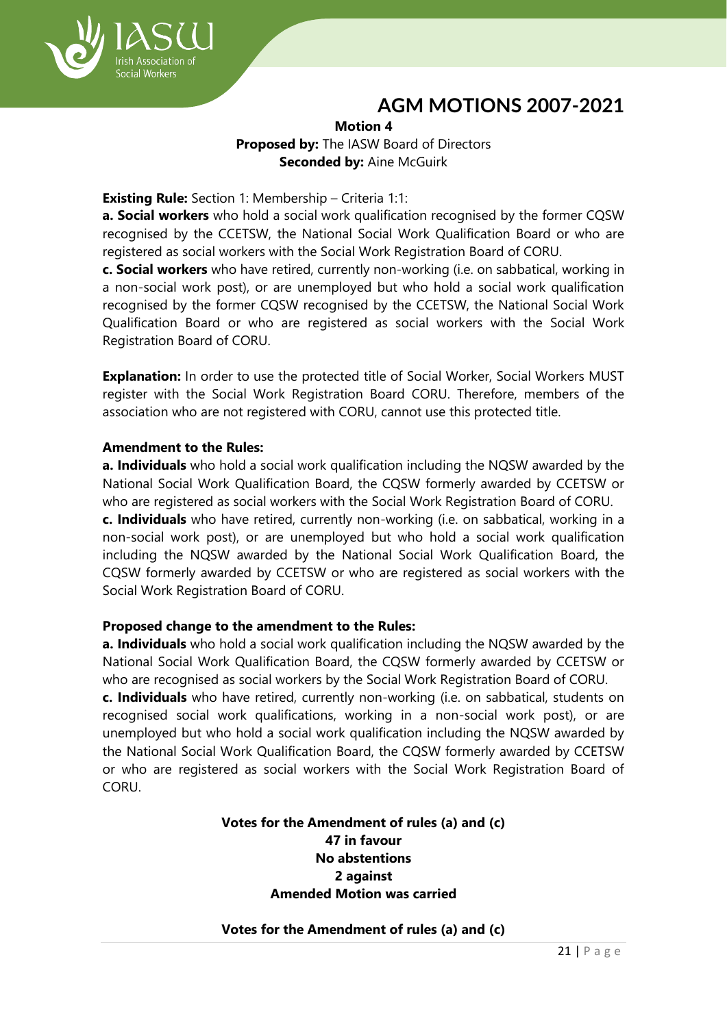

## **Motion 4 Proposed by:** The IASW Board of Directors **Seconded by:** Aine McGuirk

#### **Existing Rule:** Section 1: Membership – Criteria 1:1:

**a. Social workers** who hold a social work qualification recognised by the former CQSW recognised by the CCETSW, the National Social Work Qualification Board or who are registered as social workers with the Social Work Registration Board of CORU.

**c. Social workers** who have retired, currently non-working (i.e. on sabbatical, working in a non-social work post), or are unemployed but who hold a social work qualification recognised by the former CQSW recognised by the CCETSW, the National Social Work Qualification Board or who are registered as social workers with the Social Work Registration Board of CORU.

**Explanation:** In order to use the protected title of Social Worker, Social Workers MUST register with the Social Work Registration Board CORU. Therefore, members of the association who are not registered with CORU, cannot use this protected title.

#### **Amendment to the Rules:**

**a. Individuals** who hold a social work qualification including the NQSW awarded by the National Social Work Qualification Board, the CQSW formerly awarded by CCETSW or who are registered as social workers with the Social Work Registration Board of CORU.

**c. Individuals** who have retired, currently non-working (i.e. on sabbatical, working in a non-social work post), or are unemployed but who hold a social work qualification including the NQSW awarded by the National Social Work Qualification Board, the CQSW formerly awarded by CCETSW or who are registered as social workers with the Social Work Registration Board of CORU.

#### **Proposed change to the amendment to the Rules:**

**a. Individuals** who hold a social work qualification including the NQSW awarded by the National Social Work Qualification Board, the CQSW formerly awarded by CCETSW or who are recognised as social workers by the Social Work Registration Board of CORU. **c. Individuals** who have retired, currently non-working (i.e. on sabbatical, students on recognised social work qualifications, working in a non-social work post), or are

unemployed but who hold a social work qualification including the NQSW awarded by the National Social Work Qualification Board, the CQSW formerly awarded by CCETSW or who are registered as social workers with the Social Work Registration Board of CORU.

#### **Votes for the Amendment of rules (a) and (c) 47 in favour No abstentions 2 against Amended Motion was carried**

#### **Votes for the Amendment of rules (a) and (c)**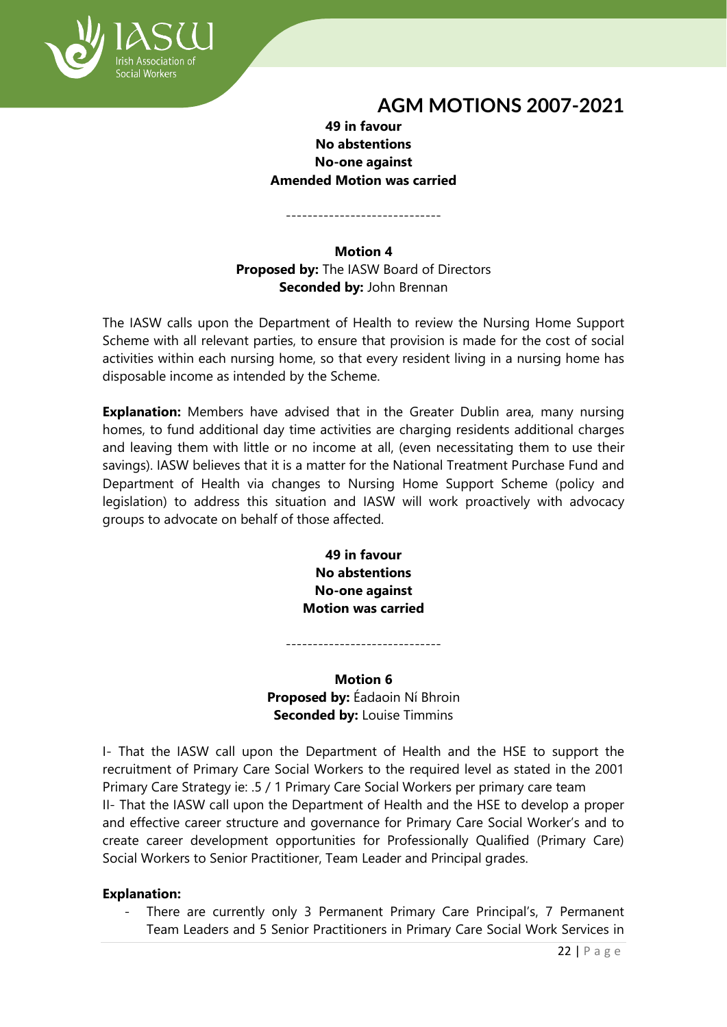

## **49 in favour No abstentions No-one against Amended Motion was carried**

-----------------------------

#### **Motion 4 Proposed by:** The IASW Board of Directors **Seconded by:** John Brennan

The IASW calls upon the Department of Health to review the Nursing Home Support Scheme with all relevant parties, to ensure that provision is made for the cost of social activities within each nursing home, so that every resident living in a nursing home has disposable income as intended by the Scheme.

**Explanation:** Members have advised that in the Greater Dublin area, many nursing homes, to fund additional day time activities are charging residents additional charges and leaving them with little or no income at all, (even necessitating them to use their savings). IASW believes that it is a matter for the National Treatment Purchase Fund and Department of Health via changes to Nursing Home Support Scheme (policy and legislation) to address this situation and IASW will work proactively with advocacy groups to advocate on behalf of those affected.

> **49 in favour No abstentions No-one against Motion was carried**

**Motion 6 Proposed by:** Éadaoin Ní Bhroin **Seconded by:** Louise Timmins

-----------------------------

I- That the IASW call upon the Department of Health and the HSE to support the recruitment of Primary Care Social Workers to the required level as stated in the 2001 Primary Care Strategy ie: .5 / 1 Primary Care Social Workers per primary care team II- That the IASW call upon the Department of Health and the HSE to develop a proper and effective career structure and governance for Primary Care Social Worker's and to create career development opportunities for Professionally Qualified (Primary Care) Social Workers to Senior Practitioner, Team Leader and Principal grades.

## **Explanation:**

There are currently only 3 Permanent Primary Care Principal's, 7 Permanent Team Leaders and 5 Senior Practitioners in Primary Care Social Work Services in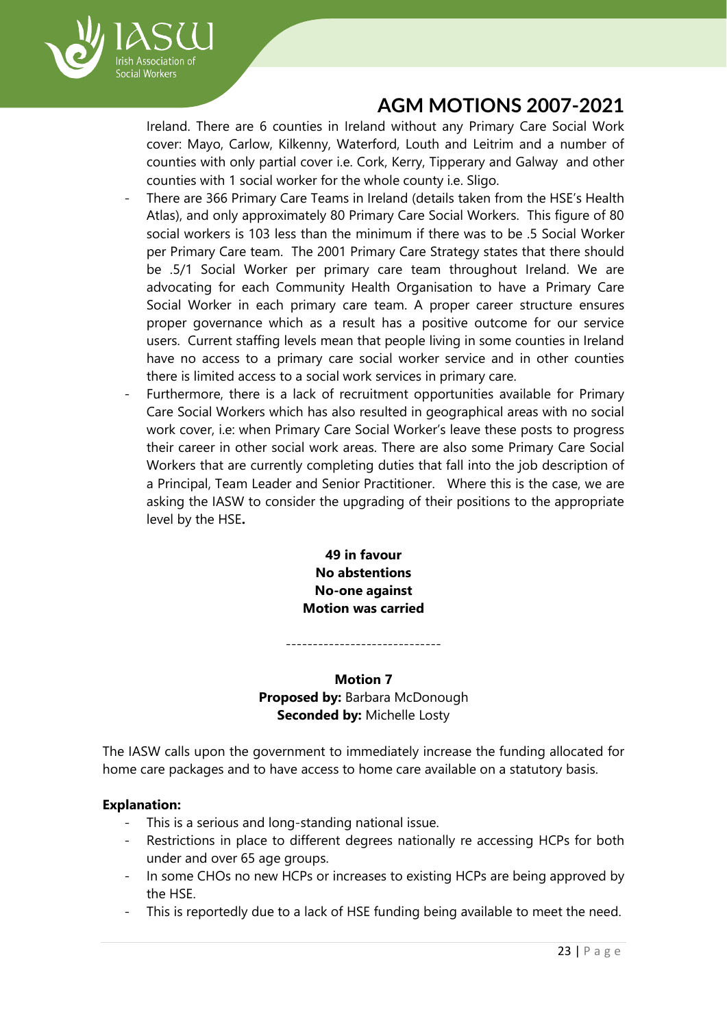

Ireland. There are 6 counties in Ireland without any Primary Care Social Work cover: Mayo, Carlow, Kilkenny, Waterford, Louth and Leitrim and a number of counties with only partial cover i.e. Cork, Kerry, Tipperary and Galway and other counties with 1 social worker for the whole county i.e. Sligo.

- There are 366 Primary Care Teams in Ireland (details taken from the HSE's Health Atlas), and only approximately 80 Primary Care Social Workers. This figure of 80 social workers is 103 less than the minimum if there was to be .5 Social Worker per Primary Care team. The 2001 Primary Care Strategy states that there should be .5/1 Social Worker per primary care team throughout Ireland. We are advocating for each Community Health Organisation to have a Primary Care Social Worker in each primary care team. A proper career structure ensures proper governance which as a result has a positive outcome for our service users. Current staffing levels mean that people living in some counties in Ireland have no access to a primary care social worker service and in other counties there is limited access to a social work services in primary care.
- Furthermore, there is a lack of recruitment opportunities available for Primary Care Social Workers which has also resulted in geographical areas with no social work cover, i.e: when Primary Care Social Worker's leave these posts to progress their career in other social work areas. There are also some Primary Care Social Workers that are currently completing duties that fall into the job description of a Principal, Team Leader and Senior Practitioner. Where this is the case, we are asking the IASW to consider the upgrading of their positions to the appropriate level by the HSE**.**

**49 in favour No abstentions No-one against Motion was carried**

**Motion 7 Proposed by:** Barbara McDonough **Seconded by:** Michelle Losty

-----------------------------

The IASW calls upon the government to immediately increase the funding allocated for home care packages and to have access to home care available on a statutory basis.

## **Explanation:**

- This is a serious and long-standing national issue.
- Restrictions in place to different degrees nationally re accessing HCPs for both under and over 65 age groups.
- In some CHOs no new HCPs or increases to existing HCPs are being approved by the HSE.
- This is reportedly due to a lack of HSE funding being available to meet the need.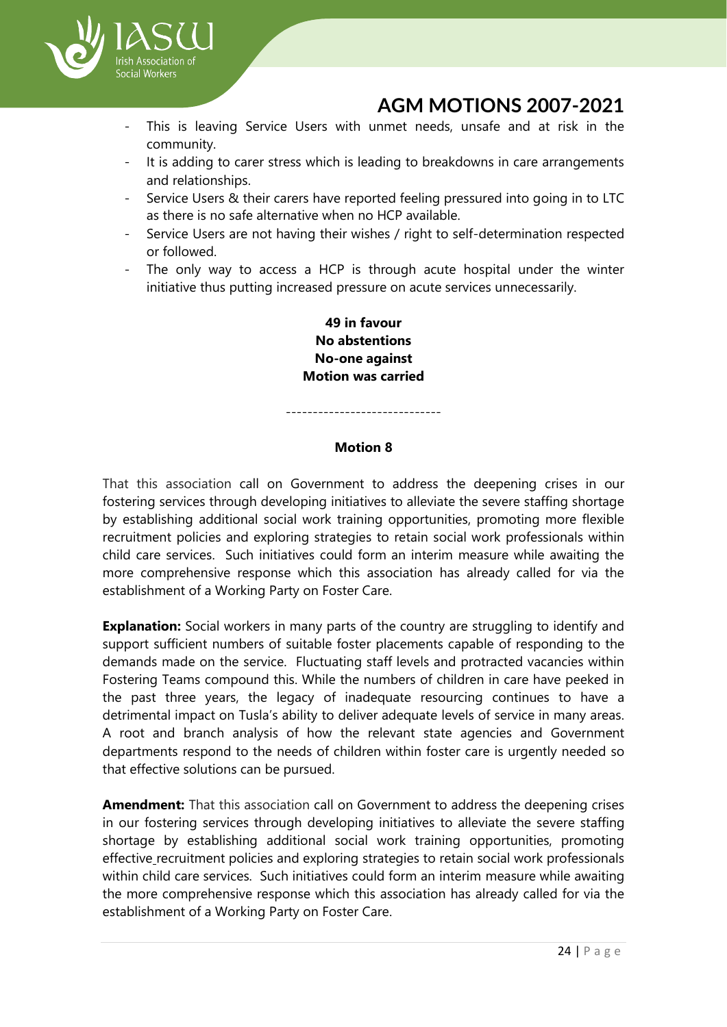

- This is leaving Service Users with unmet needs, unsafe and at risk in the community.
- It is adding to carer stress which is leading to breakdowns in care arrangements and relationships.
- Service Users & their carers have reported feeling pressured into going in to LTC as there is no safe alternative when no HCP available.
- Service Users are not having their wishes / right to self-determination respected or followed.
- The only way to access a HCP is through acute hospital under the winter initiative thus putting increased pressure on acute services unnecessarily.

**49 in favour No abstentions No-one against Motion was carried**

-----------------------------

#### **Motion 8**

That this association call on Government to address the deepening crises in our fostering services through developing initiatives to alleviate the severe staffing shortage by establishing additional social work training opportunities, promoting more flexible recruitment policies and exploring strategies to retain social work professionals within child care services. Such initiatives could form an interim measure while awaiting the more comprehensive response which this association has already called for via the establishment of a Working Party on Foster Care.

**Explanation:** Social workers in many parts of the country are struggling to identify and support sufficient numbers of suitable foster placements capable of responding to the demands made on the service. Fluctuating staff levels and protracted vacancies within Fostering Teams compound this. While the numbers of children in care have peeked in the past three years, the legacy of inadequate resourcing continues to have a detrimental impact on Tusla's ability to deliver adequate levels of service in many areas. A root and branch analysis of how the relevant state agencies and Government departments respond to the needs of children within foster care is urgently needed so that effective solutions can be pursued.

**Amendment:** That this association call on Government to address the deepening crises in our fostering services through developing initiatives to alleviate the severe staffing shortage by establishing additional social work training opportunities, promoting effective recruitment policies and exploring strategies to retain social work professionals within child care services. Such initiatives could form an interim measure while awaiting the more comprehensive response which this association has already called for via the establishment of a Working Party on Foster Care.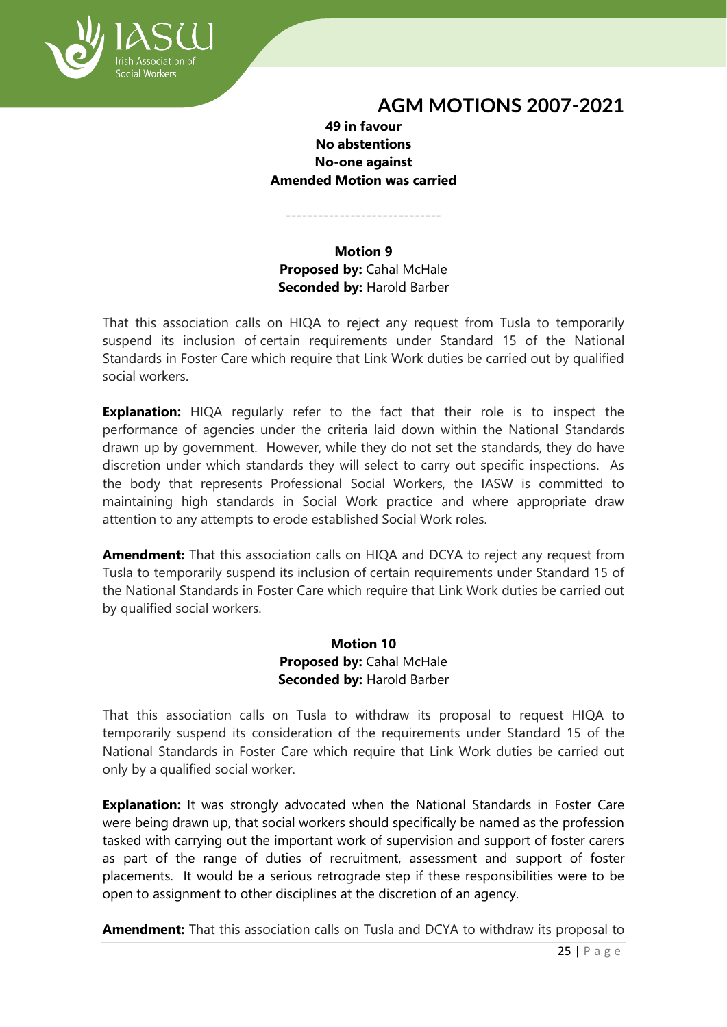

## **49 in favour No abstentions No-one against Amended Motion was carried**

-----------------------------

## **Motion 9 Proposed by:** Cahal McHale **Seconded by:** Harold Barber

That this association calls on HIQA to reject any request from Tusla to temporarily suspend its inclusion of certain requirements under Standard 15 of the National Standards in Foster Care which require that Link Work duties be carried out by qualified social workers.

**Explanation:** HIQA regularly refer to the fact that their role is to inspect the performance of agencies under the criteria laid down within the National Standards drawn up by government. However, while they do not set the standards, they do have discretion under which standards they will select to carry out specific inspections. As the body that represents Professional Social Workers, the IASW is committed to maintaining high standards in Social Work practice and where appropriate draw attention to any attempts to erode established Social Work roles.

**Amendment:** That this association calls on HIQA and DCYA to reject any request from Tusla to temporarily suspend its inclusion of certain requirements under Standard 15 of the National Standards in Foster Care which require that Link Work duties be carried out by qualified social workers.

## **Motion 10 Proposed by:** Cahal McHale **Seconded by:** Harold Barber

That this association calls on Tusla to withdraw its proposal to request HIQA to temporarily suspend its consideration of the requirements under Standard 15 of the National Standards in Foster Care which require that Link Work duties be carried out only by a qualified social worker.

**Explanation:** It was strongly advocated when the National Standards in Foster Care were being drawn up, that social workers should specifically be named as the profession tasked with carrying out the important work of supervision and support of foster carers as part of the range of duties of recruitment, assessment and support of foster placements. It would be a serious retrograde step if these responsibilities were to be open to assignment to other disciplines at the discretion of an agency.

**Amendment:** That this association calls on Tusla and DCYA to withdraw its proposal to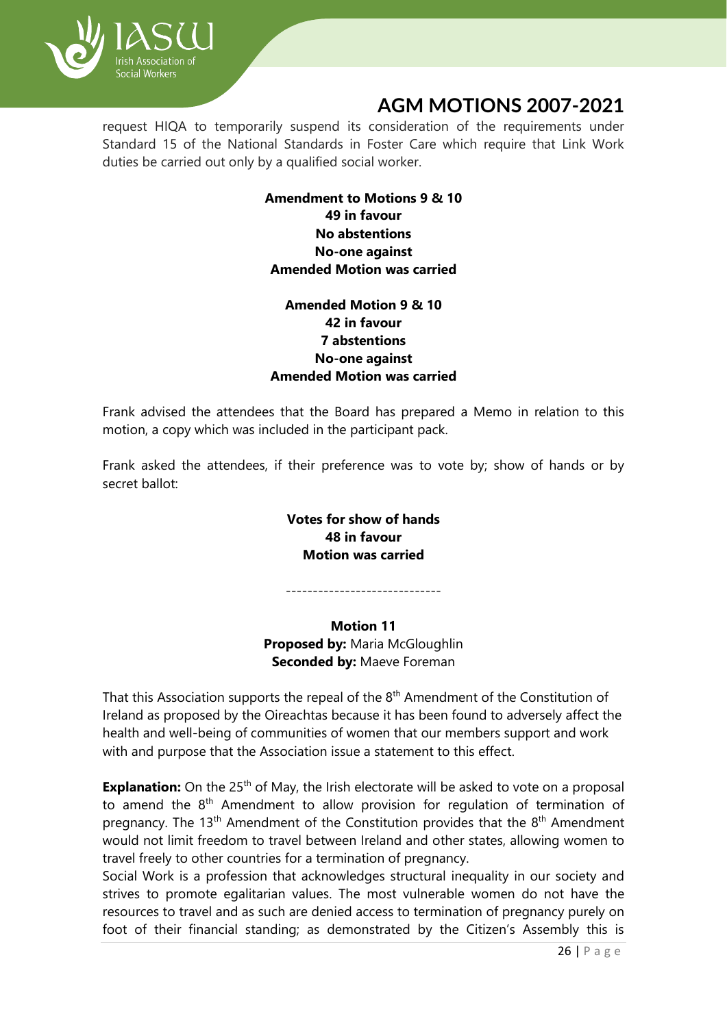

request HIQA to temporarily suspend its consideration of the requirements under Standard 15 of the National Standards in Foster Care which require that Link Work duties be carried out only by a qualified social worker.

## **Amendment to Motions 9 & 10 49 in favour No abstentions No-one against Amended Motion was carried**

## **Amended Motion 9 & 10 42 in favour 7 abstentions No-one against Amended Motion was carried**

Frank advised the attendees that the Board has prepared a Memo in relation to this motion, a copy which was included in the participant pack.

Frank asked the attendees, if their preference was to vote by; show of hands or by secret ballot:

## **Votes for show of hands 48 in favour Motion was carried**

-----------------------------

**Motion 11 Proposed by:** Maria McGloughlin **Seconded by:** Maeve Foreman

That this Association supports the repeal of the  $8<sup>th</sup>$  Amendment of the Constitution of Ireland as proposed by the Oireachtas because it has been found to adversely affect the health and well-being of communities of women that our members support and work with and purpose that the Association issue a statement to this effect.

**Explanation:** On the 25<sup>th</sup> of May, the Irish electorate will be asked to vote on a proposal to amend the  $8<sup>th</sup>$  Amendment to allow provision for regulation of termination of pregnancy. The 13<sup>th</sup> Amendment of the Constitution provides that the 8<sup>th</sup> Amendment would not limit freedom to travel between Ireland and other states, allowing women to travel freely to other countries for a termination of pregnancy.

Social Work is a profession that acknowledges structural inequality in our society and strives to promote egalitarian values. The most vulnerable women do not have the resources to travel and as such are denied access to termination of pregnancy purely on foot of their financial standing; as demonstrated by the Citizen's Assembly this is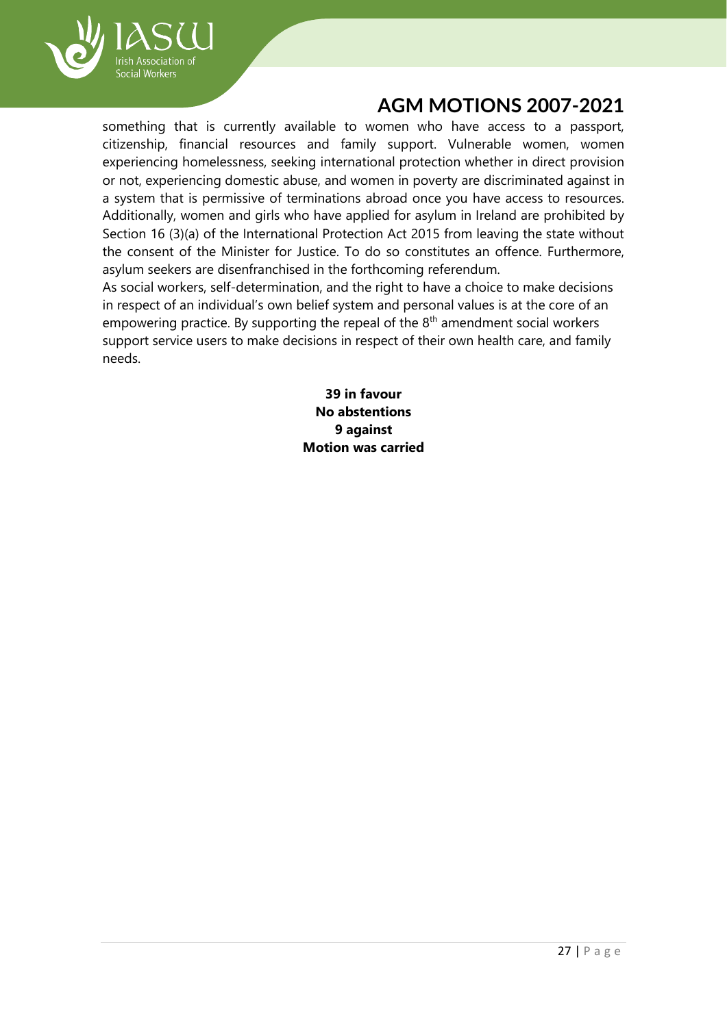

something that is currently available to women who have access to a passport, citizenship, financial resources and family support. Vulnerable women, women experiencing homelessness, seeking international protection whether in direct provision or not, experiencing domestic abuse, and women in poverty are discriminated against in a system that is permissive of terminations abroad once you have access to resources. Additionally, women and girls who have applied for asylum in Ireland are prohibited by Section 16 (3)(a) of the International Protection Act 2015 from leaving the state without the consent of the Minister for Justice. To do so constitutes an offence. Furthermore, asylum seekers are disenfranchised in the forthcoming referendum.

As social workers, self-determination, and the right to have a choice to make decisions in respect of an individual's own belief system and personal values is at the core of an empowering practice. By supporting the repeal of the  $8<sup>th</sup>$  amendment social workers support service users to make decisions in respect of their own health care, and family needs.

> **39 in favour No abstentions 9 against Motion was carried**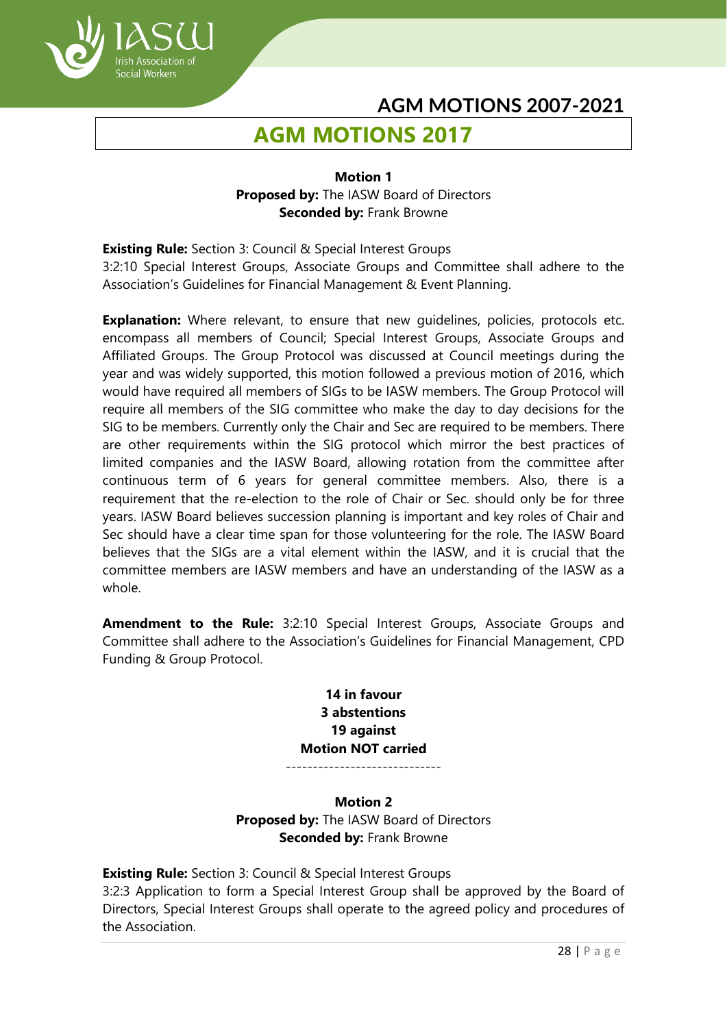# **AGM MOTIONS 2017**

ocial Workers

#### **Motion 1 Proposed by:** The IASW Board of Directors **Seconded by:** Frank Browne

**Existing Rule:** Section 3: Council & Special Interest Groups 3:2:10 Special Interest Groups, Associate Groups and Committee shall adhere to the Association's Guidelines for Financial Management & Event Planning.

**Explanation:** Where relevant, to ensure that new quidelines, policies, protocols etc. encompass all members of Council; Special Interest Groups, Associate Groups and Affiliated Groups. The Group Protocol was discussed at Council meetings during the year and was widely supported, this motion followed a previous motion of 2016, which would have required all members of SIGs to be IASW members. The Group Protocol will require all members of the SIG committee who make the day to day decisions for the SIG to be members. Currently only the Chair and Sec are required to be members. There are other requirements within the SIG protocol which mirror the best practices of limited companies and the IASW Board, allowing rotation from the committee after continuous term of 6 years for general committee members. Also, there is a requirement that the re-election to the role of Chair or Sec. should only be for three years. IASW Board believes succession planning is important and key roles of Chair and Sec should have a clear time span for those volunteering for the role. The IASW Board believes that the SIGs are a vital element within the IASW, and it is crucial that the committee members are IASW members and have an understanding of the IASW as a whole.

**Amendment to the Rule:** 3:2:10 Special Interest Groups, Associate Groups and Committee shall adhere to the Association's Guidelines for Financial Management, CPD Funding & Group Protocol.

#### **14 in favour 3 abstentions 19 against Motion NOT carried** -----------------------------

## **Motion 2 Proposed by:** The IASW Board of Directors **Seconded by:** Frank Browne

**Existing Rule:** Section 3: Council & Special Interest Groups 3:2:3 Application to form a Special Interest Group shall be approved by the Board of Directors, Special Interest Groups shall operate to the agreed policy and procedures of the Association.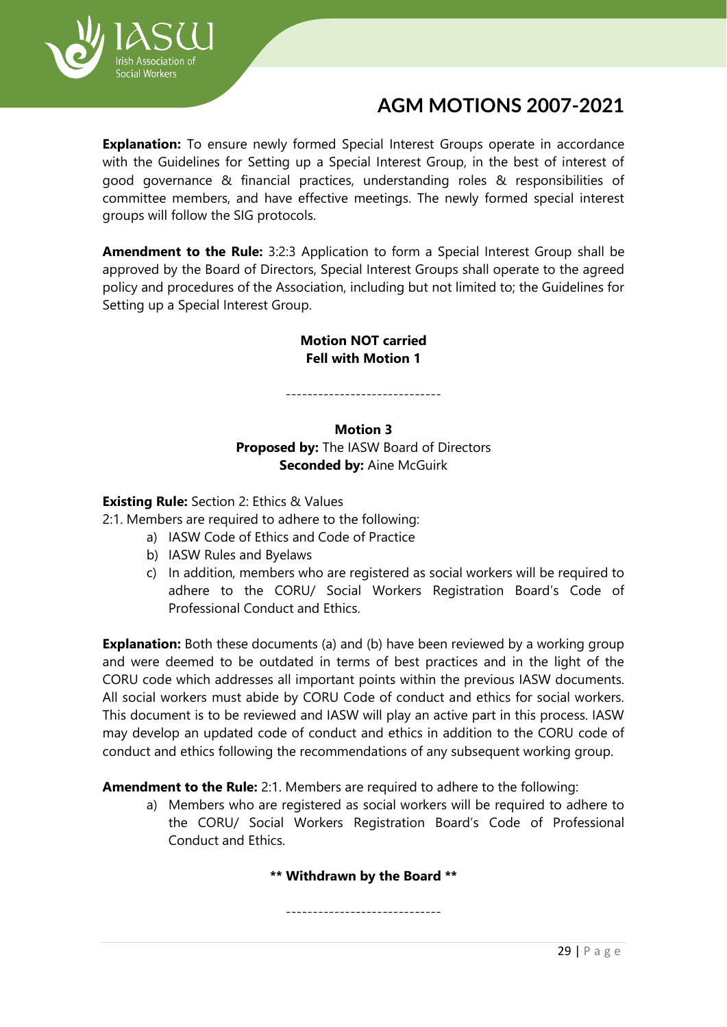

**Explanation:** To ensure newly formed Special Interest Groups operate in accordance with the Guidelines for Setting up a Special Interest Group, in the best of interest of good governance & financial practices, understanding roles & responsibilities of committee members, and have effective meetings. The newly formed special interest groups will follow the SIG protocols.

**Amendment to the Rule:** 3:2:3 Application to form a Special Interest Group shall be approved by the Board of Directors, Special Interest Groups shall operate to the agreed policy and procedures of the Association, including but not limited to; the Guidelines for Setting up a Special Interest Group.

#### **Motion NOT carried Fell with Motion 1**

-----------------------------

#### **Motion 3**

**Proposed by:** The IASW Board of Directors **Seconded by: Aine McGuirk** 

**Existing Rule:** Section 2: Ethics & Values

2:1. Members are required to adhere to the following:

- a) IASW Code of Ethics and Code of Practice
- b) IASW Rules and Byelaws
- c) In addition, members who are registered as social workers will be required to adhere to the CORU/ Social Workers Registration Board's Code of Professional Conduct and Ethics.

**Explanation:** Both these documents (a) and (b) have been reviewed by a working group and were deemed to be outdated in terms of best practices and in the light of the CORU code which addresses all important points within the previous IASW documents. All social workers must abide by CORU Code of conduct and ethics for social workers. This document is to be reviewed and IASW will play an active part in this process. IASW may develop an updated code of conduct and ethics in addition to the CORU code of conduct and ethics following the recommendations of any subsequent working group.

**Amendment to the Rule:** 2:1. Members are required to adhere to the following:

a) Members who are registered as social workers will be required to adhere to the CORU/ Social Workers Registration Board's Code of Professional Conduct and Ethics.

**\*\* Withdrawn by the Board \*\***

-----------------------------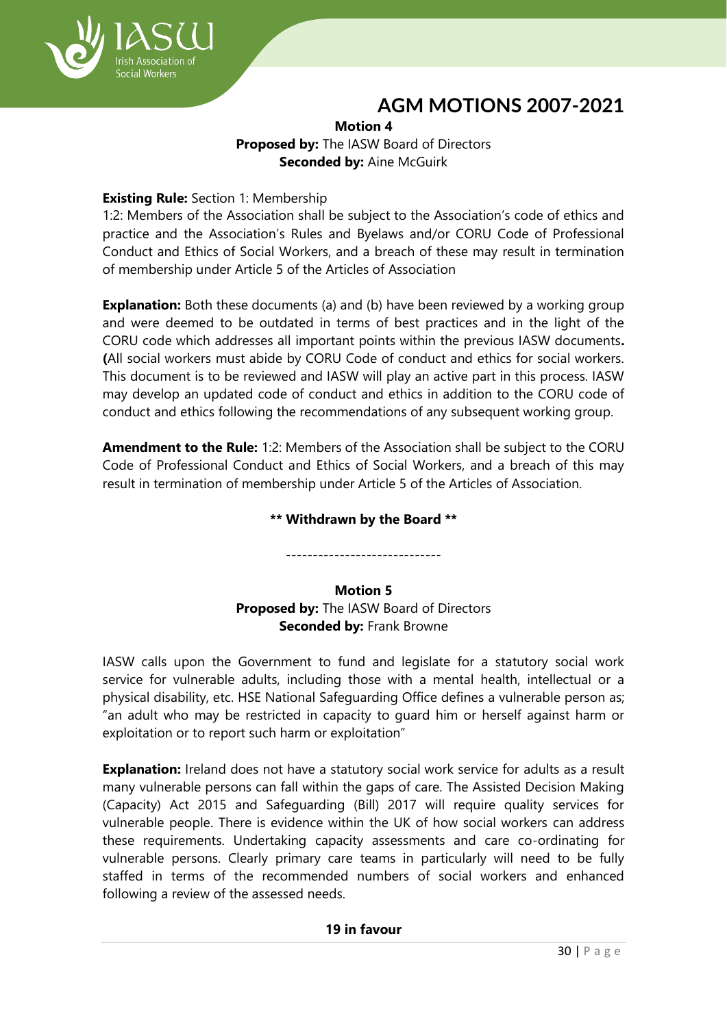

#### **Motion 4 Proposed by:** The IASW Board of Directors **Seconded by:** Aine McGuirk

## **Existing Rule:** Section 1: Membership

1:2: Members of the Association shall be subject to the Association's code of ethics and practice and the Association's Rules and Byelaws and/or CORU Code of Professional Conduct and Ethics of Social Workers, and a breach of these may result in termination of membership under Article 5 of the Articles of Association

**Explanation:** Both these documents (a) and (b) have been reviewed by a working group and were deemed to be outdated in terms of best practices and in the light of the CORU code which addresses all important points within the previous IASW documents**. (**All social workers must abide by CORU Code of conduct and ethics for social workers. This document is to be reviewed and IASW will play an active part in this process. IASW may develop an updated code of conduct and ethics in addition to the CORU code of conduct and ethics following the recommendations of any subsequent working group.

**Amendment to the Rule:** 1:2: Members of the Association shall be subject to the CORU Code of Professional Conduct and Ethics of Social Workers, and a breach of this may result in termination of membership under Article 5 of the Articles of Association.

## **\*\* Withdrawn by the Board \*\***

----------------------------- **Motion 5**

## **Proposed by:** The IASW Board of Directors **Seconded by:** Frank Browne

IASW calls upon the Government to fund and legislate for a statutory social work service for vulnerable adults, including those with a mental health, intellectual or a physical disability, etc. HSE National Safeguarding Office defines a vulnerable person as; "an adult who may be restricted in capacity to guard him or herself against harm or exploitation or to report such harm or exploitation"

**Explanation:** Ireland does not have a statutory social work service for adults as a result many vulnerable persons can fall within the gaps of care. The Assisted Decision Making (Capacity) Act 2015 and Safeguarding (Bill) 2017 will require quality services for vulnerable people. There is evidence within the UK of how social workers can address these requirements. Undertaking capacity assessments and care co-ordinating for vulnerable persons. Clearly primary care teams in particularly will need to be fully staffed in terms of the recommended numbers of social workers and enhanced following a review of the assessed needs.

## **19 in favour**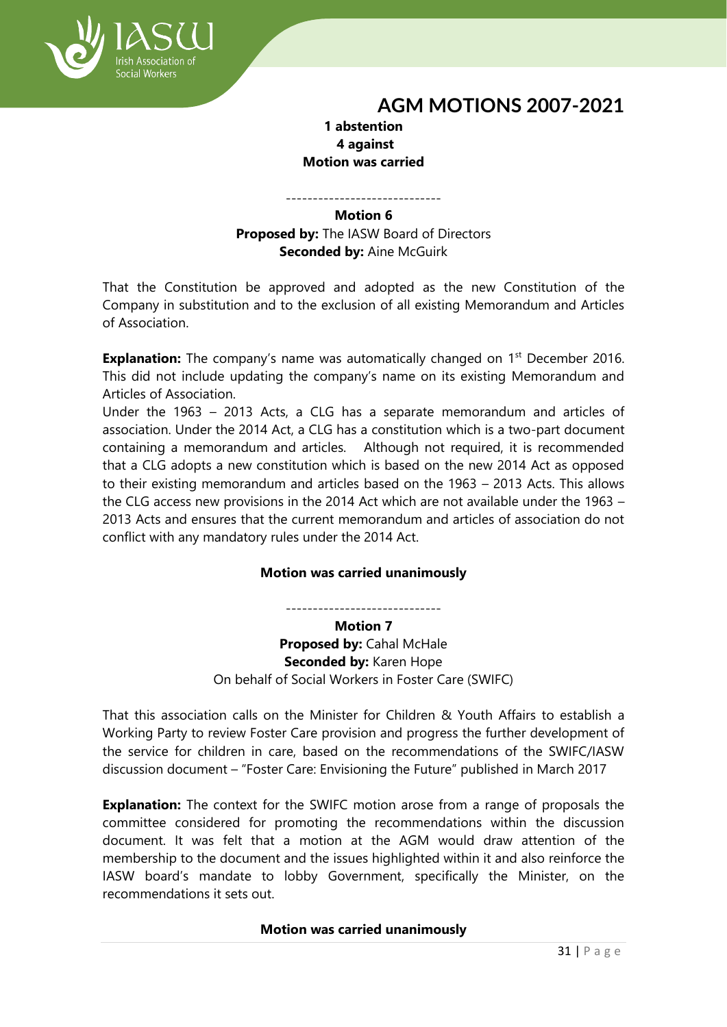## **1 abstention 4 against Motion was carried**

ocial Workers

-----------------------------

## **Motion 6**

**Proposed by:** The IASW Board of Directors **Seconded by:** Aine McGuirk

That the Constitution be approved and adopted as the new Constitution of the Company in substitution and to the exclusion of all existing Memorandum and Articles of Association.

**Explanation:** The company's name was automatically changed on 1<sup>st</sup> December 2016. This did not include updating the company's name on its existing Memorandum and Articles of Association.

Under the 1963 – 2013 Acts, a CLG has a separate memorandum and articles of association. Under the 2014 Act, a CLG has a constitution which is a two-part document containing a memorandum and articles. Although not required, it is recommended that a CLG adopts a new constitution which is based on the new 2014 Act as opposed to their existing memorandum and articles based on the 1963 – 2013 Acts. This allows the CLG access new provisions in the 2014 Act which are not available under the 1963 – 2013 Acts and ensures that the current memorandum and articles of association do not conflict with any mandatory rules under the 2014 Act.

## **Motion was carried unanimously**

-----------------------------

**Motion 7 Proposed by:** Cahal McHale **Seconded by:** Karen Hope On behalf of Social Workers in Foster Care (SWIFC)

That this association calls on the Minister for Children & Youth Affairs to establish a Working Party to review Foster Care provision and progress the further development of the service for children in care, based on the recommendations of the SWIFC/IASW discussion document – "Foster Care: Envisioning the Future" published in March 2017

**Explanation:** The context for the SWIFC motion arose from a range of proposals the committee considered for promoting the recommendations within the discussion document. It was felt that a motion at the AGM would draw attention of the membership to the document and the issues highlighted within it and also reinforce the IASW board's mandate to lobby Government, specifically the Minister, on the recommendations it sets out.

#### **Motion was carried unanimously**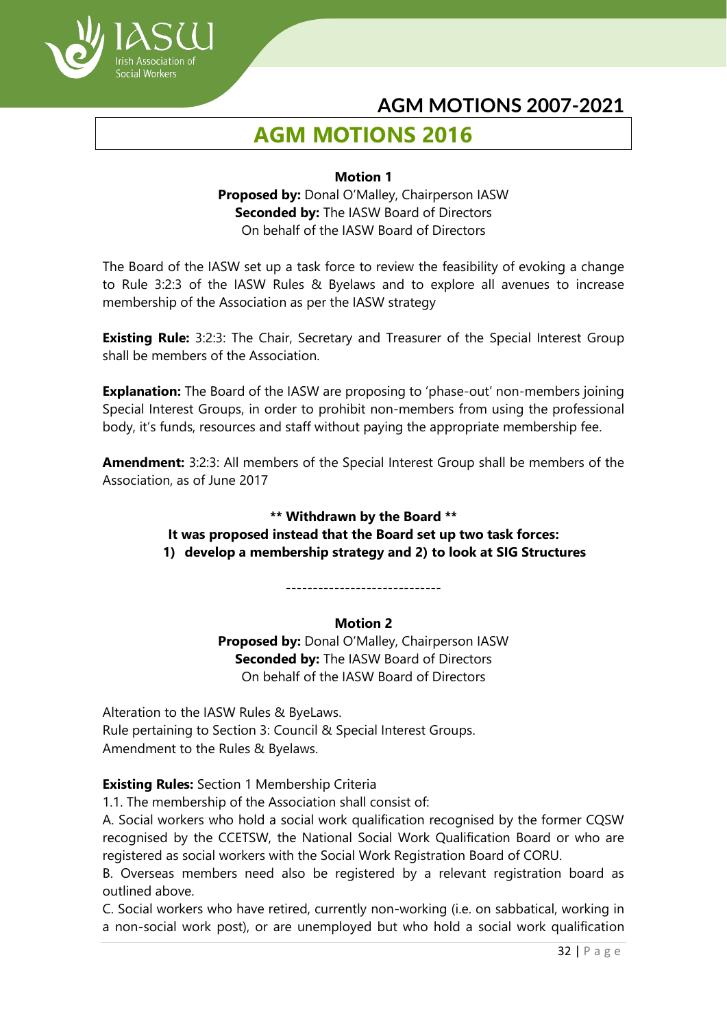

# **AGM MOTIONS 2016**

#### **Motion 1**

**Proposed by:** Donal O'Malley, Chairperson IASW **Seconded by:** The IASW Board of Directors On behalf of the IASW Board of Directors

The Board of the IASW set up a task force to review the feasibility of evoking a change to Rule 3:2:3 of the IASW Rules & Byelaws and to explore all avenues to increase membership of the Association as per the IASW strategy

**Existing Rule:** 3:2:3: The Chair, Secretary and Treasurer of the Special Interest Group shall be members of the Association.

**Explanation:** The Board of the IASW are proposing to 'phase-out' non-members joining Special Interest Groups, in order to prohibit non-members from using the professional body, it's funds, resources and staff without paying the appropriate membership fee.

**Amendment:** 3:2:3: All members of the Special Interest Group shall be members of the Association, as of June 2017

## **\*\* Withdrawn by the Board \*\* It was proposed instead that the Board set up two task forces: 1) develop a membership strategy and 2) to look at SIG Structures**

#### -----------------------------

## **Motion 2**

**Proposed by:** Donal O'Malley, Chairperson IASW **Seconded by:** The IASW Board of Directors On behalf of the IASW Board of Directors

Alteration to the IASW Rules & ByeLaws. Rule pertaining to Section 3: Council & Special Interest Groups. Amendment to the Rules & Byelaws.

## **Existing Rules:** Section 1 Membership Criteria

1.1. The membership of the Association shall consist of:

A. Social workers who hold a social work qualification recognised by the former CQSW recognised by the CCETSW, the National Social Work Qualification Board or who are registered as social workers with the Social Work Registration Board of CORU.

B. Overseas members need also be registered by a relevant registration board as outlined above.

C. Social workers who have retired, currently non-working (i.e. on sabbatical, working in a non-social work post), or are unemployed but who hold a social work qualification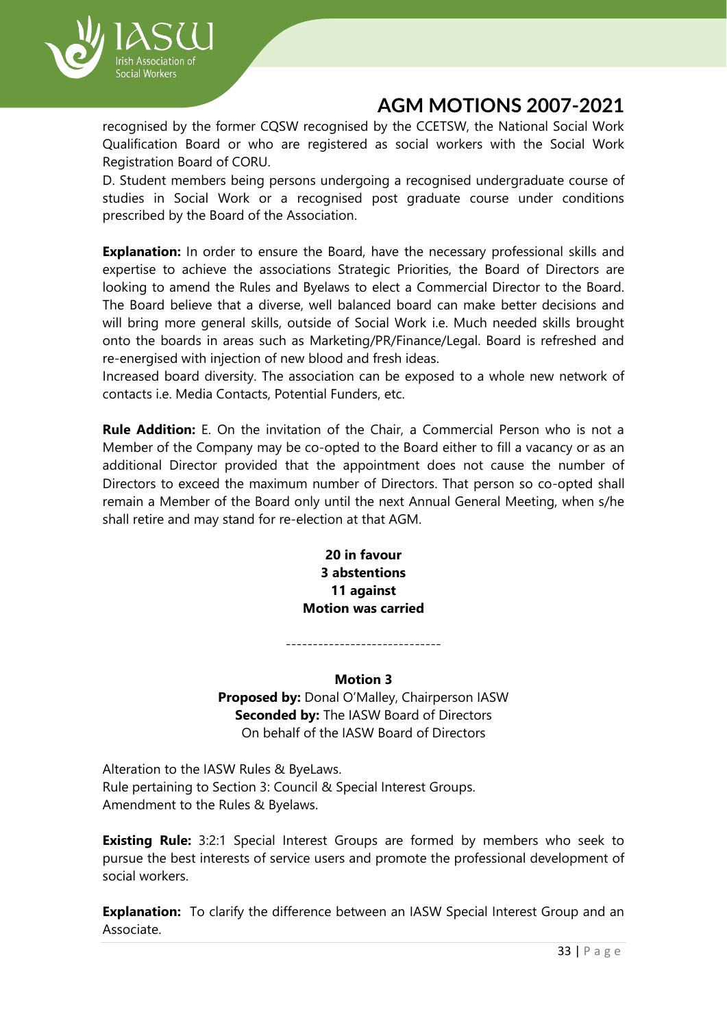

recognised by the former CQSW recognised by the CCETSW, the National Social Work Qualification Board or who are registered as social workers with the Social Work Registration Board of CORU.

D. Student members being persons undergoing a recognised undergraduate course of studies in Social Work or a recognised post graduate course under conditions prescribed by the Board of the Association.

**Explanation:** In order to ensure the Board, have the necessary professional skills and expertise to achieve the associations Strategic Priorities, the Board of Directors are looking to amend the Rules and Byelaws to elect a Commercial Director to the Board. The Board believe that a diverse, well balanced board can make better decisions and will bring more general skills, outside of Social Work i.e. Much needed skills brought onto the boards in areas such as Marketing/PR/Finance/Legal. Board is refreshed and re-energised with injection of new blood and fresh ideas.

Increased board diversity. The association can be exposed to a whole new network of contacts i.e. Media Contacts, Potential Funders, etc.

**Rule Addition:** E. On the invitation of the Chair, a Commercial Person who is not a Member of the Company may be co-opted to the Board either to fill a vacancy or as an additional Director provided that the appointment does not cause the number of Directors to exceed the maximum number of Directors. That person so co-opted shall remain a Member of the Board only until the next Annual General Meeting, when s/he shall retire and may stand for re-election at that AGM.

> **20 in favour 3 abstentions 11 against Motion was carried**

> > **Motion 3**

-----------------------------

**Proposed by:** Donal O'Malley, Chairperson IASW **Seconded by:** The IASW Board of Directors On behalf of the IASW Board of Directors

Alteration to the IASW Rules & ByeLaws. Rule pertaining to Section 3: Council & Special Interest Groups. Amendment to the Rules & Byelaws.

**Existing Rule:** 3:2:1 Special Interest Groups are formed by members who seek to pursue the best interests of service users and promote the professional development of social workers.

**Explanation:** To clarify the difference between an IASW Special Interest Group and an Associate.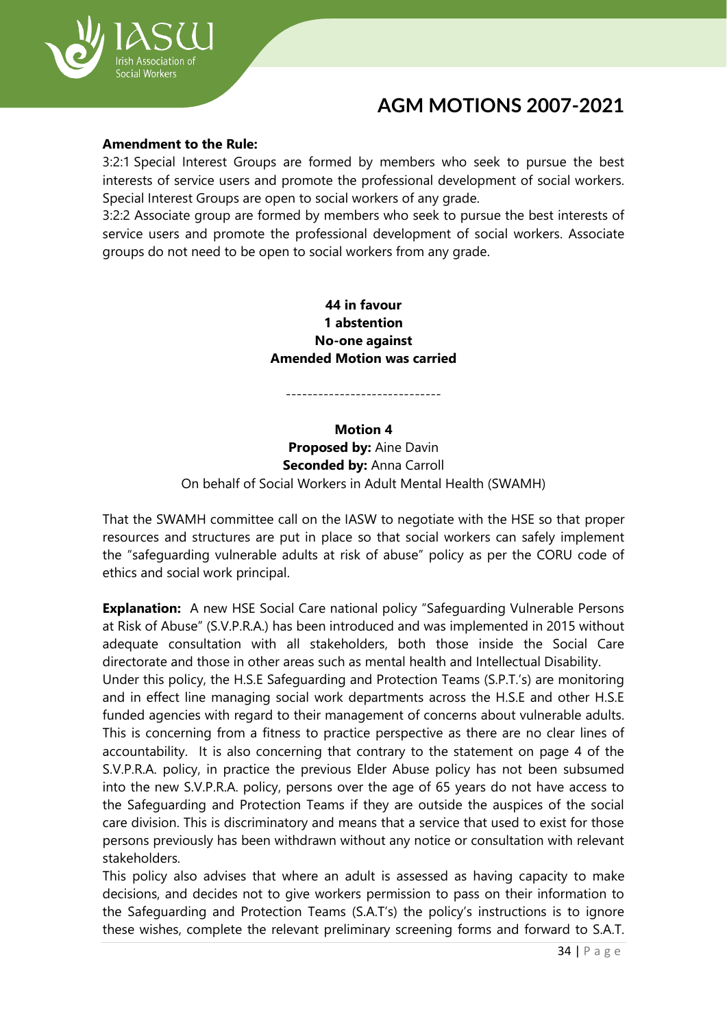

#### **Amendment to the Rule:**

3:2:1 Special Interest Groups are formed by members who seek to pursue the best interests of service users and promote the professional development of social workers. Special Interest Groups are open to social workers of any grade.

3:2:2 Associate group are formed by members who seek to pursue the best interests of service users and promote the professional development of social workers. Associate groups do not need to be open to social workers from any grade.

### **44 in favour 1 abstention No-one against Amended Motion was carried**

-----------------------------

#### **Motion 4**

**Proposed by:** Aine Davin **Seconded by:** Anna Carroll On behalf of Social Workers in Adult Mental Health (SWAMH)

That the SWAMH committee call on the IASW to negotiate with the HSE so that proper resources and structures are put in place so that social workers can safely implement the "safeguarding vulnerable adults at risk of abuse" policy as per the CORU code of ethics and social work principal.

**Explanation:** A new HSE Social Care national policy "Safeguarding Vulnerable Persons at Risk of Abuse" (S.V.P.R.A.) has been introduced and was implemented in 2015 without adequate consultation with all stakeholders, both those inside the Social Care directorate and those in other areas such as mental health and Intellectual Disability.

Under this policy, the H.S.E Safeguarding and Protection Teams (S.P.T.'s) are monitoring and in effect line managing social work departments across the H.S.E and other H.S.E funded agencies with regard to their management of concerns about vulnerable adults. This is concerning from a fitness to practice perspective as there are no clear lines of accountability. It is also concerning that contrary to the statement on page 4 of the S.V.P.R.A. policy, in practice the previous Elder Abuse policy has not been subsumed into the new S.V.P.R.A. policy, persons over the age of 65 years do not have access to the Safeguarding and Protection Teams if they are outside the auspices of the social care division. This is discriminatory and means that a service that used to exist for those persons previously has been withdrawn without any notice or consultation with relevant stakeholders.

This policy also advises that where an adult is assessed as having capacity to make decisions, and decides not to give workers permission to pass on their information to the Safeguarding and Protection Teams (S.A.T's) the policy's instructions is to ignore these wishes, complete the relevant preliminary screening forms and forward to S.A.T.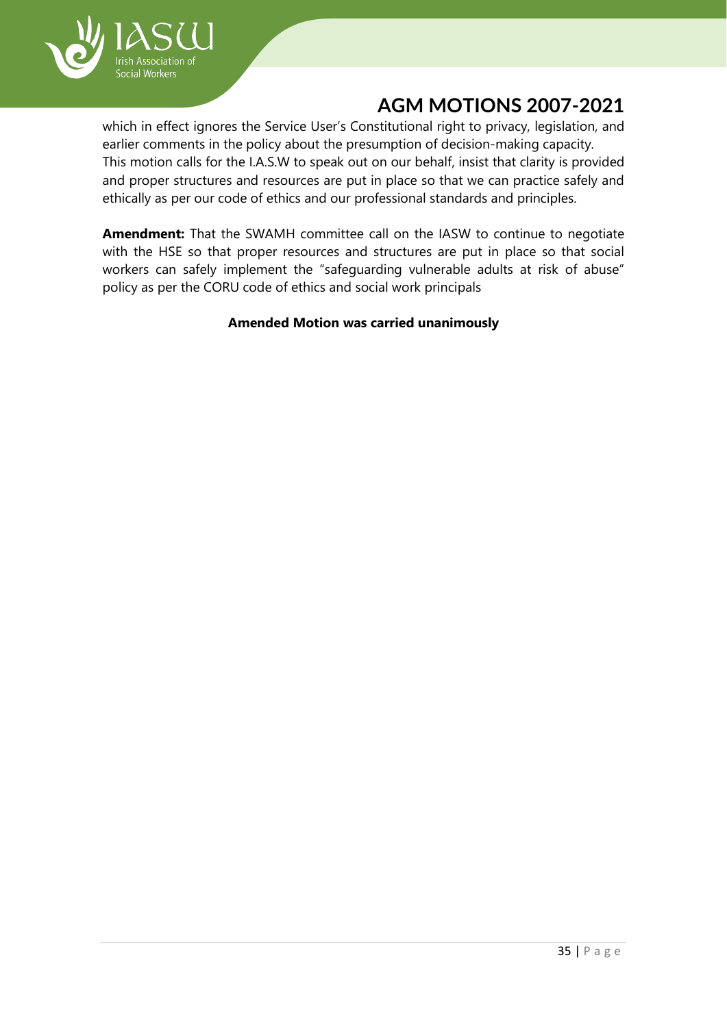

which in effect ignores the Service User's Constitutional right to privacy, legislation, and earlier comments in the policy about the presumption of decision-making capacity. This motion calls for the I.A.S.W to speak out on our behalf, insist that clarity is provided and proper structures and resources are put in place so that we can practice safely and ethically as per our code of ethics and our professional standards and principles.

**Amendment:** That the SWAMH committee call on the IASW to continue to negotiate with the HSE so that proper resources and structures are put in place so that social workers can safely implement the "safeguarding vulnerable adults at risk of abuse" policy as per the CORU code of ethics and social work principals

#### **Amended Motion was carried unanimously**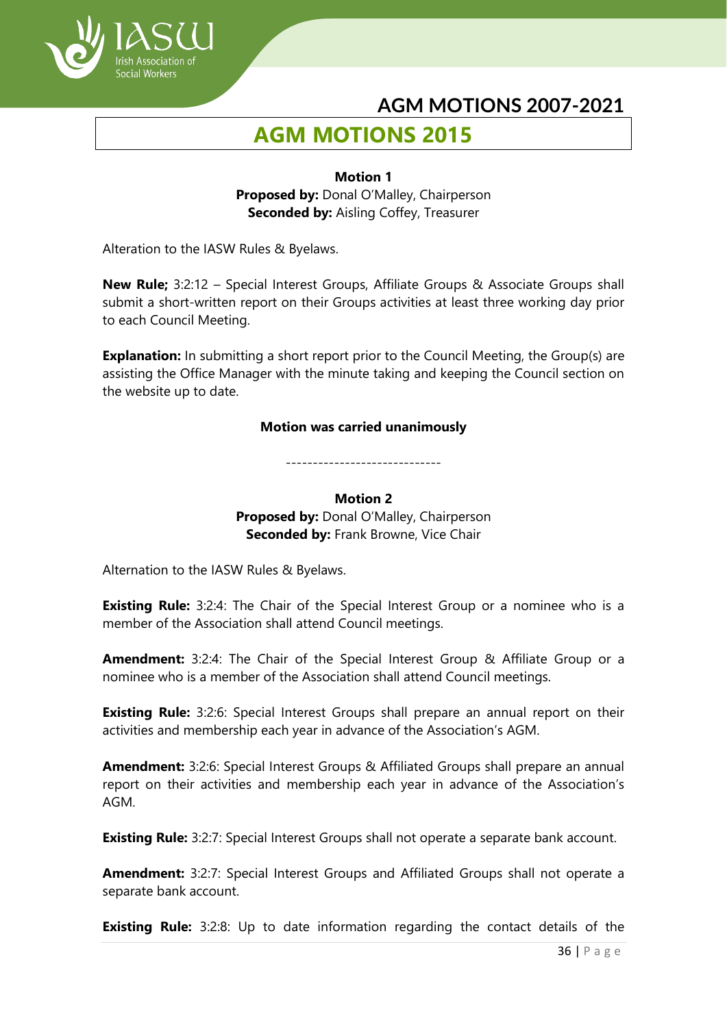

# **AGM MOTIONS 2015**

### **Motion 1 Proposed by: Donal O'Malley, Chairperson Seconded by: Aisling Coffey, Treasurer**

Alteration to the IASW Rules & Byelaws.

**New Rule;** 3:2:12 – Special Interest Groups, Affiliate Groups & Associate Groups shall submit a short-written report on their Groups activities at least three working day prior to each Council Meeting.

**Explanation:** In submitting a short report prior to the Council Meeting, the Group(s) are assisting the Office Manager with the minute taking and keeping the Council section on the website up to date.

#### **Motion was carried unanimously**

**Motion 2** Proposed by: Donal O'Malley, Chairperson **Seconded by: Frank Browne, Vice Chair** 

-----------------------------

Alternation to the IASW Rules & Byelaws.

**Existing Rule:** 3:2:4: The Chair of the Special Interest Group or a nominee who is a member of the Association shall attend Council meetings.

**Amendment:** 3:2:4: The Chair of the Special Interest Group & Affiliate Group or a nominee who is a member of the Association shall attend Council meetings.

**Existing Rule:** 3:2:6: Special Interest Groups shall prepare an annual report on their activities and membership each year in advance of the Association's AGM.

**Amendment:** 3:2:6: Special Interest Groups & Affiliated Groups shall prepare an annual report on their activities and membership each year in advance of the Association's AGM.

**Existing Rule:** 3:2:7: Special Interest Groups shall not operate a separate bank account.

**Amendment:** 3:2:7: Special Interest Groups and Affiliated Groups shall not operate a separate bank account.

**Existing Rule:** 3:2:8: Up to date information regarding the contact details of the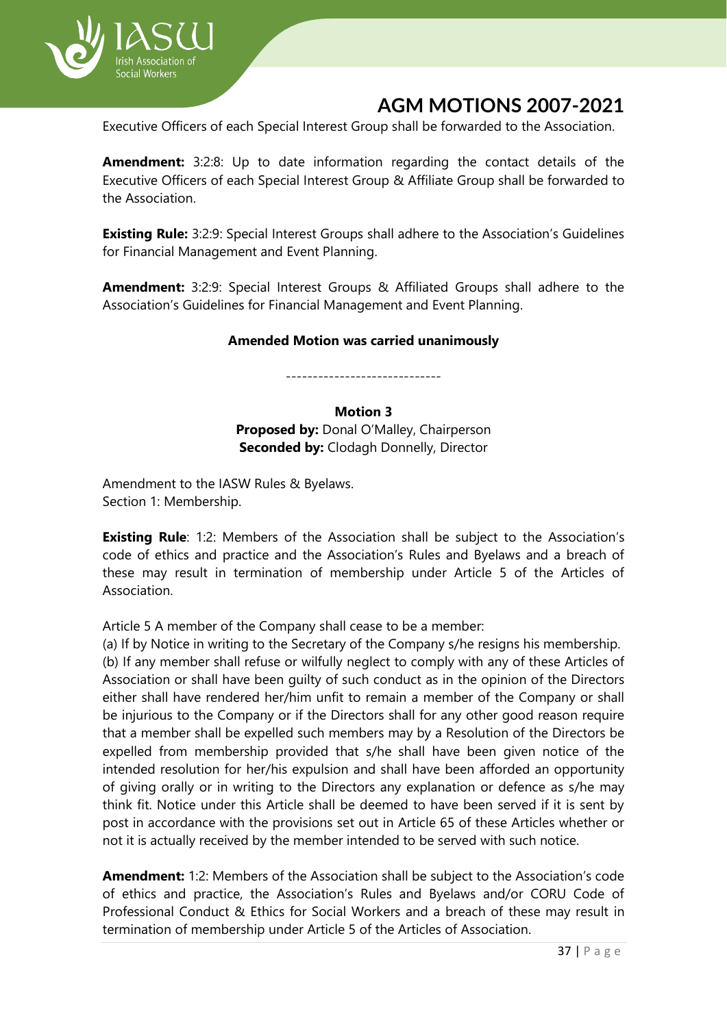

Executive Officers of each Special Interest Group shall be forwarded to the Association.

**Amendment:** 3:2:8: Up to date information regarding the contact details of the Executive Officers of each Special Interest Group & Affiliate Group shall be forwarded to the Association.

**Existing Rule:** 3:2:9: Special Interest Groups shall adhere to the Association's Guidelines for Financial Management and Event Planning.

**Amendment:** 3:2:9: Special Interest Groups & Affiliated Groups shall adhere to the Association's Guidelines for Financial Management and Event Planning.

#### **Amended Motion was carried unanimously**

-----------------------------

#### **Motion 3**

Proposed by: Donal O'Malley, Chairperson **Seconded by: Clodagh Donnelly, Director** 

Amendment to the IASW Rules & Byelaws. Section 1: Membership.

**Existing Rule**: 1:2: Members of the Association shall be subject to the Association's code of ethics and practice and the Association's Rules and Byelaws and a breach of these may result in termination of membership under Article 5 of the Articles of Association.

Article 5 A member of the Company shall cease to be a member:

(a) If by Notice in writing to the Secretary of the Company s/he resigns his membership. (b) If any member shall refuse or wilfully neglect to comply with any of these Articles of Association or shall have been guilty of such conduct as in the opinion of the Directors either shall have rendered her/him unfit to remain a member of the Company or shall be injurious to the Company or if the Directors shall for any other good reason require that a member shall be expelled such members may by a Resolution of the Directors be expelled from membership provided that s/he shall have been given notice of the intended resolution for her/his expulsion and shall have been afforded an opportunity of giving orally or in writing to the Directors any explanation or defence as s/he may think fit. Notice under this Article shall be deemed to have been served if it is sent by post in accordance with the provisions set out in Article 65 of these Articles whether or not it is actually received by the member intended to be served with such notice.

**Amendment:** 1:2: Members of the Association shall be subject to the Association's code of ethics and practice, the Association's Rules and Byelaws and/or CORU Code of Professional Conduct & Ethics for Social Workers and a breach of these may result in termination of membership under Article 5 of the Articles of Association.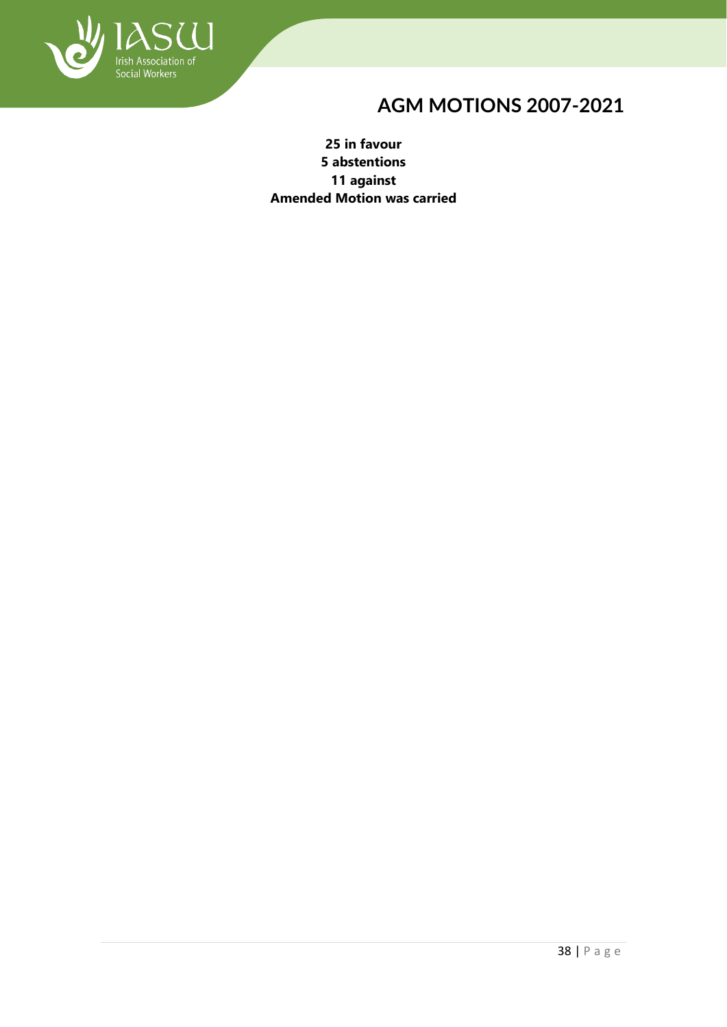

**25 in favour 5 abstentions 11 against Amended Motion was carried**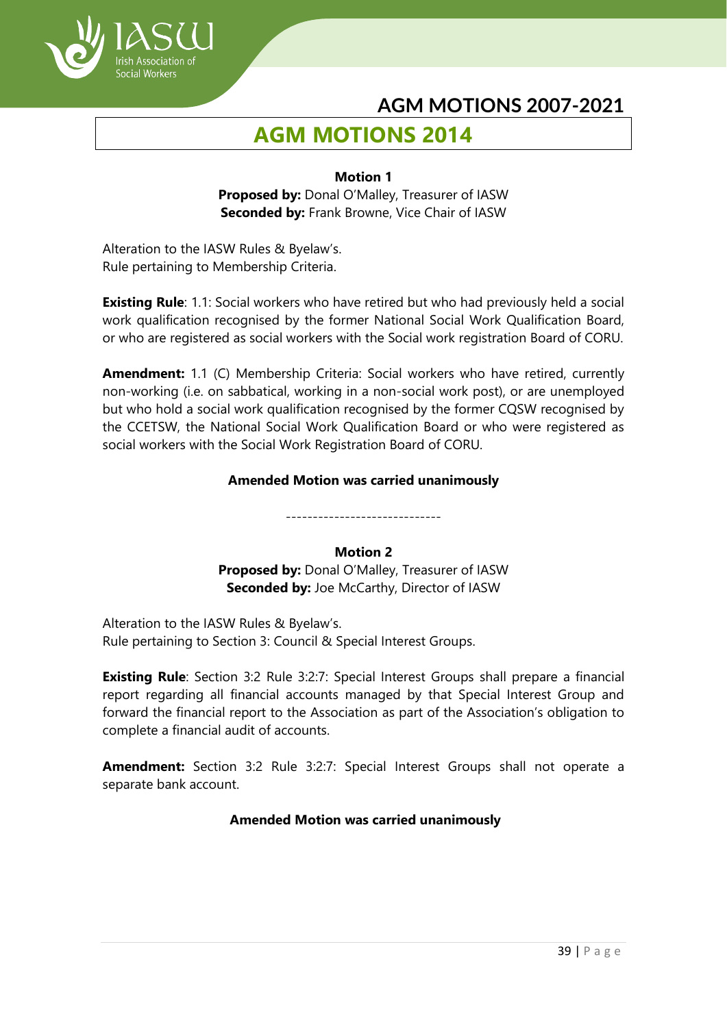

# **AGM MOTIONS 2014**

#### **Motion 1**

**Proposed by:** Donal O'Malley, Treasurer of IASW **Seconded by:** Frank Browne, Vice Chair of IASW

Alteration to the IASW Rules & Byelaw's. Rule pertaining to Membership Criteria.

**Existing Rule**: 1.1: Social workers who have retired but who had previously held a social work qualification recognised by the former National Social Work Qualification Board, or who are registered as social workers with the Social work registration Board of CORU.

**Amendment:** 1.1 (C) Membership Criteria: Social workers who have retired, currently non-working (i.e. on sabbatical, working in a non-social work post), or are unemployed but who hold a social work qualification recognised by the former CQSW recognised by the CCETSW, the National Social Work Qualification Board or who were registered as social workers with the Social Work Registration Board of CORU.

## **Amended Motion was carried unanimously**

-----------------------------

## **Motion 2**

**Proposed by:** Donal O'Malley, Treasurer of IASW **Seconded by:** Joe McCarthy, Director of IASW

Alteration to the IASW Rules & Byelaw's. Rule pertaining to Section 3: Council & Special Interest Groups.

**Existing Rule**: Section 3:2 Rule 3:2:7: Special Interest Groups shall prepare a financial report regarding all financial accounts managed by that Special Interest Group and forward the financial report to the Association as part of the Association's obligation to complete a financial audit of accounts.

**Amendment:** Section 3:2 Rule 3:2:7: Special Interest Groups shall not operate a separate bank account.

## **Amended Motion was carried unanimously**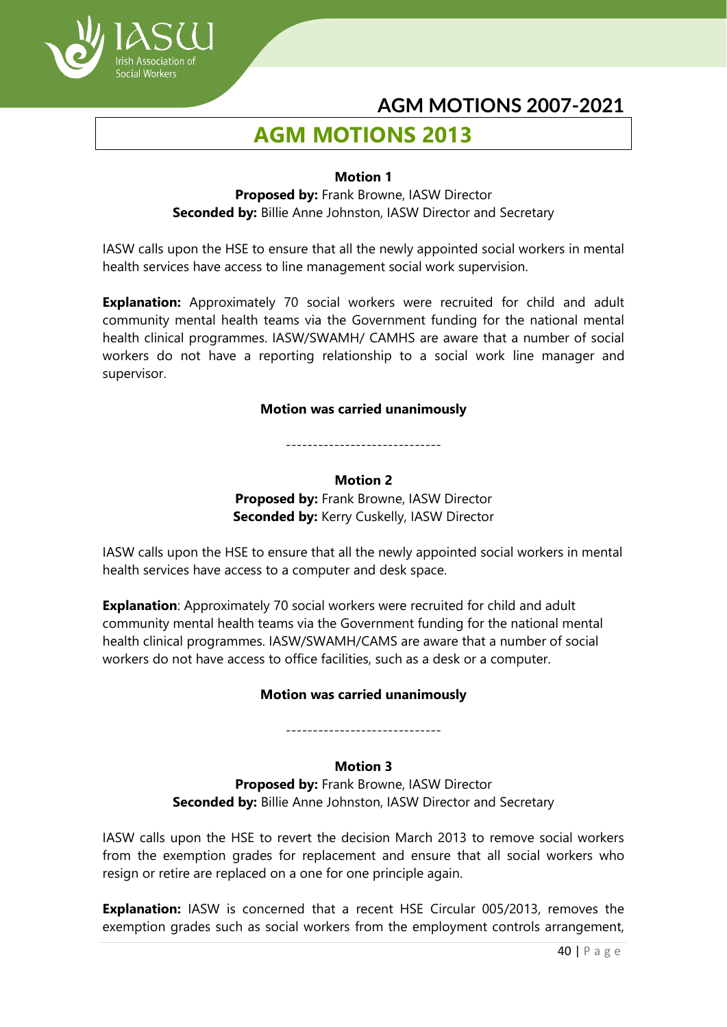

# **AGM MOTIONS 2013**

ocial Workers

#### **Motion 1**

**Proposed by:** Frank Browne, IASW Director **Seconded by:** Billie Anne Johnston, IASW Director and Secretary

IASW calls upon the HSE to ensure that all the newly appointed social workers in mental health services have access to line management social work supervision.

**Explanation:** Approximately 70 social workers were recruited for child and adult community mental health teams via the Government funding for the national mental health clinical programmes. IASW/SWAMH/ CAMHS are aware that a number of social workers do not have a reporting relationship to a social work line manager and supervisor.

#### **Motion was carried unanimously**

-----------------------------

#### **Motion 2 Proposed by:** Frank Browne, IASW Director **Seconded by:** Kerry Cuskelly, IASW Director

IASW calls upon the HSE to ensure that all the newly appointed social workers in mental health services have access to a computer and desk space.

**Explanation**: Approximately 70 social workers were recruited for child and adult community mental health teams via the Government funding for the national mental health clinical programmes. IASW/SWAMH/CAMS are aware that a number of social workers do not have access to office facilities, such as a desk or a computer.

## **Motion was carried unanimously**

-----------------------------

## **Motion 3**

**Proposed by:** Frank Browne, IASW Director **Seconded by:** Billie Anne Johnston, IASW Director and Secretary

IASW calls upon the HSE to revert the decision March 2013 to remove social workers from the exemption grades for replacement and ensure that all social workers who resign or retire are replaced on a one for one principle again.

**Explanation:** IASW is concerned that a recent HSE Circular 005/2013, removes the exemption grades such as social workers from the employment controls arrangement,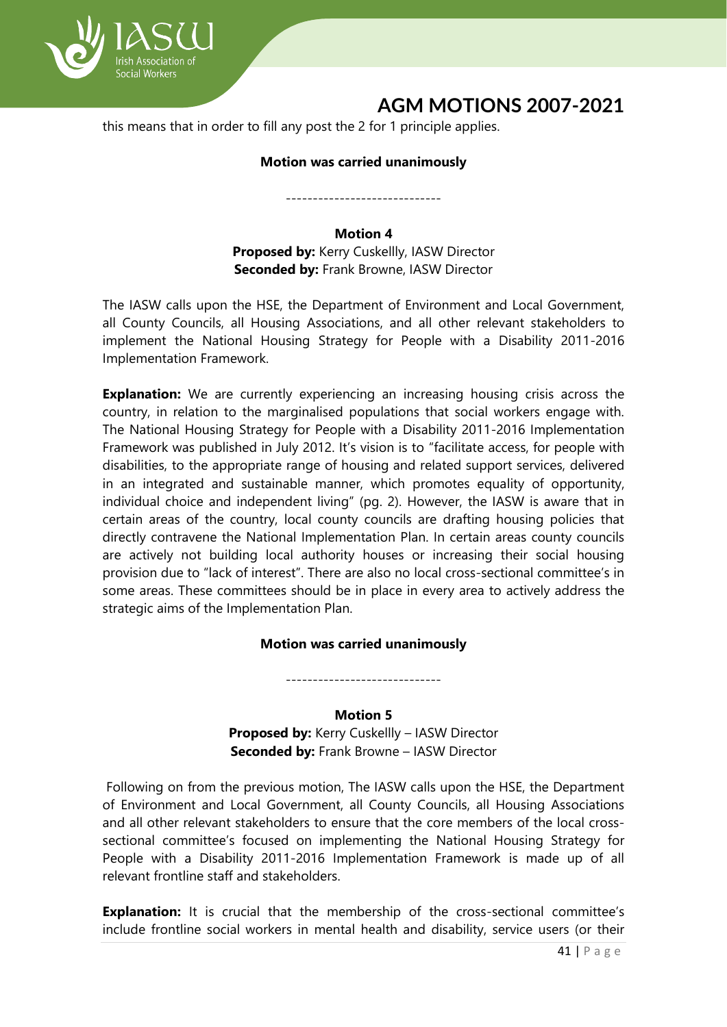

this means that in order to fill any post the 2 for 1 principle applies.

#### **Motion was carried unanimously**

-----------------------------

#### **Motion 4**

**Proposed by:** Kerry Cuskellly, IASW Director **Seconded by:** Frank Browne, IASW Director

The IASW calls upon the HSE, the Department of Environment and Local Government, all County Councils, all Housing Associations, and all other relevant stakeholders to implement the National Housing Strategy for People with a Disability 2011-2016 Implementation Framework.

**Explanation:** We are currently experiencing an increasing housing crisis across the country, in relation to the marginalised populations that social workers engage with. The National Housing Strategy for People with a Disability 2011-2016 Implementation Framework was published in July 2012. It's vision is to "facilitate access, for people with disabilities, to the appropriate range of housing and related support services, delivered in an integrated and sustainable manner, which promotes equality of opportunity, individual choice and independent living" (pg. 2). However, the IASW is aware that in certain areas of the country, local county councils are drafting housing policies that directly contravene the National Implementation Plan. In certain areas county councils are actively not building local authority houses or increasing their social housing provision due to "lack of interest". There are also no local cross-sectional committee's in some areas. These committees should be in place in every area to actively address the strategic aims of the Implementation Plan.

#### **Motion was carried unanimously**

-----------------------------

#### **Motion 5**

**Proposed by:** Kerry Cuskellly – IASW Director **Seconded by:** Frank Browne – IASW Director

Following on from the previous motion, The IASW calls upon the HSE, the Department of Environment and Local Government, all County Councils, all Housing Associations and all other relevant stakeholders to ensure that the core members of the local crosssectional committee's focused on implementing the National Housing Strategy for People with a Disability 2011-2016 Implementation Framework is made up of all relevant frontline staff and stakeholders.

**Explanation:** It is crucial that the membership of the cross-sectional committee's include frontline social workers in mental health and disability, service users (or their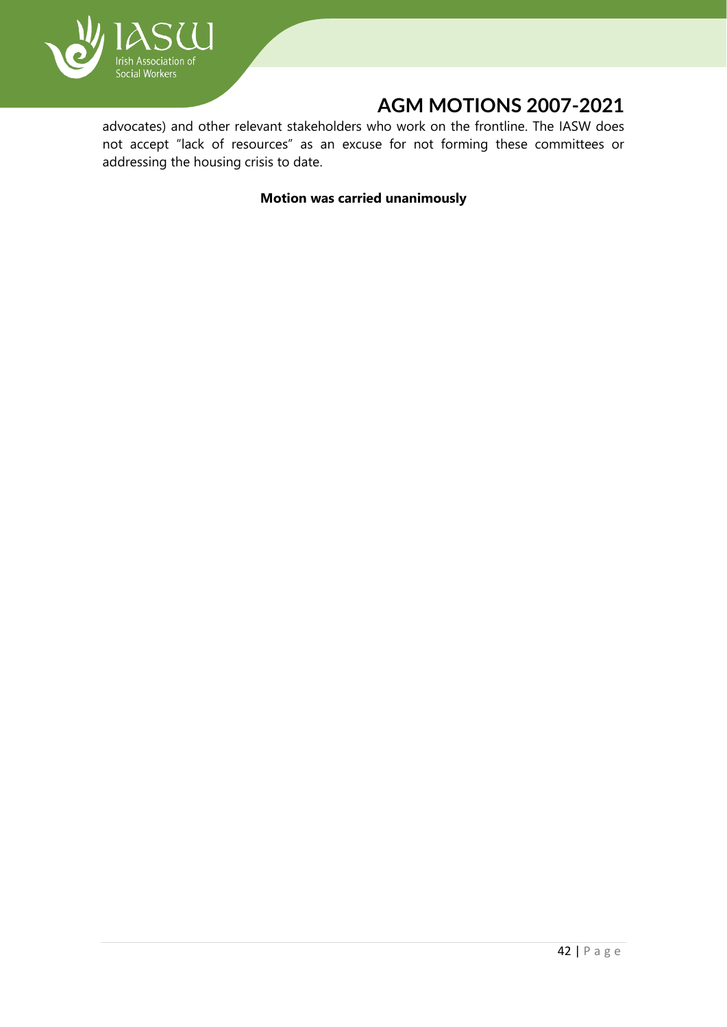

advocates) and other relevant stakeholders who work on the frontline. The IASW does not accept "lack of resources" as an excuse for not forming these committees or addressing the housing crisis to date.

**Motion was carried unanimously**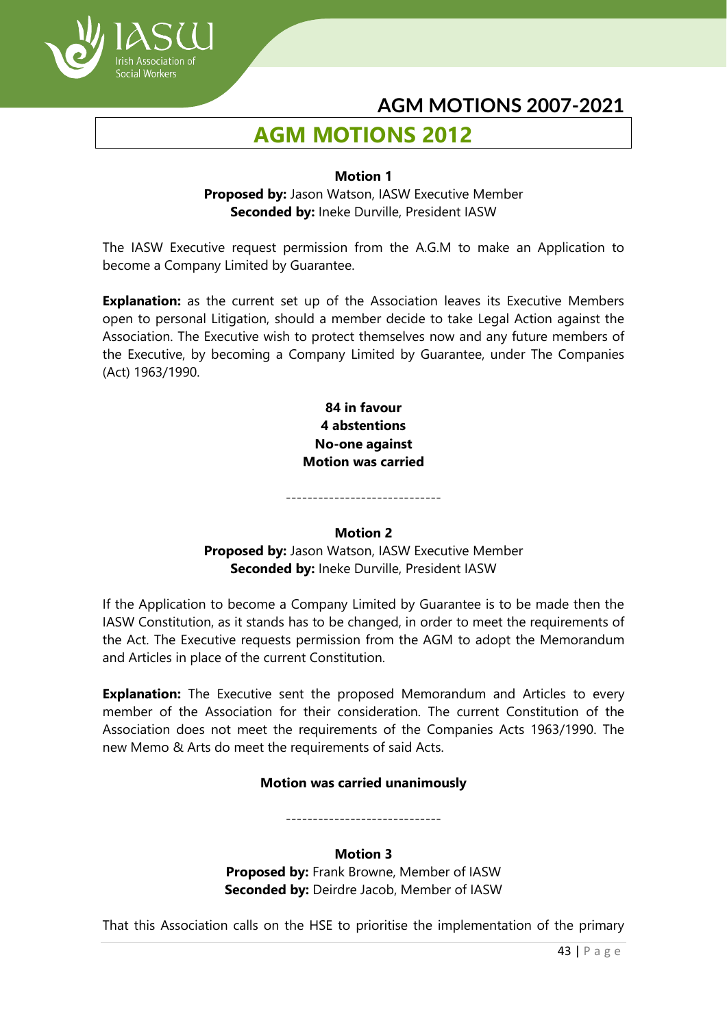

# **AGM MOTIONS 2012**

#### **Motion 1**

**Proposed by:** Jason Watson, IASW Executive Member **Seconded by:** Ineke Durville, President IASW

The IASW Executive request permission from the A.G.M to make an Application to become a Company Limited by Guarantee.

**Explanation:** as the current set up of the Association leaves its Executive Members open to personal Litigation, should a member decide to take Legal Action against the Association. The Executive wish to protect themselves now and any future members of the Executive, by becoming a Company Limited by Guarantee, under The Companies (Act) 1963/1990.

> **84 in favour 4 abstentions No-one against Motion was carried**

#### **Motion 2**

-----------------------------

**Proposed by:** Jason Watson, IASW Executive Member **Seconded by:** Ineke Durville, President IASW

If the Application to become a Company Limited by Guarantee is to be made then the IASW Constitution, as it stands has to be changed, in order to meet the requirements of the Act. The Executive requests permission from the AGM to adopt the Memorandum and Articles in place of the current Constitution.

**Explanation:** The Executive sent the proposed Memorandum and Articles to every member of the Association for their consideration. The current Constitution of the Association does not meet the requirements of the Companies Acts 1963/1990. The new Memo & Arts do meet the requirements of said Acts.

#### **Motion was carried unanimously**

-----------------------------

#### **Motion 3**

**Proposed by:** Frank Browne, Member of IASW **Seconded by:** Deirdre Jacob, Member of IASW

That this Association calls on the HSE to prioritise the implementation of the primary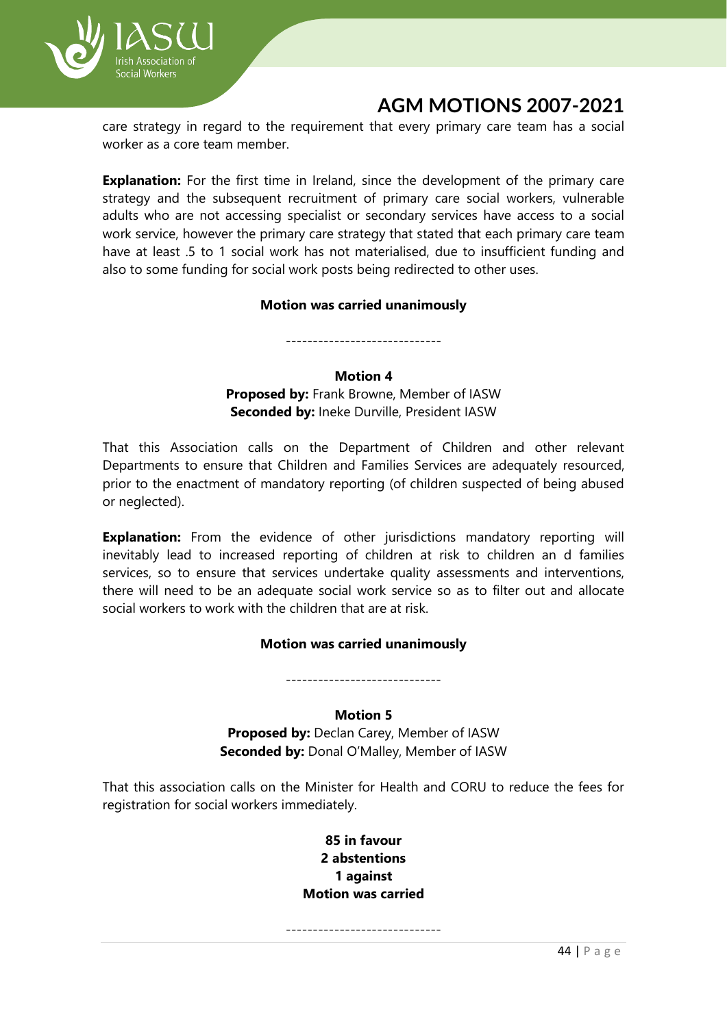

care strategy in regard to the requirement that every primary care team has a social worker as a core team member.

**Explanation:** For the first time in Ireland, since the development of the primary care strategy and the subsequent recruitment of primary care social workers, vulnerable adults who are not accessing specialist or secondary services have access to a social work service, however the primary care strategy that stated that each primary care team have at least .5 to 1 social work has not materialised, due to insufficient funding and also to some funding for social work posts being redirected to other uses.

#### **Motion was carried unanimously**

-----------------------------

#### **Motion 4**

**Proposed by:** Frank Browne, Member of IASW **Seconded by:** Ineke Durville, President IASW

That this Association calls on the Department of Children and other relevant Departments to ensure that Children and Families Services are adequately resourced, prior to the enactment of mandatory reporting (of children suspected of being abused or neglected).

**Explanation:** From the evidence of other jurisdictions mandatory reporting will inevitably lead to increased reporting of children at risk to children an d families services, so to ensure that services undertake quality assessments and interventions, there will need to be an adequate social work service so as to filter out and allocate social workers to work with the children that are at risk.

## **Motion was carried unanimously**

-----------------------------

#### **Motion 5**

**Proposed by:** Declan Carey, Member of IASW **Seconded by:** Donal O'Malley, Member of IASW

That this association calls on the Minister for Health and CORU to reduce the fees for registration for social workers immediately.

> **85 in favour 2 abstentions 1 against Motion was carried**

-----------------------------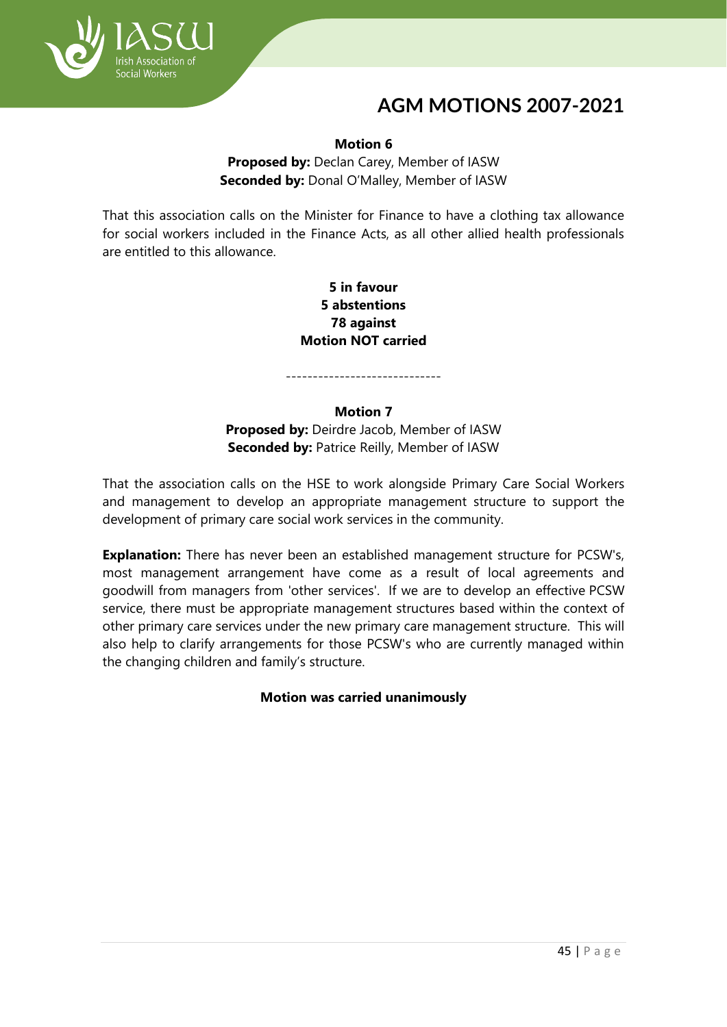

#### **Motion 6**

**Proposed by:** Declan Carey, Member of IASW **Seconded by:** Donal O'Malley, Member of IASW

That this association calls on the Minister for Finance to have a clothing tax allowance for social workers included in the Finance Acts, as all other allied health professionals are entitled to this allowance.

> **5 in favour 5 abstentions 78 against Motion NOT carried**

-----------------------------

#### **Motion 7**

**Proposed by:** Deirdre Jacob, Member of IASW **Seconded by:** Patrice Reilly, Member of IASW

That the association calls on the HSE to work alongside Primary Care Social Workers and management to develop an appropriate management structure to support the development of primary care social work services in the community.

**Explanation:** There has never been an established management structure for PCSW's, most management arrangement have come as a result of local agreements and goodwill from managers from 'other services'. If we are to develop an effective PCSW service, there must be appropriate management structures based within the context of other primary care services under the new primary care management structure. This will also help to clarify arrangements for those PCSW's who are currently managed within the changing children and family's structure.

**Motion was carried unanimously**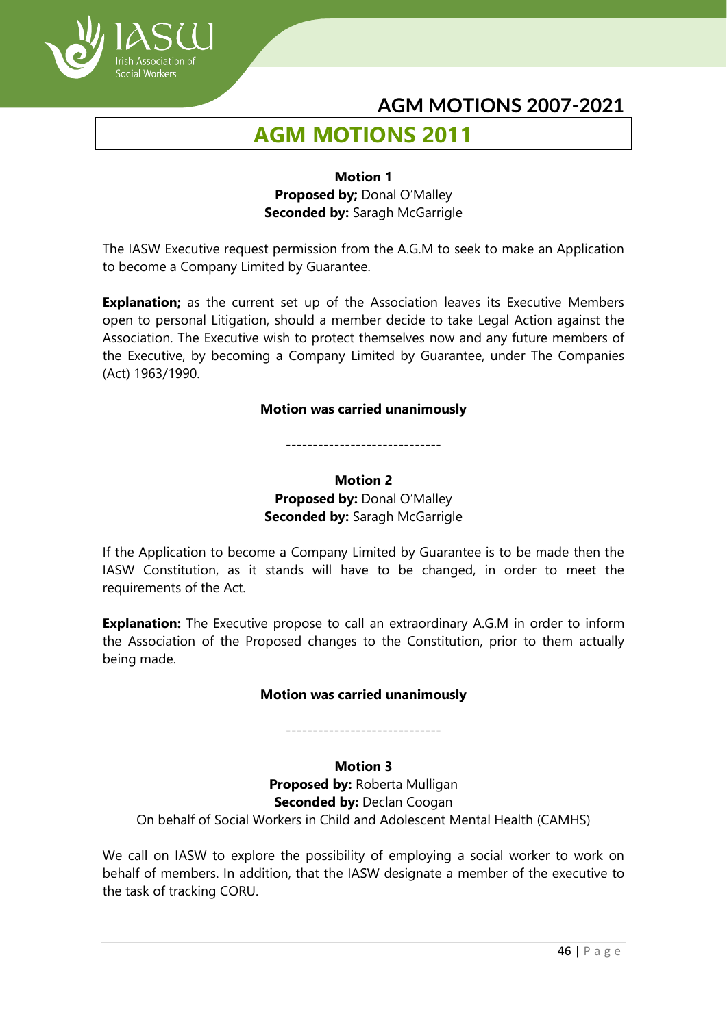

# **AGM MOTIONS 2011**

### **Motion 1 Proposed by; Donal O'Malley Seconded by:** Saragh McGarrigle

The IASW Executive request permission from the A.G.M to seek to make an Application to become a Company Limited by Guarantee.

**Explanation;** as the current set up of the Association leaves its Executive Members open to personal Litigation, should a member decide to take Legal Action against the Association. The Executive wish to protect themselves now and any future members of the Executive, by becoming a Company Limited by Guarantee, under The Companies (Act) 1963/1990.

#### **Motion was carried unanimously**

#### -----------------------------

## **Motion 2 Proposed by:** Donal O'Malley **Seconded by: Saragh McGarrigle**

If the Application to become a Company Limited by Guarantee is to be made then the IASW Constitution, as it stands will have to be changed, in order to meet the requirements of the Act.

**Explanation:** The Executive propose to call an extraordinary A.G.M in order to inform the Association of the Proposed changes to the Constitution, prior to them actually being made.

#### **Motion was carried unanimously**

-----------------------------

## **Motion 3**

**Proposed by:** Roberta Mulligan **Seconded by: Declan Coogan** On behalf of Social Workers in Child and Adolescent Mental Health (CAMHS)

We call on IASW to explore the possibility of employing a social worker to work on behalf of members. In addition, that the IASW designate a member of the executive to the task of tracking CORU.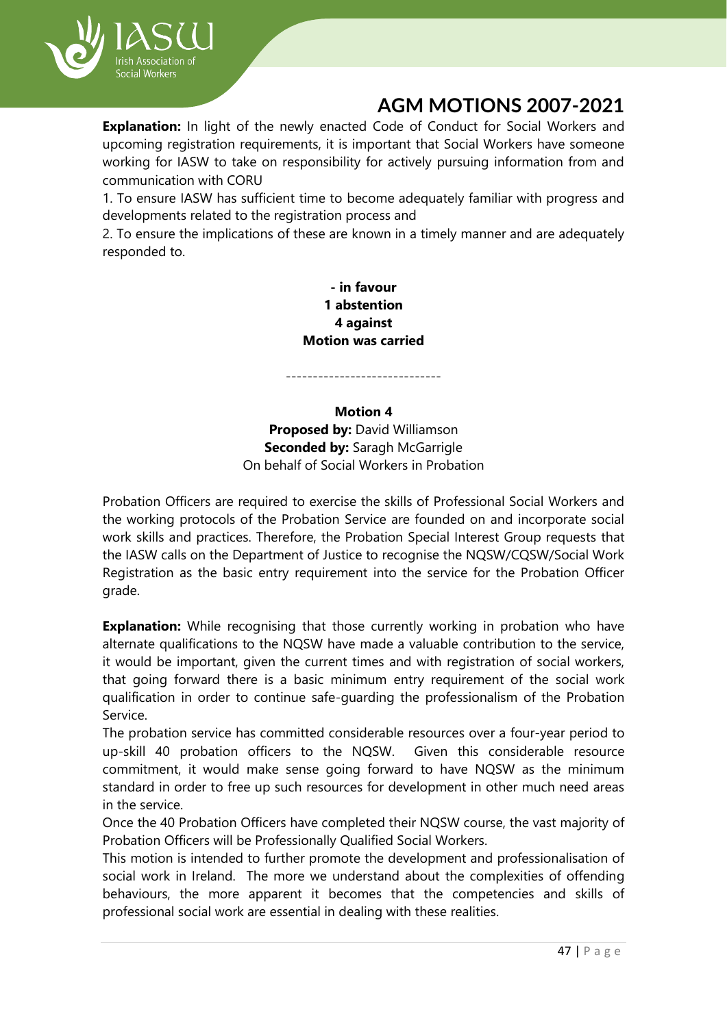

**Explanation:** In light of the newly enacted Code of Conduct for Social Workers and upcoming registration requirements, it is important that Social Workers have someone working for IASW to take on responsibility for actively pursuing information from and communication with CORU

1. To ensure IASW has sufficient time to become adequately familiar with progress and developments related to the registration process and

2. To ensure the implications of these are known in a timely manner and are adequately responded to.

> **- in favour 1 abstention 4 against Motion was carried**

-----------------------------

## **Motion 4 Proposed by: David Williamson Seconded by: Saragh McGarrigle** On behalf of Social Workers in Probation

Probation Officers are required to exercise the skills of Professional Social Workers and the working protocols of the Probation Service are founded on and incorporate social work skills and practices. Therefore, the Probation Special Interest Group requests that the IASW calls on the Department of Justice to recognise the NQSW/CQSW/Social Work Registration as the basic entry requirement into the service for the Probation Officer grade.

**Explanation:** While recognising that those currently working in probation who have alternate qualifications to the NQSW have made a valuable contribution to the service, it would be important, given the current times and with registration of social workers, that going forward there is a basic minimum entry requirement of the social work qualification in order to continue safe-guarding the professionalism of the Probation Service.

The probation service has committed considerable resources over a four-year period to up-skill 40 probation officers to the NQSW. Given this considerable resource commitment, it would make sense going forward to have NQSW as the minimum standard in order to free up such resources for development in other much need areas in the service.

Once the 40 Probation Officers have completed their NQSW course, the vast majority of Probation Officers will be Professionally Qualified Social Workers.

This motion is intended to further promote the development and professionalisation of social work in Ireland. The more we understand about the complexities of offending behaviours, the more apparent it becomes that the competencies and skills of professional social work are essential in dealing with these realities.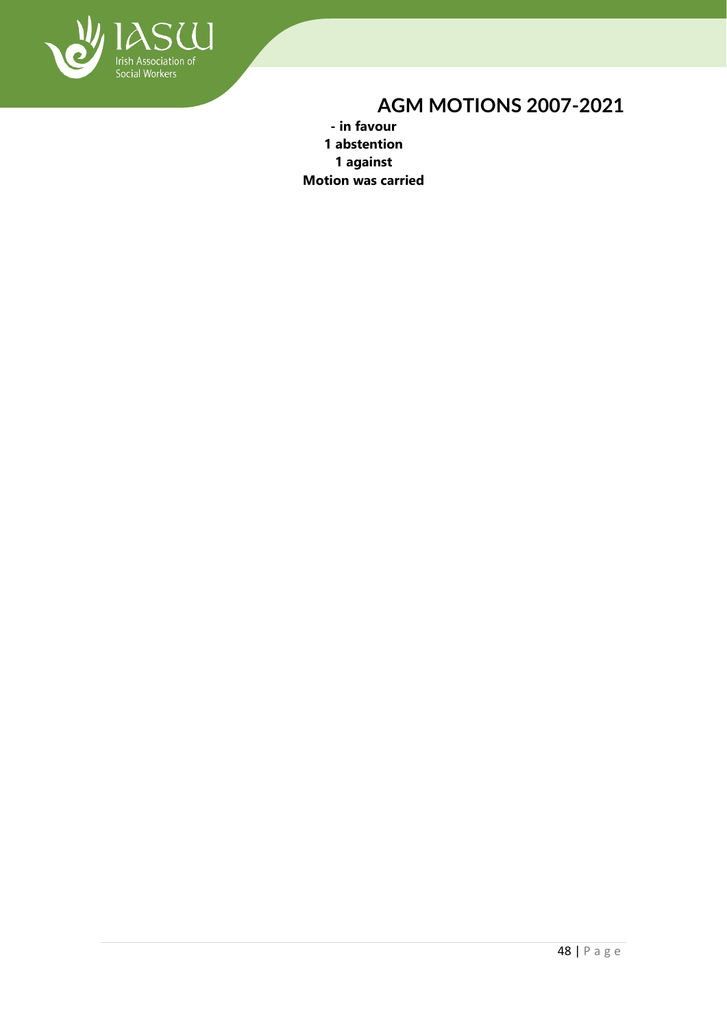

**- in favour 1 abstention 1 against Motion was carried**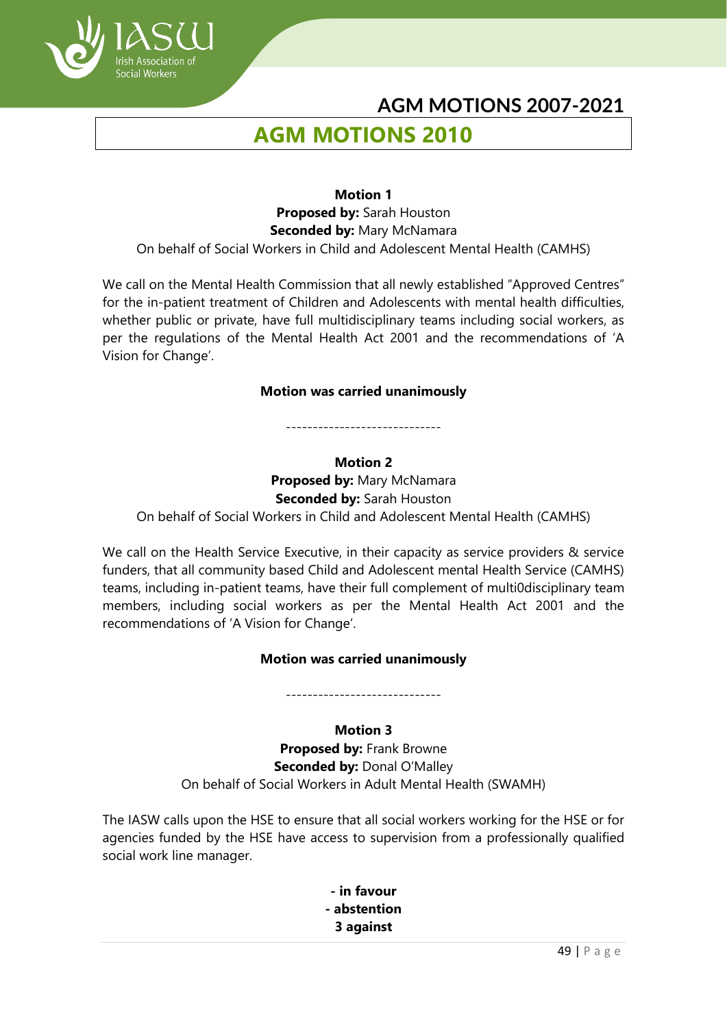

# **AGM MOTIONS 2010**

**Motion 1 Proposed by:** Sarah Houston **Seconded by:** Mary McNamara On behalf of Social Workers in Child and Adolescent Mental Health (CAMHS)

We call on the Mental Health Commission that all newly established "Approved Centres" for the in-patient treatment of Children and Adolescents with mental health difficulties, whether public or private, have full multidisciplinary teams including social workers, as per the regulations of the Mental Health Act 2001 and the recommendations of 'A Vision for Change'.

#### **Motion was carried unanimously**

-----------------------------

#### **Motion 2**

**Proposed by:** Mary McNamara **Seconded by:** Sarah Houston On behalf of Social Workers in Child and Adolescent Mental Health (CAMHS)

We call on the Health Service Executive, in their capacity as service providers & service funders, that all community based Child and Adolescent mental Health Service (CAMHS) teams, including in-patient teams, have their full complement of multi0disciplinary team members, including social workers as per the Mental Health Act 2001 and the recommendations of 'A Vision for Change'.

#### **Motion was carried unanimously**

-----------------------------

## **Motion 3**

**Proposed by:** Frank Browne **Seconded by: Donal O'Malley** On behalf of Social Workers in Adult Mental Health (SWAMH)

The IASW calls upon the HSE to ensure that all social workers working for the HSE or for agencies funded by the HSE have access to supervision from a professionally qualified social work line manager.

> **- in favour - abstention 3 against**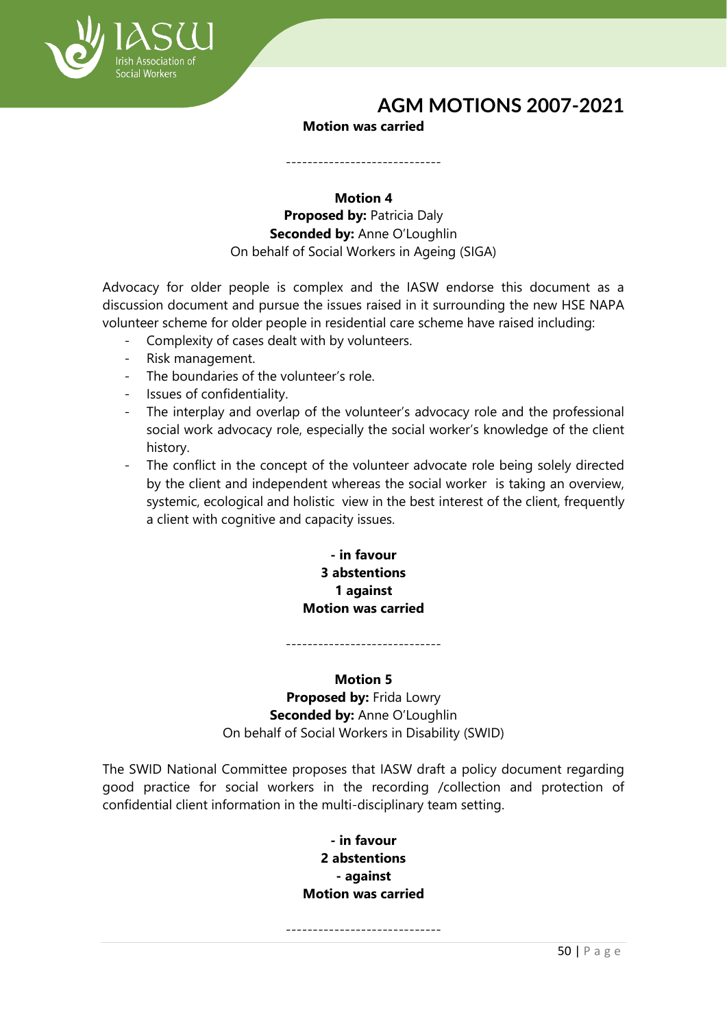

#### **Motion was carried**

-----------------------------

### **Motion 4 Proposed by: Patricia Daly Seconded by: Anne O'Loughlin** On behalf of Social Workers in Ageing (SIGA)

Advocacy for older people is complex and the IASW endorse this document as a discussion document and pursue the issues raised in it surrounding the new HSE NAPA volunteer scheme for older people in residential care scheme have raised including:

- Complexity of cases dealt with by volunteers.
- Risk management.
- The boundaries of the volunteer's role.
- Issues of confidentiality.
- The interplay and overlap of the volunteer's advocacy role and the professional social work advocacy role, especially the social worker's knowledge of the client history.
- The conflict in the concept of the volunteer advocate role being solely directed by the client and independent whereas the social worker is taking an overview, systemic, ecological and holistic view in the best interest of the client, frequently a client with cognitive and capacity issues.

## **- in favour 3 abstentions 1 against Motion was carried**

-----------------------------

## **Motion 5 Proposed by:** Frida Lowry **Seconded by: Anne O'Loughlin**

On behalf of Social Workers in Disability (SWID)

The SWID National Committee proposes that IASW draft a policy document regarding good practice for social workers in the recording /collection and protection of confidential client information in the multi-disciplinary team setting.

> **- in favour 2 abstentions - against Motion was carried**

-----------------------------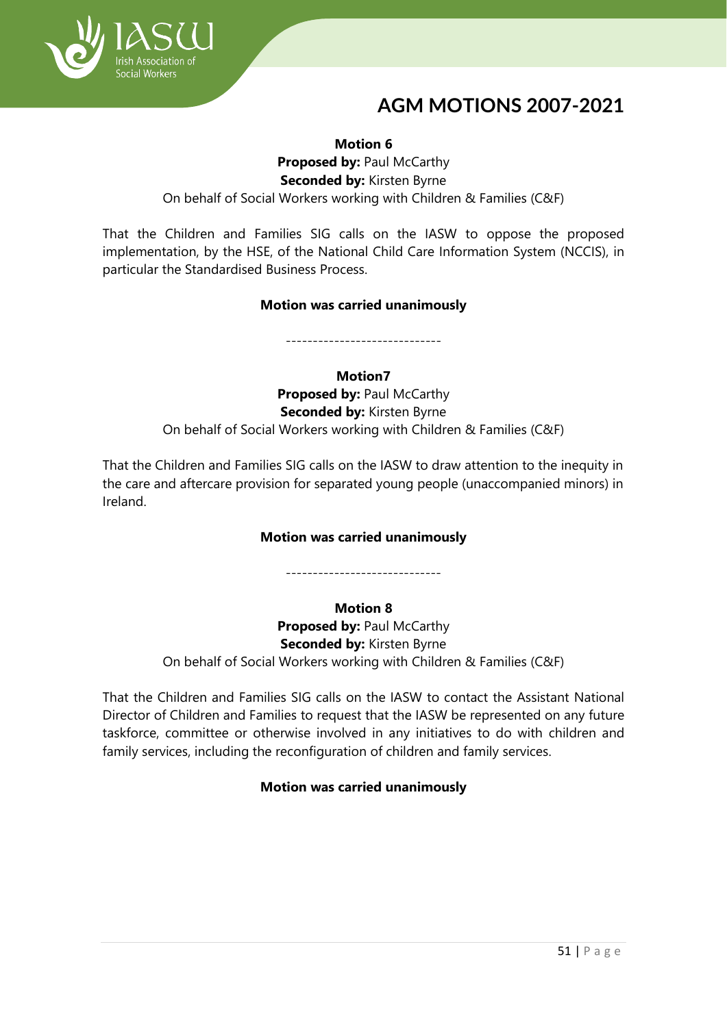

**Motion 6 Proposed by: Paul McCarthy Seconded by:** Kirsten Byrne On behalf of Social Workers working with Children & Families (C&F)

That the Children and Families SIG calls on the IASW to oppose the proposed implementation, by the HSE, of the National Child Care Information System (NCCIS), in particular the Standardised Business Process.

## **Motion was carried unanimously**

-----------------------------

**Motion7**

**Proposed by: Paul McCarthy Seconded by:** Kirsten Byrne On behalf of Social Workers working with Children & Families (C&F)

That the Children and Families SIG calls on the IASW to draw attention to the inequity in the care and aftercare provision for separated young people (unaccompanied minors) in Ireland.

## **Motion was carried unanimously**

-----------------------------

## **Motion 8**

**Proposed by: Paul McCarthy Seconded by:** Kirsten Byrne On behalf of Social Workers working with Children & Families (C&F)

That the Children and Families SIG calls on the IASW to contact the Assistant National Director of Children and Families to request that the IASW be represented on any future taskforce, committee or otherwise involved in any initiatives to do with children and family services, including the reconfiguration of children and family services.

## **Motion was carried unanimously**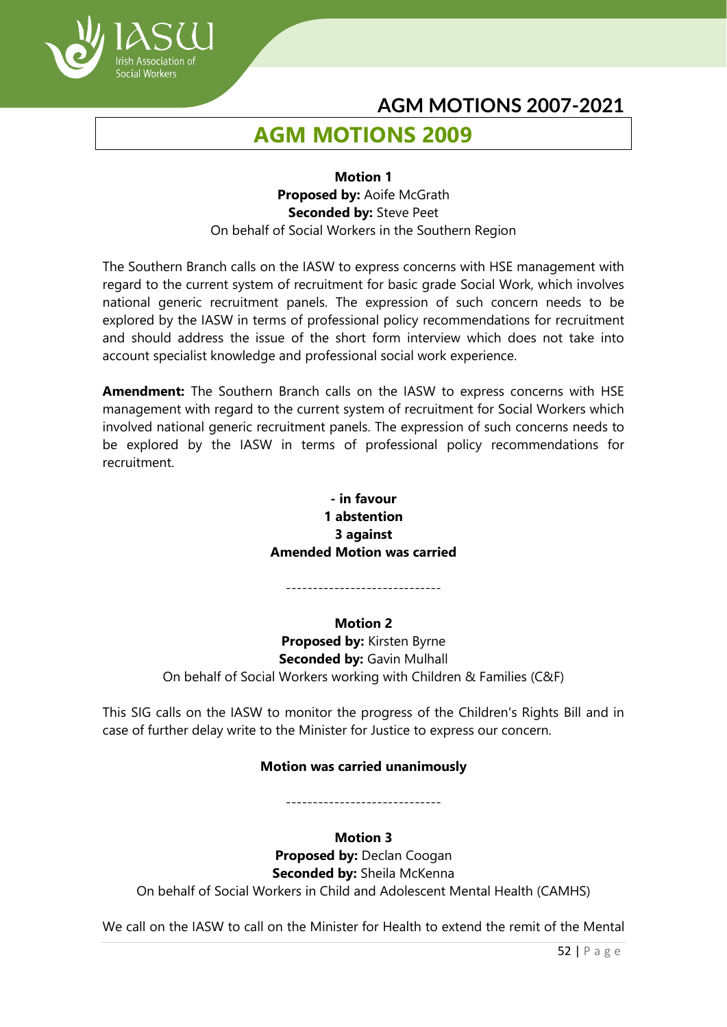

# **AGM MOTIONS 2009**

#### **Motion 1 Proposed by:** Aoife McGrath **Seconded by:** Steve Peet On behalf of Social Workers in the Southern Region

The Southern Branch calls on the IASW to express concerns with HSE management with regard to the current system of recruitment for basic grade Social Work, which involves national generic recruitment panels. The expression of such concern needs to be explored by the IASW in terms of professional policy recommendations for recruitment and should address the issue of the short form interview which does not take into account specialist knowledge and professional social work experience.

**Amendment:** The Southern Branch calls on the IASW to express concerns with HSE management with regard to the current system of recruitment for Social Workers which involved national generic recruitment panels. The expression of such concerns needs to be explored by the IASW in terms of professional policy recommendations for recruitment.

## **- in favour 1 abstention 3 against Amended Motion was carried**

-----------------------------

**Motion 2 Proposed by:** Kirsten Byrne **Seconded by:** Gavin Mulhall On behalf of Social Workers working with Children & Families (C&F)

This SIG calls on the IASW to monitor the progress of the Children's Rights Bill and in case of further delay write to the Minister for Justice to express our concern.

## **Motion was carried unanimously**

-----------------------------

## **Motion 3**

**Proposed by: Declan Coogan Seconded by:** Sheila McKenna On behalf of Social Workers in Child and Adolescent Mental Health (CAMHS)

We call on the IASW to call on the Minister for Health to extend the remit of the Mental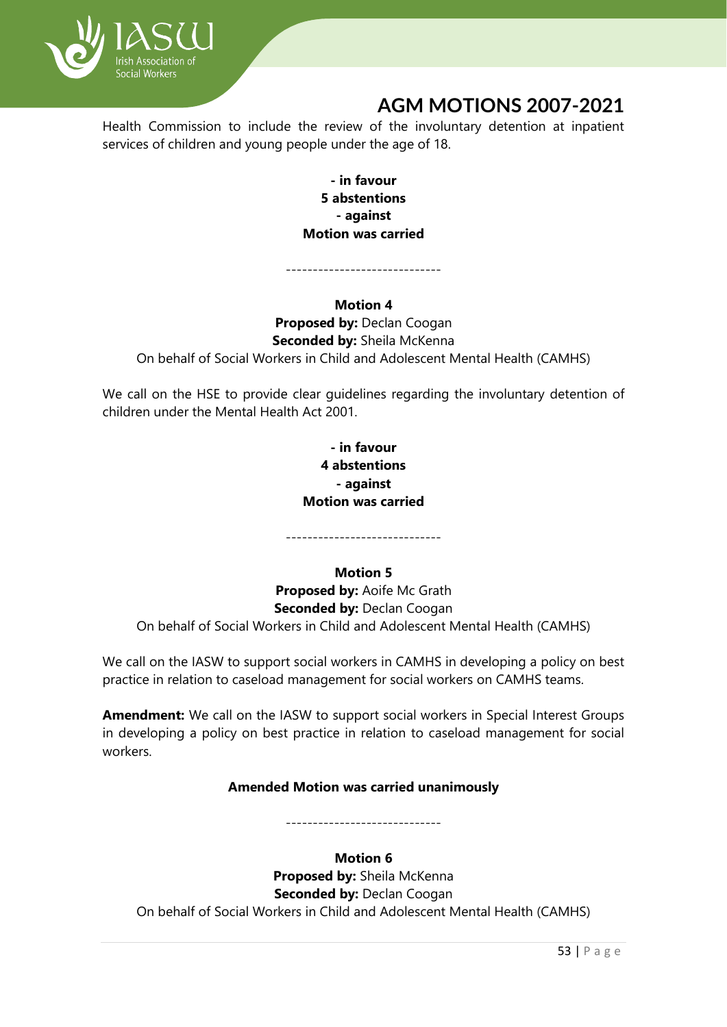

Health Commission to include the review of the involuntary detention at inpatient services of children and young people under the age of 18.

> **- in favour 5 abstentions - against Motion was carried**

-----------------------------

## **Motion 4 Proposed by: Declan Coogan Seconded by:** Sheila McKenna On behalf of Social Workers in Child and Adolescent Mental Health (CAMHS)

We call on the HSE to provide clear guidelines regarding the involuntary detention of children under the Mental Health Act 2001.

## **- in favour 4 abstentions - against Motion was carried**

-----------------------------

## **Motion 5**

**Proposed by:** Aoife Mc Grath **Seconded by: Declan Coogan** On behalf of Social Workers in Child and Adolescent Mental Health (CAMHS)

We call on the IASW to support social workers in CAMHS in developing a policy on best practice in relation to caseload management for social workers on CAMHS teams.

**Amendment:** We call on the IASW to support social workers in Special Interest Groups in developing a policy on best practice in relation to caseload management for social workers.

## **Amended Motion was carried unanimously**

-----------------------------

## **Motion 6**

**Proposed by:** Sheila McKenna **Seconded by: Declan Coogan** On behalf of Social Workers in Child and Adolescent Mental Health (CAMHS)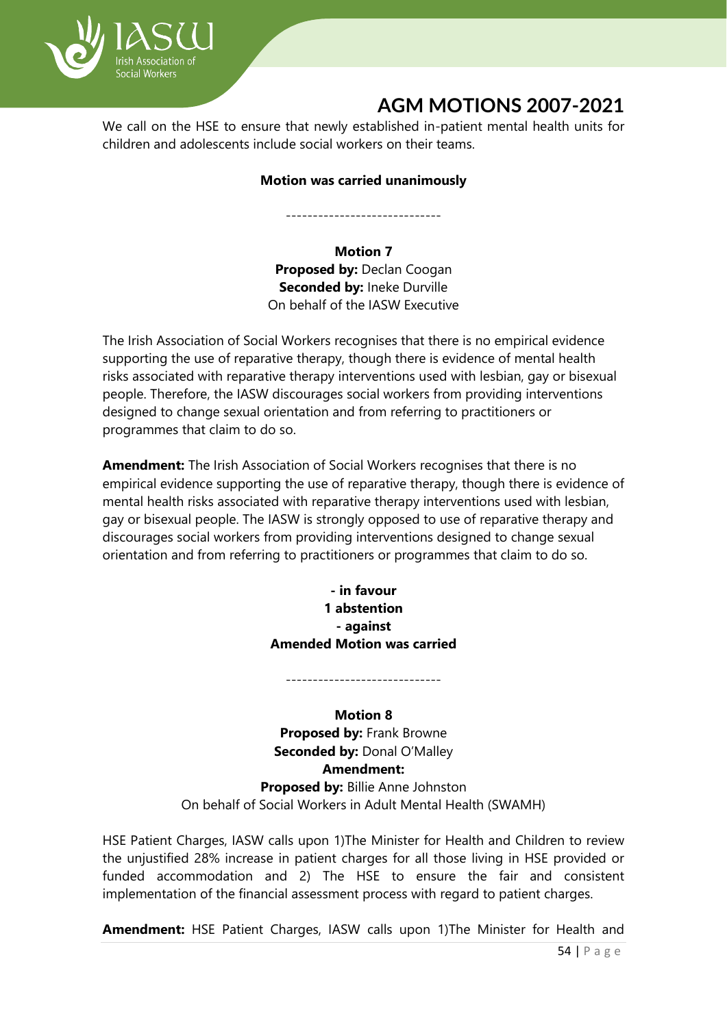

We call on the HSE to ensure that newly established in-patient mental health units for children and adolescents include social workers on their teams.

#### **Motion was carried unanimously**

-----------------------------

### **Motion 7**

**Proposed by:** Declan Coogan **Seconded by: Ineke Durville** On behalf of the IASW Executive

The Irish Association of Social Workers recognises that there is no empirical evidence supporting the use of reparative therapy, though there is evidence of mental health risks associated with reparative therapy interventions used with lesbian, gay or bisexual people. Therefore, the IASW discourages social workers from providing interventions designed to change sexual orientation and from referring to practitioners or programmes that claim to do so.

**Amendment:** The Irish Association of Social Workers recognises that there is no empirical evidence supporting the use of reparative therapy, though there is evidence of mental health risks associated with reparative therapy interventions used with lesbian, gay or bisexual people. The IASW is strongly opposed to use of reparative therapy and discourages social workers from providing interventions designed to change sexual orientation and from referring to practitioners or programmes that claim to do so.

> **- in favour 1 abstention - against Amended Motion was carried**

-----------------------------

**Motion 8 Proposed by:** Frank Browne **Seconded by:** Donal O'Malley **Amendment: Proposed by:** Billie Anne Johnston On behalf of Social Workers in Adult Mental Health (SWAMH)

HSE Patient Charges, IASW calls upon 1)The Minister for Health and Children to review the unjustified 28% increase in patient charges for all those living in HSE provided or funded accommodation and 2) The HSE to ensure the fair and consistent implementation of the financial assessment process with regard to patient charges.

**Amendment:** HSE Patient Charges, IASW calls upon 1)The Minister for Health and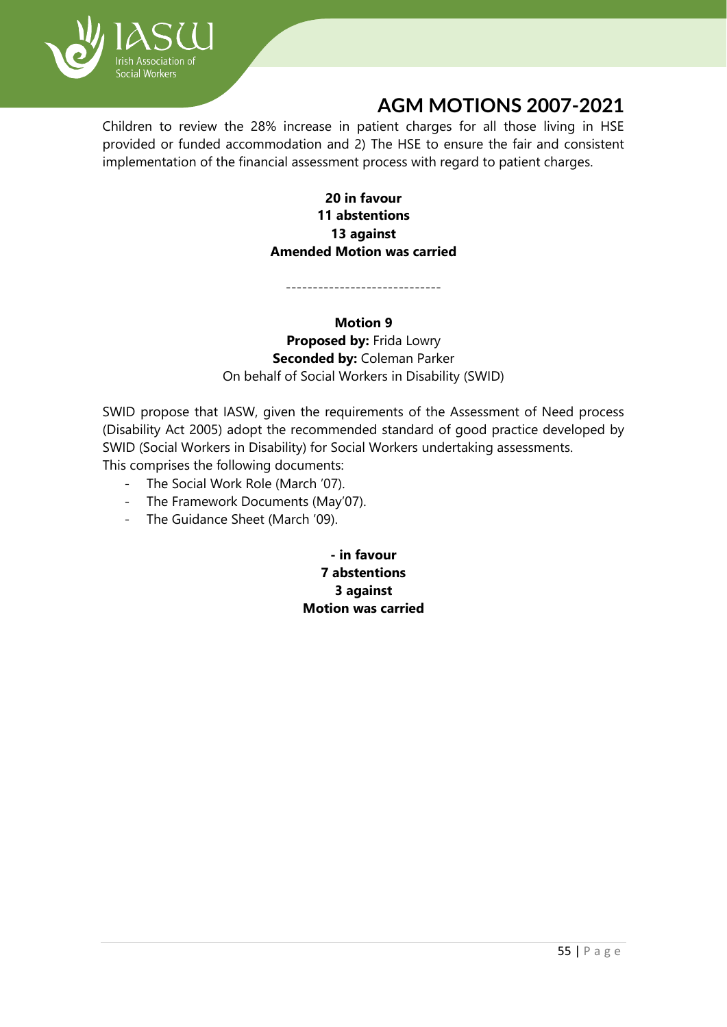

Children to review the 28% increase in patient charges for all those living in HSE provided or funded accommodation and 2) The HSE to ensure the fair and consistent implementation of the financial assessment process with regard to patient charges.

> **20 in favour 11 abstentions 13 against Amended Motion was carried**

-----------------------------

**Motion 9 Proposed by:** Frida Lowry **Seconded by:** Coleman Parker On behalf of Social Workers in Disability (SWID)

SWID propose that IASW, given the requirements of the Assessment of Need process (Disability Act 2005) adopt the recommended standard of good practice developed by SWID (Social Workers in Disability) for Social Workers undertaking assessments. This comprises the following documents:

- The Social Work Role (March '07).
- The Framework Documents (May'07).
- The Guidance Sheet (March '09).

**- in favour 7 abstentions 3 against Motion was carried**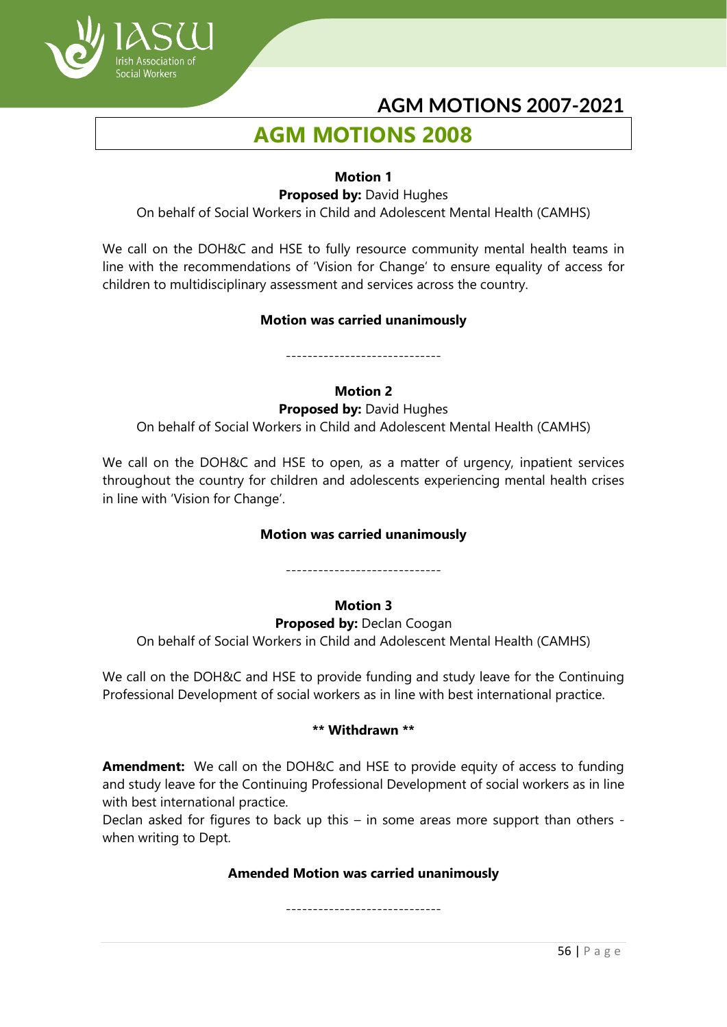

# **AGM MOTIONS 2008**

#### **Motion 1**

**Proposed by:** David Hughes

On behalf of Social Workers in Child and Adolescent Mental Health (CAMHS)

We call on the DOH&C and HSE to fully resource community mental health teams in line with the recommendations of 'Vision for Change' to ensure equality of access for children to multidisciplinary assessment and services across the country.

#### **Motion was carried unanimously**

-----------------------------

#### **Motion 2**

**Proposed by:** David Hughes

On behalf of Social Workers in Child and Adolescent Mental Health (CAMHS)

We call on the DOH&C and HSE to open, as a matter of urgency, inpatient services throughout the country for children and adolescents experiencing mental health crises in line with 'Vision for Change'.

## **Motion was carried unanimously**

-----------------------------

## **Motion 3**

**Proposed by:** Declan Coogan On behalf of Social Workers in Child and Adolescent Mental Health (CAMHS)

We call on the DOH&C and HSE to provide funding and study leave for the Continuing Professional Development of social workers as in line with best international practice.

#### **\*\* Withdrawn \*\***

**Amendment:** We call on the DOH&C and HSE to provide equity of access to funding and study leave for the Continuing Professional Development of social workers as in line with best international practice.

Declan asked for figures to back up this – in some areas more support than others when writing to Dept.

## **Amended Motion was carried unanimously**

-----------------------------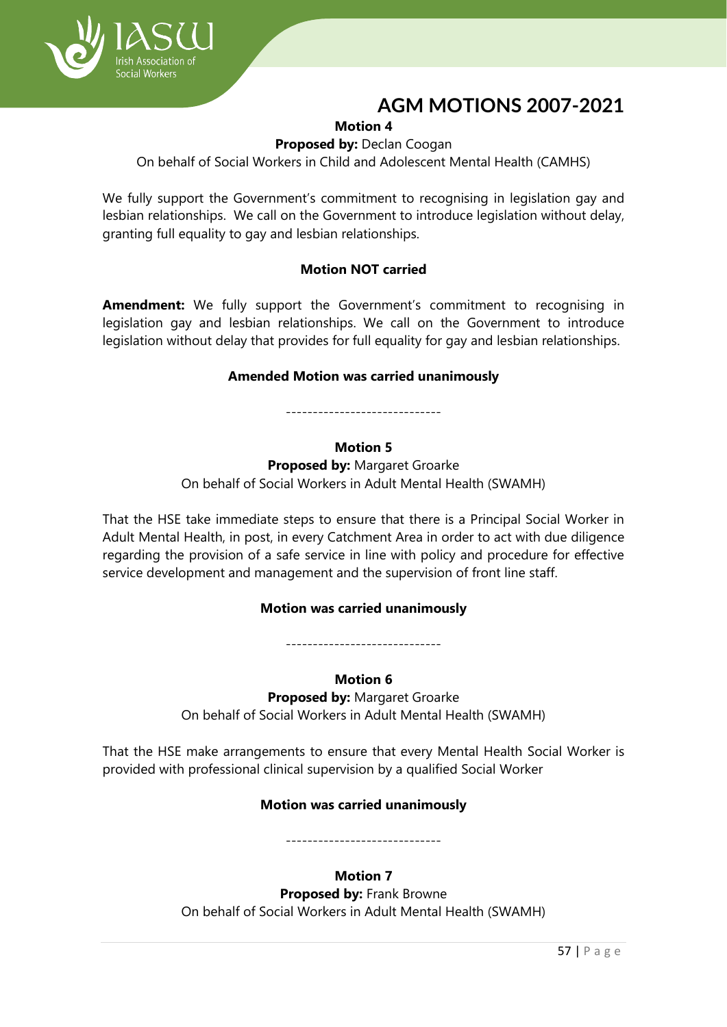

## **Motion 4**

#### **Proposed by:** Declan Coogan

On behalf of Social Workers in Child and Adolescent Mental Health (CAMHS)

We fully support the Government's commitment to recognising in legislation gay and lesbian relationships. We call on the Government to introduce legislation without delay, granting full equality to gay and lesbian relationships.

## **Motion NOT carried**

**Amendment:** We fully support the Government's commitment to recognising in legislation gay and lesbian relationships. We call on the Government to introduce legislation without delay that provides for full equality for gay and lesbian relationships.

#### **Amended Motion was carried unanimously**

-----------------------------

#### **Motion 5**

**Proposed by:** Margaret Groarke

On behalf of Social Workers in Adult Mental Health (SWAMH)

That the HSE take immediate steps to ensure that there is a Principal Social Worker in Adult Mental Health, in post, in every Catchment Area in order to act with due diligence regarding the provision of a safe service in line with policy and procedure for effective service development and management and the supervision of front line staff.

#### **Motion was carried unanimously**

-----------------------------

#### **Motion 6**

**Proposed by:** Margaret Groarke On behalf of Social Workers in Adult Mental Health (SWAMH)

That the HSE make arrangements to ensure that every Mental Health Social Worker is provided with professional clinical supervision by a qualified Social Worker

## **Motion was carried unanimously**

-----------------------------

## **Motion 7**

**Proposed by:** Frank Browne On behalf of Social Workers in Adult Mental Health (SWAMH)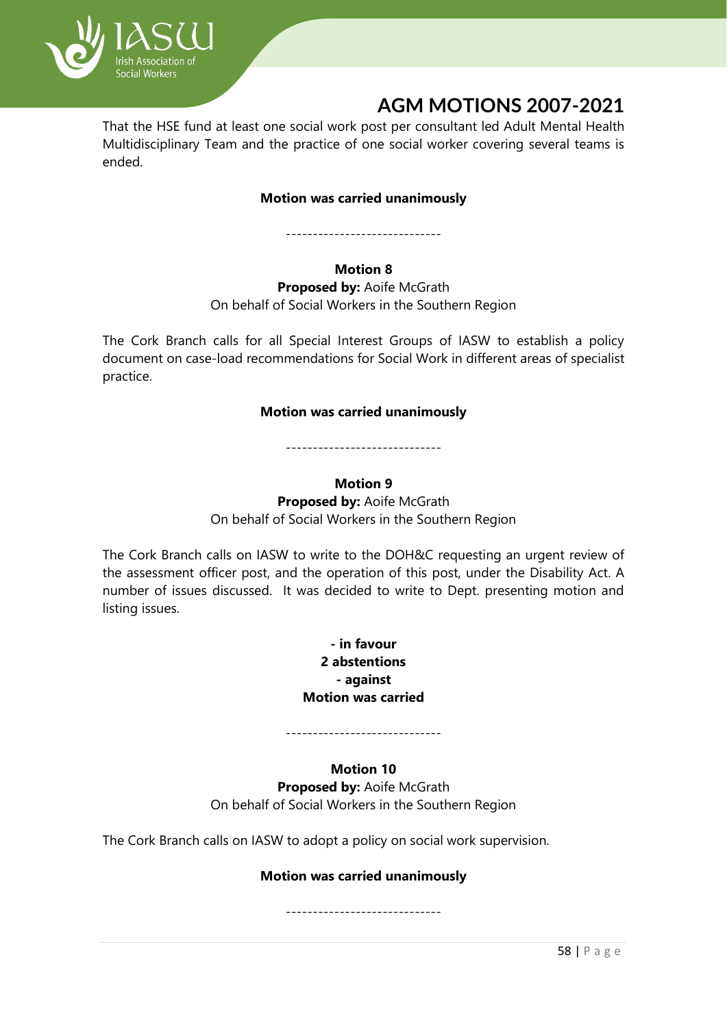

That the HSE fund at least one social work post per consultant led Adult Mental Health Multidisciplinary Team and the practice of one social worker covering several teams is ended.

## **Motion was carried unanimously**

-----------------------------

**Motion 8**

**Proposed by:** Aoife McGrath On behalf of Social Workers in the Southern Region

The Cork Branch calls for all Special Interest Groups of IASW to establish a policy document on case-load recommendations for Social Work in different areas of specialist practice.

## **Motion was carried unanimously**

-----------------------------

## **Motion 9**

**Proposed by:** Aoife McGrath On behalf of Social Workers in the Southern Region

The Cork Branch calls on IASW to write to the DOH&C requesting an urgent review of the assessment officer post, and the operation of this post, under the Disability Act. A number of issues discussed. It was decided to write to Dept. presenting motion and listing issues.

> **- in favour 2 abstentions - against Motion was carried**

-----------------------------

## **Motion 10**

**Proposed by:** Aoife McGrath On behalf of Social Workers in the Southern Region

The Cork Branch calls on IASW to adopt a policy on social work supervision.

## **Motion was carried unanimously**

-----------------------------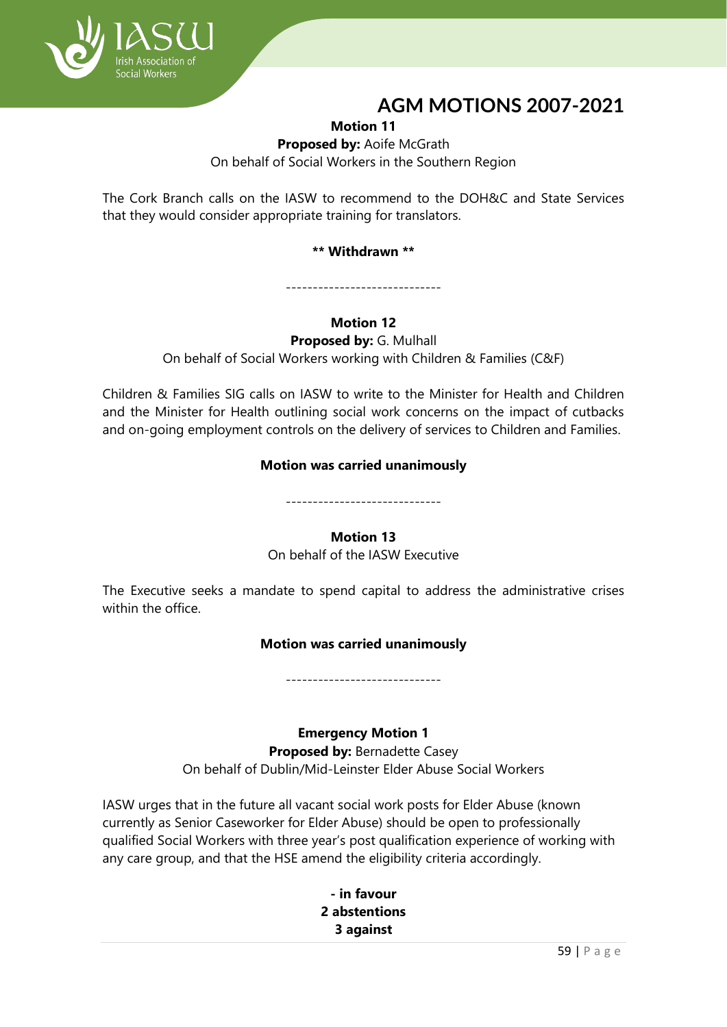

**Motion 11**

**Proposed by:** Aoife McGrath On behalf of Social Workers in the Southern Region

The Cork Branch calls on the IASW to recommend to the DOH&C and State Services that they would consider appropriate training for translators.

## **\*\* Withdrawn \*\***

-----------------------------

## **Motion 12**

**Proposed by:** G. Mulhall

On behalf of Social Workers working with Children & Families (C&F)

Children & Families SIG calls on IASW to write to the Minister for Health and Children and the Minister for Health outlining social work concerns on the impact of cutbacks and on-going employment controls on the delivery of services to Children and Families.

## **Motion was carried unanimously**

-----------------------------

## **Motion 13**

On behalf of the IASW Executive

The Executive seeks a mandate to spend capital to address the administrative crises within the office.

## **Motion was carried unanimously**

-----------------------------

## **Emergency Motion 1**

**Proposed by:** Bernadette Casey On behalf of Dublin/Mid-Leinster Elder Abuse Social Workers

IASW urges that in the future all vacant social work posts for Elder Abuse (known currently as Senior Caseworker for Elder Abuse) should be open to professionally qualified Social Workers with three year's post qualification experience of working with any care group, and that the HSE amend the eligibility criteria accordingly.

> **- in favour 2 abstentions 3 against**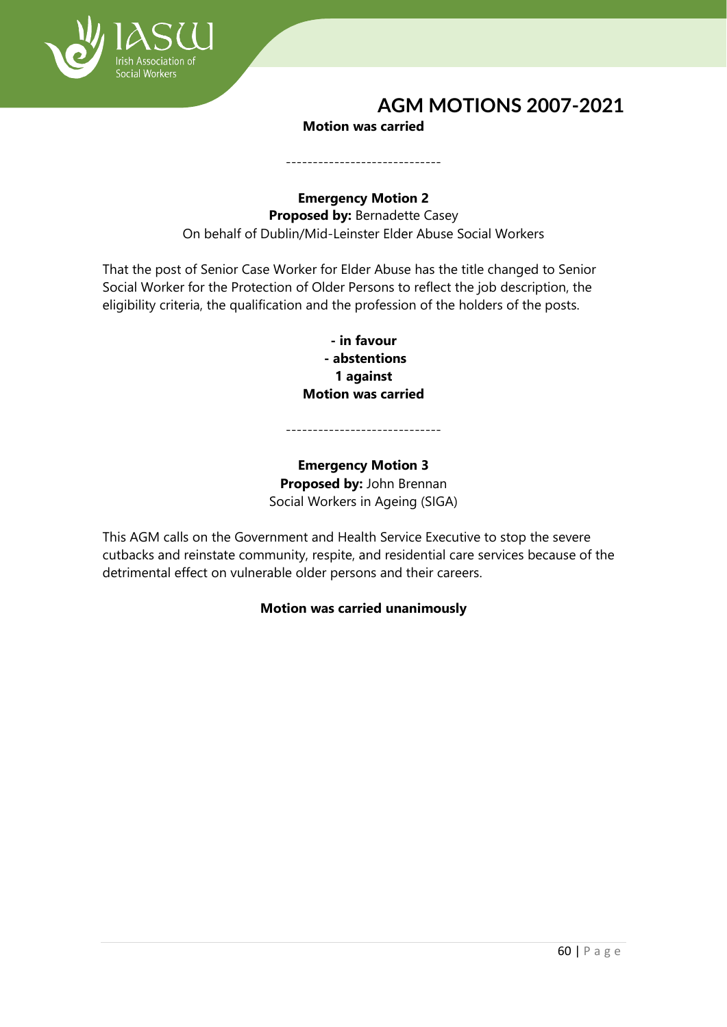

#### **Motion was carried**

-----------------------------

## **Emergency Motion 2 Proposed by:** Bernadette Casey On behalf of Dublin/Mid-Leinster Elder Abuse Social Workers

That the post of Senior Case Worker for Elder Abuse has the title changed to Senior Social Worker for the Protection of Older Persons to reflect the job description, the eligibility criteria, the qualification and the profession of the holders of the posts.

> **- in favour - abstentions 1 against Motion was carried**

-----------------------------

**Emergency Motion 3 Proposed by:** John Brennan Social Workers in Ageing (SIGA)

This AGM calls on the Government and Health Service Executive to stop the severe cutbacks and reinstate community, respite, and residential care services because of the detrimental effect on vulnerable older persons and their careers.

## **Motion was carried unanimously**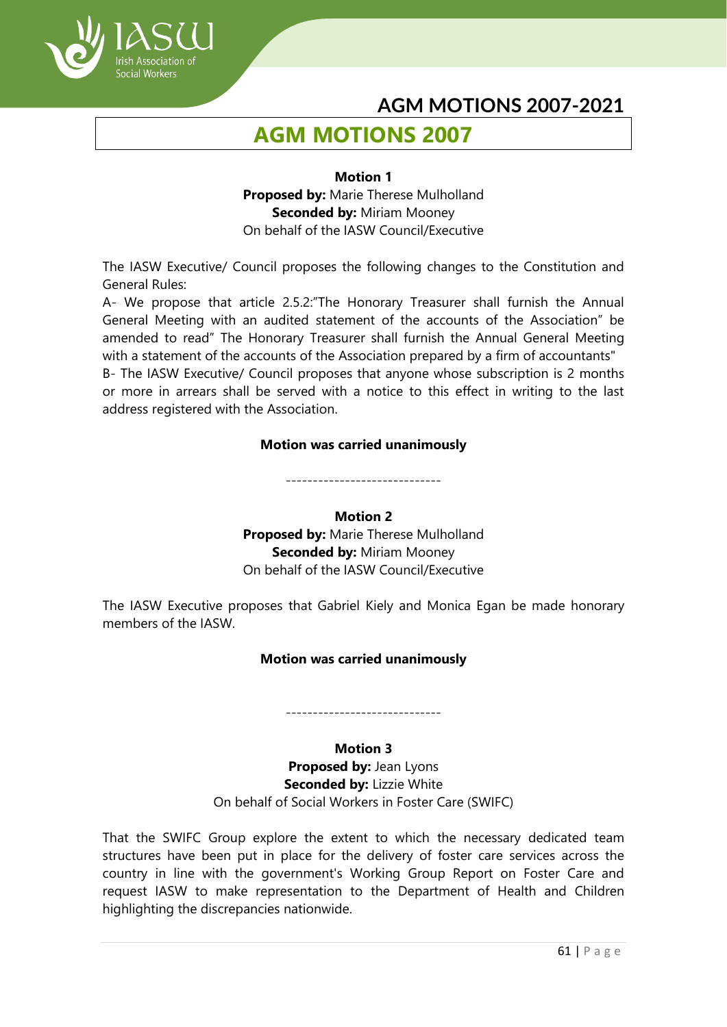

# **AGM MOTIONS 2007**

## **Motion 1 Proposed by:** Marie Therese Mulholland **Seconded by:** Miriam Mooney On behalf of the IASW Council/Executive

The IASW Executive/ Council proposes the following changes to the Constitution and General Rules:

A- We propose that article 2.5.2:"The Honorary Treasurer shall furnish the Annual General Meeting with an audited statement of the accounts of the Association" be amended to read" The Honorary Treasurer shall furnish the Annual General Meeting with a statement of the accounts of the Association prepared by a firm of accountants" B- The IASW Executive/ Council proposes that anyone whose subscription is 2 months

or more in arrears shall be served with a notice to this effect in writing to the last address registered with the Association.

## **Motion was carried unanimously**

-----------------------------

#### **Motion 2**

**Proposed by:** Marie Therese Mulholland **Seconded by:** Miriam Mooney On behalf of the IASW Council/Executive

The IASW Executive proposes that Gabriel Kiely and Monica Egan be made honorary members of the IASW.

#### **Motion was carried unanimously**

#### **Motion 3**

-----------------------------

**Proposed by:** Jean Lyons **Seconded by:** Lizzie White On behalf of Social Workers in Foster Care (SWIFC)

That the SWIFC Group explore the extent to which the necessary dedicated team structures have been put in place for the delivery of foster care services across the country in line with the government's Working Group Report on Foster Care and request IASW to make representation to the Department of Health and Children highlighting the discrepancies nationwide.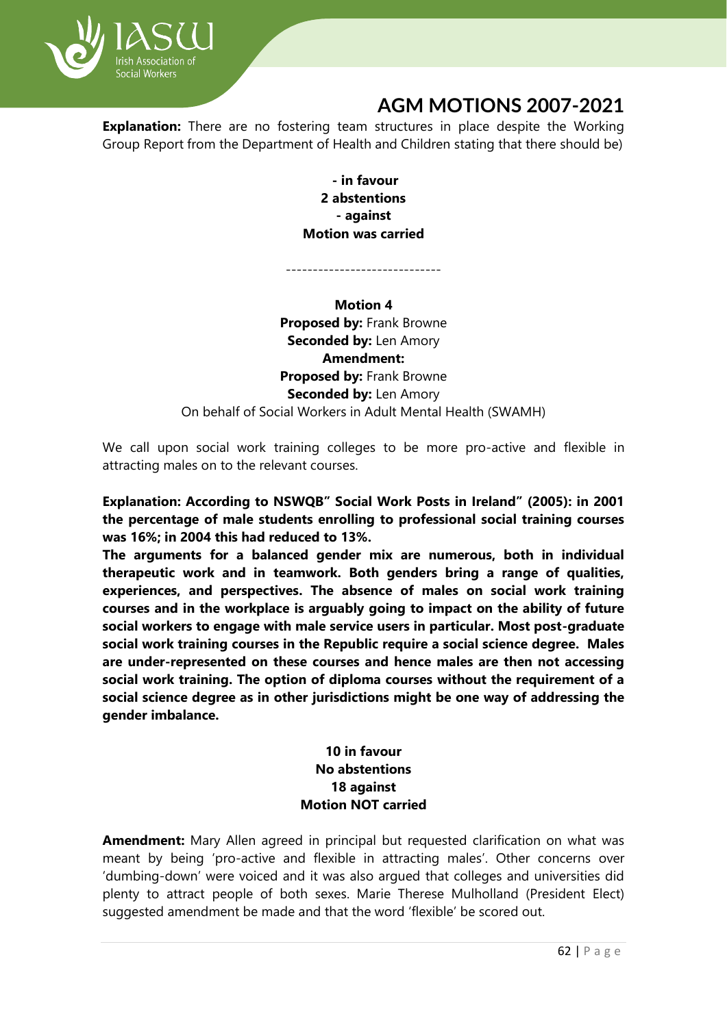

**Explanation:** There are no fostering team structures in place despite the Working Group Report from the Department of Health and Children stating that there should be)

> **- in favour 2 abstentions - against Motion was carried**

**Motion 4 Proposed by:** Frank Browne **Seconded by:** Len Amory **Amendment: Proposed by:** Frank Browne **Seconded by:** Len Amory On behalf of Social Workers in Adult Mental Health (SWAMH)

We call upon social work training colleges to be more pro-active and flexible in attracting males on to the relevant courses.

**Explanation: According to NSWQB" Social Work Posts in Ireland" (2005): in 2001 the percentage of male students enrolling to professional social training courses was 16%; in 2004 this had reduced to 13%.**

**The arguments for a balanced gender mix are numerous, both in individual therapeutic work and in teamwork. Both genders bring a range of qualities, experiences, and perspectives. The absence of males on social work training courses and in the workplace is arguably going to impact on the ability of future social workers to engage with male service users in particular. Most post-graduate social work training courses in the Republic require a social science degree. Males are under-represented on these courses and hence males are then not accessing social work training. The option of diploma courses without the requirement of a social science degree as in other jurisdictions might be one way of addressing the gender imbalance.**

## **10 in favour No abstentions 18 against Motion NOT carried**

**Amendment:** Mary Allen agreed in principal but requested clarification on what was meant by being 'pro-active and flexible in attracting males'. Other concerns over 'dumbing-down' were voiced and it was also argued that colleges and universities did plenty to attract people of both sexes. Marie Therese Mulholland (President Elect) suggested amendment be made and that the word 'flexible' be scored out.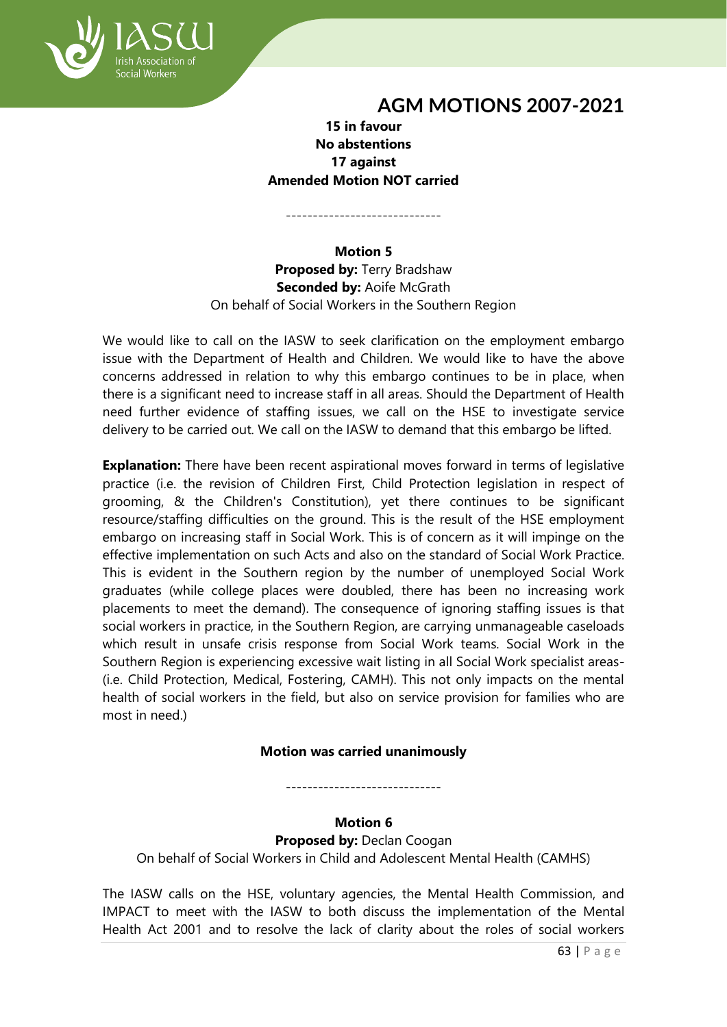

**15 in favour No abstentions 17 against Amended Motion NOT carried**

-----------------------------

**Motion 5 Proposed by:** Terry Bradshaw **Seconded by: Aoife McGrath** On behalf of Social Workers in the Southern Region

We would like to call on the IASW to seek clarification on the employment embargo issue with the Department of Health and Children. We would like to have the above concerns addressed in relation to why this embargo continues to be in place, when there is a significant need to increase staff in all areas. Should the Department of Health need further evidence of staffing issues, we call on the HSE to investigate service delivery to be carried out. We call on the IASW to demand that this embargo be lifted.

**Explanation:** There have been recent aspirational moves forward in terms of legislative practice (i.e. the revision of Children First, Child Protection legislation in respect of grooming, & the Children's Constitution), yet there continues to be significant resource/staffing difficulties on the ground. This is the result of the HSE employment embargo on increasing staff in Social Work. This is of concern as it will impinge on the effective implementation on such Acts and also on the standard of Social Work Practice. This is evident in the Southern region by the number of unemployed Social Work graduates (while college places were doubled, there has been no increasing work placements to meet the demand). The consequence of ignoring staffing issues is that social workers in practice, in the Southern Region, are carrying unmanageable caseloads which result in unsafe crisis response from Social Work teams. Social Work in the Southern Region is experiencing excessive wait listing in all Social Work specialist areas- (i.e. Child Protection, Medical, Fostering, CAMH). This not only impacts on the mental health of social workers in the field, but also on service provision for families who are most in need.)

## **Motion was carried unanimously**

-----------------------------

#### **Motion 6 Proposed by: Declan Coogan**

On behalf of Social Workers in Child and Adolescent Mental Health (CAMHS)

The IASW calls on the HSE, voluntary agencies, the Mental Health Commission, and IMPACT to meet with the IASW to both discuss the implementation of the Mental Health Act 2001 and to resolve the lack of clarity about the roles of social workers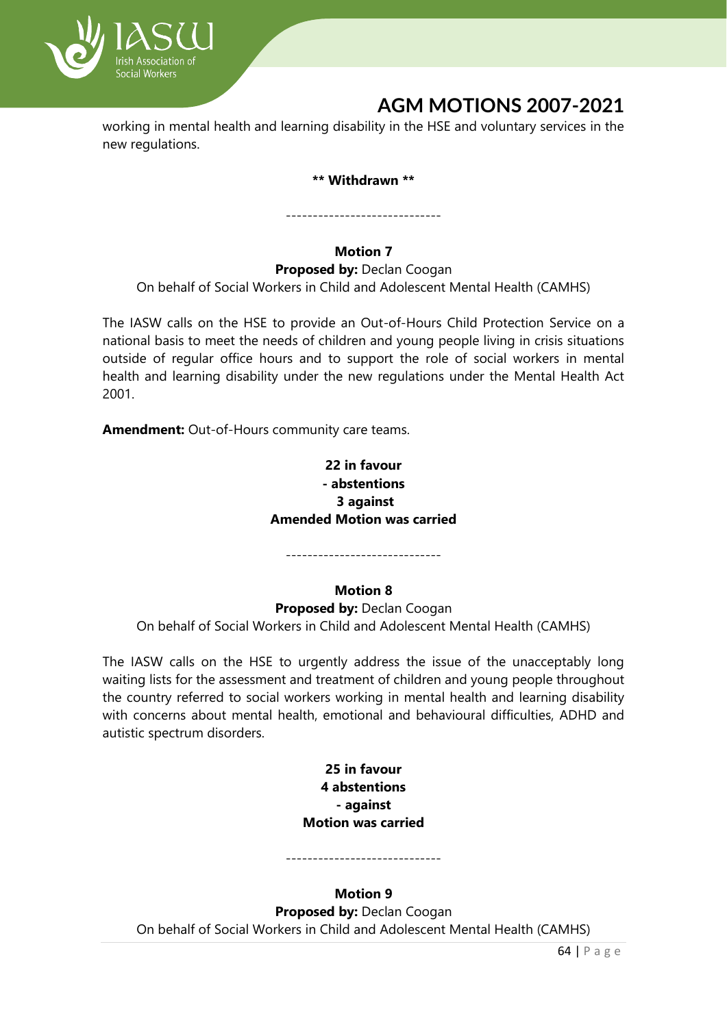

working in mental health and learning disability in the HSE and voluntary services in the new regulations.

#### **\*\* Withdrawn \*\***

-----------------------------

## **Motion 7**

**Proposed by: Declan Coogan** On behalf of Social Workers in Child and Adolescent Mental Health (CAMHS)

The IASW calls on the HSE to provide an Out-of-Hours Child Protection Service on a national basis to meet the needs of children and young people living in crisis situations outside of regular office hours and to support the role of social workers in mental health and learning disability under the new regulations under the Mental Health Act 2001.

**Amendment:** Out-of-Hours community care teams.

## **22 in favour - abstentions 3 against Amended Motion was carried**

-----------------------------

## **Motion 8**

**Proposed by: Declan Coogan** On behalf of Social Workers in Child and Adolescent Mental Health (CAMHS)

The IASW calls on the HSE to urgently address the issue of the unacceptably long waiting lists for the assessment and treatment of children and young people throughout the country referred to social workers working in mental health and learning disability with concerns about mental health, emotional and behavioural difficulties, ADHD and autistic spectrum disorders.

### **25 in favour 4 abstentions - against Motion was carried**

**Motion 9 Proposed by: Declan Coogan** On behalf of Social Workers in Child and Adolescent Mental Health (CAMHS)

-----------------------------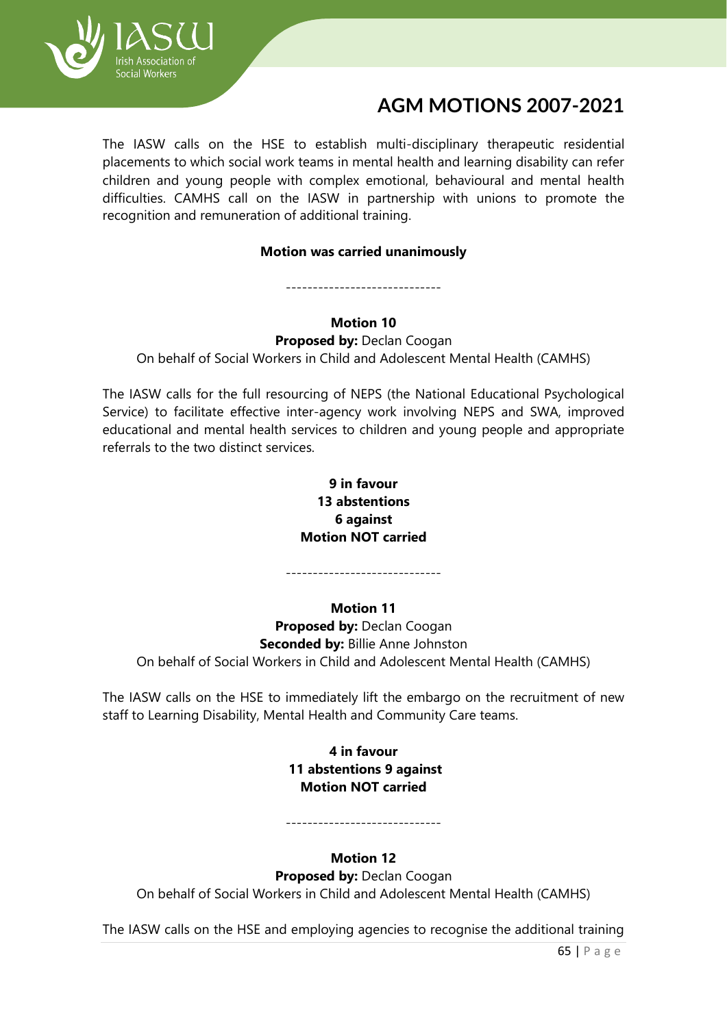

The IASW calls on the HSE to establish multi-disciplinary therapeutic residential placements to which social work teams in mental health and learning disability can refer children and young people with complex emotional, behavioural and mental health difficulties. CAMHS call on the IASW in partnership with unions to promote the recognition and remuneration of additional training.

#### **Motion was carried unanimously**

## **Motion 10**

-----------------------------

**Proposed by: Declan Coogan** 

On behalf of Social Workers in Child and Adolescent Mental Health (CAMHS)

The IASW calls for the full resourcing of NEPS (the National Educational Psychological Service) to facilitate effective inter-agency work involving NEPS and SWA, improved educational and mental health services to children and young people and appropriate referrals to the two distinct services.

## **9 in favour 13 abstentions 6 against Motion NOT carried**

-----------------------------

## **Motion 11**

**Proposed by: Declan Coogan Seconded by:** Billie Anne Johnston On behalf of Social Workers in Child and Adolescent Mental Health (CAMHS)

The IASW calls on the HSE to immediately lift the embargo on the recruitment of new staff to Learning Disability, Mental Health and Community Care teams.

> **4 in favour 11 abstentions 9 against Motion NOT carried**

# -----------------------------

## **Motion 12**

**Proposed by: Declan Coogan** On behalf of Social Workers in Child and Adolescent Mental Health (CAMHS)

The IASW calls on the HSE and employing agencies to recognise the additional training